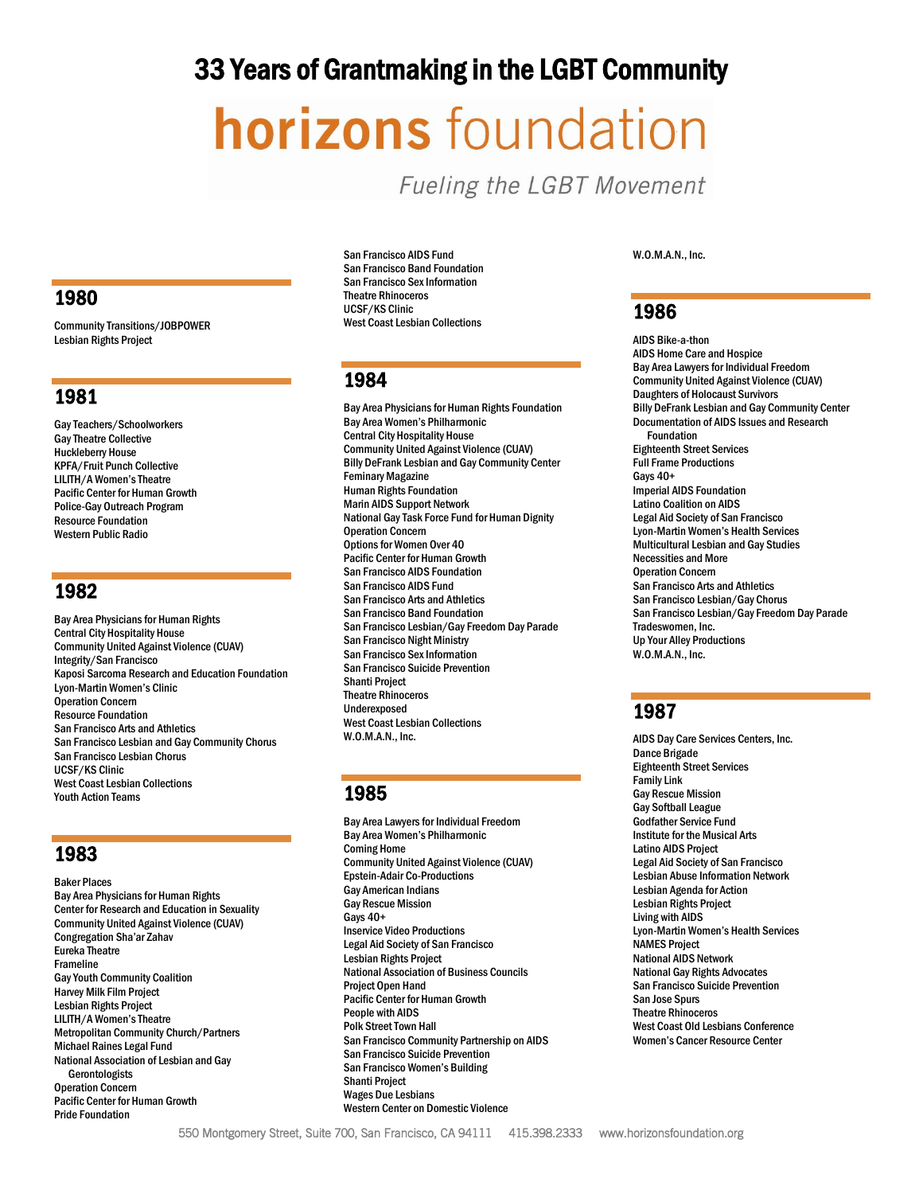# 33 Years of Grantmaking in the LGBT Community

# **horizons** foundation

**Fueling the LGBT Movement** 

# 1980

Community Transitions/JOBPOWER Lesbian Rights Project

# 1981

Gay Teachers/Schoolworkers Gay Theatre Collective Huckleberry House KPFA/Fruit Punch Collective LILITH/A Women's Theatre Pacific Center for Human Growth Police-Gay Outreach Program Resource Foundation Western Public Radio

# 1982

Bay Area Physicians for Human Rights Central City Hospitality House Community United Against Violence (CUAV) Integrity/San Francisco Kaposi Sarcoma Research and Education Foundation Lyon-Martin Women's Clinic Operation Concern Resource Foundation San Francisco Arts and Athletics San Francisco Lesbian and Gay Community Chorus San Francisco Lesbian Chorus UCSF/KS Clinic West Coast Lesbian Collections Youth Action Teams

# 1983

Baker Places Bay Area Physicians for Human Rights Center for Research and Education in Sexuality Community United Against Violence (CUAV) Congregation Sha'ar Zahav Eureka Theatre Frameline Gay Youth Community Coalition Harvey Milk Film Project Lesbian Rights Project LILITH/A Women's Theatre Metropolitan Community Church/Partners Michael Raines Legal Fund National Association of Lesbian and Gay Gerontologists Operation Concern Pacific Center for Human Growth Pride Foundation

San Francisco AIDS Fund San Francisco Band Foundation San Francisco Sex Information Theatre Rhinoceros UCSF/KS Clinic West Coast Lesbian Collections

# 1984

Bay Area Physicians for Human Rights Foundation Bay Area Women's Philharmonic Central City Hospitality House Community United Against Violence (CUAV) Billy DeFrank Lesbian and Gay Community Center Feminary Magazine Human Rights Foundation Marin AIDS Support Network National Gay Task Force Fund for Human Dignity Operation Concern Options for Women Over 40 Pacific Center for Human Growth San Francisco AIDS Foundation San Francisco AIDS Fund San Francisco Arts and Athletics San Francisco Band Foundation San Francisco Lesbian/Gay Freedom Day Parade San Francisco Night Ministry San Francisco Sex Information San Francisco Suicide Prevention Shanti Project Theatre Rhinoceros Underexposed West Coast Lesbian Collections W.O.M.A.N., Inc.

# 1985

Bay Area Lawyers for Individual Freedom Bay Area Women's Philharmonic Coming Home Community United Against Violence (CUAV) Epstein-Adair Co-Productions Gay American Indians Gay Rescue Mission Gays 40+ Inservice Video Productions Legal Aid Society of San Francisco Lesbian Rights Project National Association of Business Councils Project Open Hand Pacific Center for Human Growth People with AIDS Polk Street Town Hall San Francisco Community Partnership on AIDS San Francisco Suicide Prevention San Francisco Women's Building Shanti Project Wages Due Lesbians Western Center on Domestic Violence

W.O.M.A.N., Inc.

# 1986

AIDS Bike-a-thon AIDS Home Care and Hospice Bay Area Lawyers for Individual Freedom Community United Against Violence (CUAV) Daughters of Holocaust Survivors Billy DeFrank Lesbian and Gay Community Center Documentation of AIDS Issues and Research Foundation Eighteenth Street Services Full Frame Productions Gays 40+ Imperial AIDS Foundation Latino Coalition on AIDS Legal Aid Society of San Francisco Lyon-Martin Women's Health Services Multicultural Lesbian and Gay Studies Necessities and More Operation Concern San Francisco Arts and Athletics San Francisco Lesbian/Gay Chorus San Francisco Lesbian/Gay Freedom Day Parade Tradeswomen, Inc. Up Your Alley Productions W.O.M.A.N., Inc.

# 1987

AIDS Day Care Services Centers, Inc. Dance Brigade Eighteenth Street Services Family Link Gay Rescue Mission Gay Softball League Godfather Service Fund Institute for the Musical Arts Latino AIDS Project Legal Aid Society of San Francisco Lesbian Abuse Information Network Lesbian Agenda for Action Lesbian Rights Project Living with AIDS Lyon-Martin Women's Health Services NAMES Project National AIDS Network National Gay Rights Advocates San Francisco Suicide Prevention San Jose Spurs Theatre Rhinoceros West Coast Old Lesbians Conference Women's Cancer Resource Center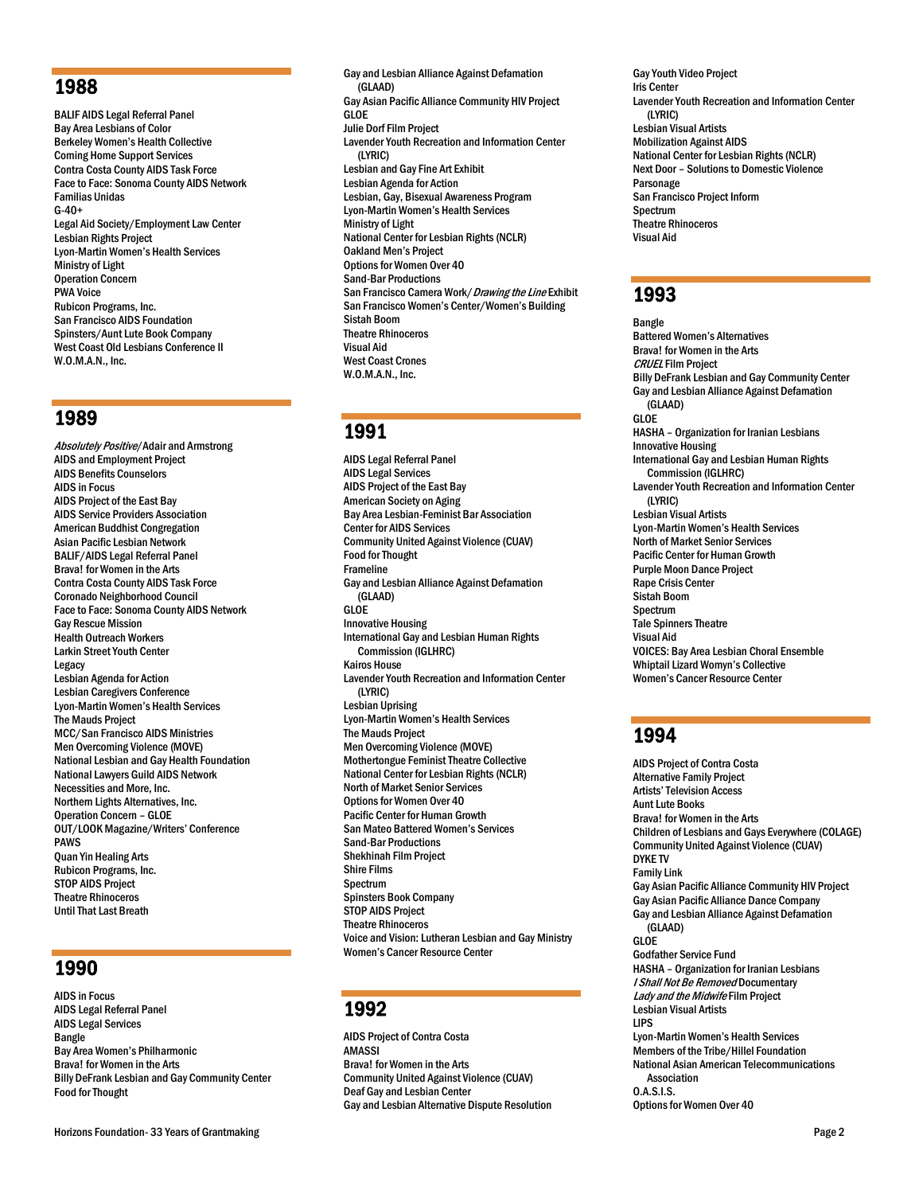# 1988

BALIF AIDS Legal Referral Panel Bay Area Lesbians of Color Berkeley Women's Health Collective Coming Home Support Services Contra Costa County AIDS Task Force Face to Face: Sonoma County AIDS Network Familias Unidas G-40+ Legal Aid Society/Employment Law Center Lesbian Rights Project Lyon-Martin Women's Health Services Ministry of Light Operation Concern PWA Voice Rubicon Programs, Inc. San Francisco AIDS Foundation Spinsters/Aunt Lute Book Company West Coast Old Lesbians Conference II W.O.M.A.N., Inc.

# 1989

Absolutely Positive/Adair and Armstrong AIDS and Employment Project AIDS Benefits Counselors AIDS in Focus AIDS Project of the East Bay AIDS Service Providers Association American Buddhist Congregation Asian Pacific Lesbian Network BALIF/AIDS Legal Referral Panel Brava! for Women in the Arts Contra Costa County AIDS Task Force Coronado Neighborhood Council Face to Face: Sonoma County AIDS Network Gay Rescue Mission Health Outreach Workers Larkin Street Youth Center Legacy Lesbian Agenda for Action Lesbian Caregivers Conference Lyon-Martin Women's Health Services The Mauds Project MCC/San Francisco AIDS Ministries Men Overcoming Violence (MOVE) National Lesbian and Gay Health Foundation National Lawyers Guild AIDS Network Necessities and More, Inc. Northern Lights Alternatives, Inc. Operation Concern – GLOE OUT/LOOK Magazine/Writers' Conference PAWS Quan Yin Healing Arts Rubicon Programs, Inc. STOP AIDS Project Theatre Rhinoceros UntilThat Last Breath

# 1990

AIDS in Focus AIDS Legal Referral Panel AIDS Legal Services Bangle Bay Area Women's Philharmonic Brava! for Women in the Arts Billy DeFrank Lesbian and Gay Community Center Food for Thought

Gay and Lesbian Alliance Against Defamation (GLAAD) Gay Asian Pacific Alliance Community HIV Project GLOE Julie Dorf Film Project Lavender Youth Recreation and Information Center (LYRIC) Lesbian and Gay Fine Art Exhibit Lesbian Agenda for Action Lesbian, Gay, Bisexual Awareness Program Lyon-Martin Women's Health Services Ministry of Light National Center for Lesbian Rights (NCLR) Oakland Men's Project Options for Women Over 40 Sand-Bar Productions San Francisco Camera Work / Drawing the Line Exhibit San Francisco Women's Center/Women's Building Sistah Boom Theatre Rhinoceros Visual Aid West Coast Crones W.O.M.A.N., Inc.

# 1991

AIDS Legal Referral Panel AIDS Legal Services AIDS Project of the East Bay American Society on Aging Bay Area Lesbian-Feminist Bar Association Center for AIDS Services Community United Against Violence (CUAV) Food for Thought Frameline Gay and Lesbian Alliance Against Defamation (GLAAD) GLOE Innovative Housing International Gay and Lesbian Human Rights Commission (IGLHRC) Kairos House Lavender Youth Recreation and Information Center (LYRIC) Lesbian Uprising Lyon-Martin Women's Health Services The Mauds Project Men Overcoming Violence (MOVE) Mothertongue Feminist Theatre Collective National Center for Lesbian Rights (NCLR) North of Market Senior Services Options for Women Over 40 Pacific Center for Human Growth San Mateo Battered Women's Services Sand-Bar Productions Shekhinah Film Project Shire Films Spectrum Spinsters Book Company STOP AIDS Project Theatre Rhinoceros Voice and Vision: Lutheran Lesbian and Gay Ministry Women's Cancer Resource Center

# 1992

AIDS Project of Contra Costa AMASSI Brava! for Women in the Arts Community United Against Violence (CUAV) Deaf Gay and Lesbian Center Gay and Lesbian Alternative Dispute Resolution

Gay Youth Video Project Iris Center Lavender Youth Recreation and Information Center (LYRIC) Lesbian Visual Artists Mobilization Against AIDS National Center for Lesbian Rights (NCLR) Next Door – Solutions to Domestic Violence Parsonage San Francisco Project Inform Spectrum Theatre Rhinoceros Visual Aid

# 1993

Bangle Battered Women's Alternatives Brava! for Women in the Arts CRUEL Film Project Billy DeFrank Lesbian and Gay Community Center Gay and Lesbian Alliance Against Defamation (GLAAD) GLOE HASHA – Organization for Iranian Lesbians Innovative Housing International Gay and Lesbian Human Rights Commission (IGLHRC) Lavender Youth Recreation and Information Center (LYRIC) Lesbian Visual Artists Lyon-Martin Women's Health Services North of Market Senior Services Pacific Center for Human Growth Purple Moon Dance Project Rape Crisis Center Sistah Boom **Spectrum** Tale Spinners Theatre Visual Aid VOICES: Bay Area Lesbian Choral Ensemble Whiptail Lizard Womyn's Collective Women's Cancer Resource Center

# 1994

AIDS Project of Contra Costa Alternative Family Project Artists' Television Access Aunt Lute Books Brava! for Women in the Arts Children of Lesbians and Gays Everywhere (COLAGE) Community United Against Violence (CUAV) DYKE TV Family Link Gay Asian Pacific Alliance Community HIV Project Gay Asian Pacific Alliance Dance Company Gay and Lesbian Alliance Against Defamation (GLAAD) GLOE Godfather Service Fund HASHA – Organization for Iranian Lesbians I Shall Not Be Removed Documentary Lady and the Midwife Film Project Lesbian Visual Artists LIPS Lyon-Martin Women's Health Services Members of the Tribe/Hillel Foundation National Asian American Telecommunications Association O.A.S.I.S. Options for Women Over 40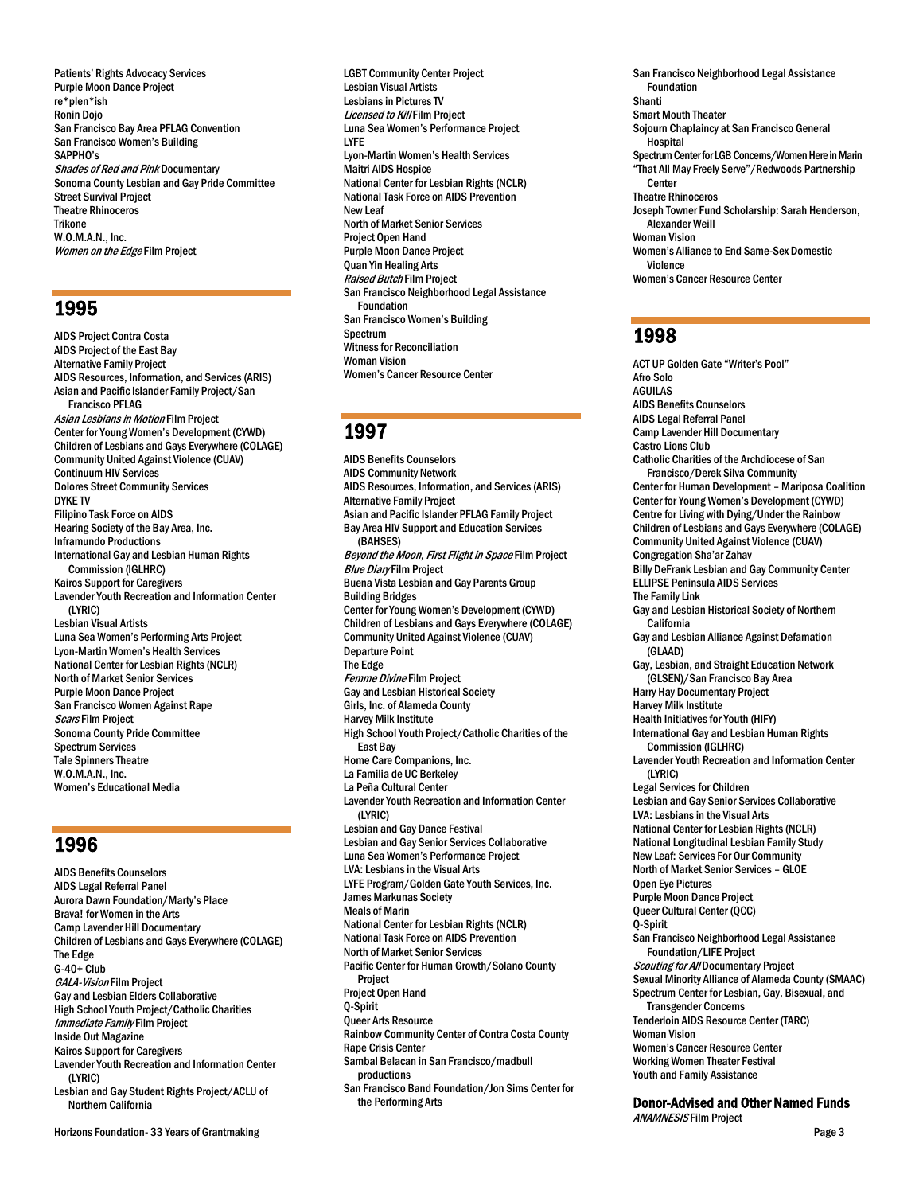Patients' Rights Advocacy Services Purple Moon Dance Project re\*plen\*ish Ronin Dojo San Francisco Bay Area PFLAG Convention San Francisco Women's Building SAPPHO's Shades of Red and Pink Documentary Sonoma County Lesbian and Gay Pride Committee Street Survival Project Theatre Rhinoceros Trikone W.O.M.A.N., Inc. Women on the Edge Film Project

# 1995

AIDS Project Contra Costa AIDS Project of the East Bay Alternative Family Project AIDS Resources, Information, and Services (ARIS) Asian and Pacific Islander Family Project/San Francisco PFLAG Asian Lesbians in Motion Film Project Center for Young Women's Development (CYWD) Children of Lesbians and Gays Everywhere (COLAGE) Community United Against Violence (CUAV) Continuum HIV Services Dolores Street Community Services DYKE TV Filipino Task Force on AIDS Hearing Society of the Bay Area, Inc. Inframundo Productions International Gay and Lesbian Human Rights Commission (IGLHRC) Kairos Support for Caregivers Lavender Youth Recreation and Information Center (LYRIC) Lesbian Visual Artists Luna Sea Women's Performing Arts Project Lyon-Martin Women's Health Services National Center for Lesbian Rights (NCLR) North of Market Senior Services Purple Moon Dance Project San Francisco Women Against Rape Scars Film Project Sonoma County Pride Committee Spectrum Services Tale Spinners Theatre W.O.M.A.N., Inc. Women's Educational Media

# 1996

AIDS Benefits Counselors AIDS Legal Referral Panel Aurora Dawn Foundation/Marty's Place Brava! for Women in the Arts Camp Lavender Hill Documentary Children of Lesbians and Gays Everywhere (COLAGE) The Edge  $G-40+$  Club GALA-Vision Film Project Gay and Lesbian Elders Collaborative High School Youth Project/Catholic Charities Immediate Family Film Project Inside Out Magazine Kairos Support for Caregivers Lavender Youth Recreation and Information Center (LYRIC) Lesbian and Gay Student Rights Project/ACLU of Northern California

Horizons Foundation- 33 Years of Grantmaking Page 3

LGBT Community Center Project Lesbian Visual Artists Lesbians in Pictures TV Licensed to Kill Film Project Luna Sea Women's Performance Project LYFE Lyon-Martin Women's Health Services Maitri AIDS Hospice National Center for Lesbian Rights (NCLR) National Task Force on AIDS Prevention New Leaf North of Market Senior Services Project Open Hand Purple Moon Dance Project Quan Yin Healing Arts Raised Butch Film Project San Francisco Neighborhood Legal Assistance Foundation San Francisco Women's Building Spectrum Witness for Reconciliation Woman Vision Women's Cancer Resource Center

# 1997

AIDS Benefits Counselors AIDS Community Network AIDS Resources, Information, and Services (ARIS) Alternative Family Project Asian and Pacific Islander PFLAG Family Project Bay Area HIV Support and Education Services (BAHSES) Beyond the Moon, First Flight in Space Film Project **Blue Diary Film Project** Buena Vista Lesbian and Gay Parents Group Building Bridges Center for Young Women's Development (CYWD) Children of Lesbians and Gays Everywhere (COLAGE) Community United Against Violence (CUAV) Departure Point The Edge Femme Divine Film Project Gay and Lesbian Historical Society Girls, Inc. of Alameda County Harvey Milk Institute High School Youth Project/Catholic Charities of the East Bay Home Care Companions, Inc. La Familia de UC Berkeley La Peña Cultural Center Lavender Youth Recreation and Information Center (LYRIC) Lesbian and Gay Dance Festival Lesbian and Gay Senior Services Collaborative Luna Sea Women's Performance Project LVA: Lesbians in the Visual Arts LYFE Program/Golden Gate Youth Services, Inc. James Markunas Society Meals of Marin National Center for Lesbian Rights(NCLR) National Task Force on AIDS Prevention North of Market Senior Services Pacific Center for Human Growth/Solano County Project Project Open Hand Q-Spirit Queer Arts Resource Rainbow Community Center of Contra Costa County Rape Crisis Center Sambal Belacan in San Francisco/madbull productions San Francisco Band Foundation/Jon Sims Center for the Performing Arts

San Francisco Neighborhood Legal Assistance Foundation Shanti Smart Mouth Theater Sojourn Chaplaincy at San Francisco General Hospital Spectrum Center for LGB Concerns/Women Here in Marin "That All May Freely Serve"/Redwoods Partnership Center Theatre Rhinoceros Joseph Towner Fund Scholarship: Sarah Henderson, Alexander Weill Woman Vision Women's Alliance to End Same-Sex Domestic Violence Women's Cancer Resource Center

# 1998

ACT UP Golden Gate "Writer's Pool" Afro Solo AGUILAS AIDS Benefits Counselors AIDS Legal Referral Panel Camp Lavender Hill Documentary Castro Lions Club Catholic Charities of the Archdiocese of San Francisco/Derek Silva Community Center for Human Development – Mariposa Coalition Center for Young Women's Development (CYWD) Centre for Living with Dying/Under the Rainbow Children of Lesbians and Gays Everywhere (COLAGE) Community United Against Violence (CUAV) Congregation Sha'ar Zahav Billy DeFrank Lesbian and Gay Community Center ELLIPSE Peninsula AIDS Services The Family Link Gay and Lesbian Historical Society of Northern .<br>California Gay and Lesbian Alliance Against Defamation (GLAAD) Gay, Lesbian, and Straight Education Network (GLSEN)/San Francisco Bay Area Harry Hay Documentary Project Harvey Milk Institute Health Initiatives for Youth (HIFY) International Gay and Lesbian Human Rights Commission (IGLHRC) Lavender Youth Recreation and Information Center (LYRIC) Legal Services for Children Lesbian and Gay Senior Services Collaborative LVA: Lesbians in the Visual Arts National Center for Lesbian Rights(NCLR) National Longitudinal Lesbian Family Study New Leaf: Services For Our Community North of Market Senior Services – GLOE Open Eye Pictures Purple Moon Dance Project Queer Cultural Center (QCC) Q-Spirit San Francisco Neighborhood Legal Assistance Foundation/LIFE Project Scouting for All Documentary Project Sexual Minority Alliance of Alameda County (SMAAC) Spectrum Center for Lesbian, Gay, Bisexual, and Transgender Concerns Tenderloin AIDS Resource Center (TARC) Woman Vision Women's Cancer Resource Center Working Women Theater Festival Youth and Family Assistance

# Donor-Advised and Other Named Funds

ANAMNESIS Film Project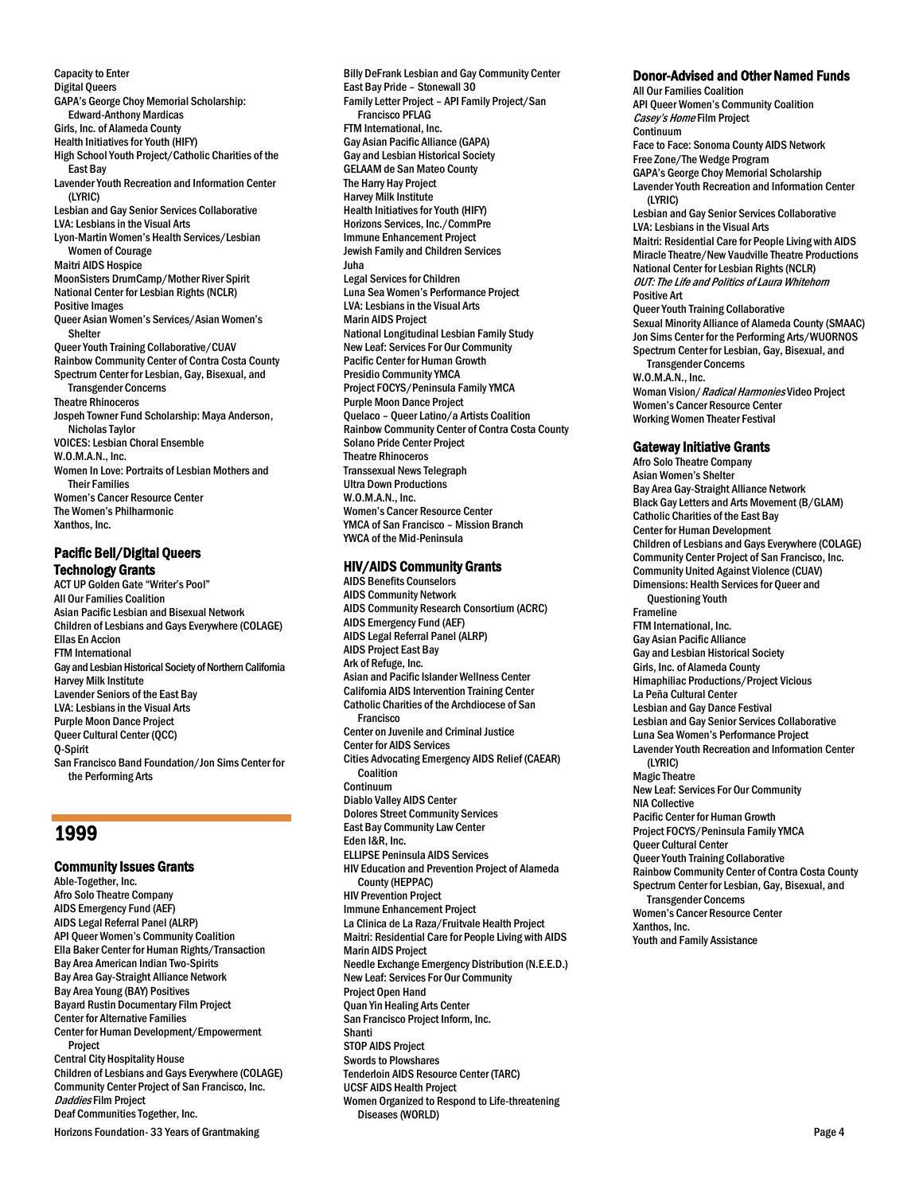Capacity to Enter Digital Queers GAPA's George Choy Memorial Scholarship: Edward-Anthony Mardicas Girls, Inc. of Alameda County Health Initiatives for Youth (HIFY) High School Youth Project/Catholic Charities of the East Bay Lavender Youth Recreation and Information Center (LYRIC) Lesbian and Gay Senior Services Collaborative LVA: Lesbians in the Visual Arts Lyon-Martin Women's Health Services/Lesbian Women of Courage Maitri AIDS Hospice MoonSisters DrumCamp/Mother River Spirit National Center for Lesbian Rights(NCLR) Positive Images Queer Asian Women's Services/Asian Women's Shelter Queer Youth Training Collaborative/CUAV Rainbow Community Center of Contra Costa County Spectrum Center for Lesbian, Gay, Bisexual, and Transgender Concerns Theatre Rhinoceros Jospeh Towner Fund Scholarship: Maya Anderson, Nicholas Taylor VOICES: Lesbian Choral Ensemble W.O.M.A.N., Inc. Women In Love: Portraits of Lesbian Mothers and Their Families Women's Cancer Resource Center The Women's Philharmonic Xanthos, Inc.

# Pacific Bell/Digital Queers Technology Grants

ACT UP Golden Gate "Writer's Pool" All Our Families Coalition Asian Pacific Lesbian and Bisexual Network Children of Lesbians and Gays Everywhere (COLAGE) Ellas En Accion FTM International Gay and Lesbian Historical Society of Northern California Harvey Milk Institute Lavender Seniors of the East Bay LVA: Lesbians in the Visual Arts Purple Moon Dance Project Queer Cultural Center (QCC) Q-Spirit San Francisco Band Foundation/Jon Sims Center for the Performing Arts

# 1999

Horizons Foundation- 33 Years of Grantmaking Page 4 Community Issues Grants Able-Together, Inc. Afro Solo Theatre Company AIDS Emergency Fund (AEF) AIDS Legal Referral Panel (ALRP) API Queer Women's Community Coalition Ella Baker Center for Human Rights/Transaction Bay Area American Indian Two-Spirits Bay Area Gay-Straight Alliance Network Bay Area Young (BAY) Positives Bayard Rustin Documentary Film Project Center for Alternative Families Center for Human Development/Empowerment Project Central City Hospitality House Children of Lesbians and Gays Everywhere (COLAGE) Community Center Project of San Francisco, Inc. Daddies Film Project Deaf Communities Together, Inc.

Billy DeFrank Lesbian and Gay Community Center East Bay Pride – Stonewall 30 Family Letter Project – API Family Project/San Francisco PFLAG FTM International, Inc. Gay Asian Pacific Alliance (GAPA) Gay and Lesbian Historical Society GELAAM de San Mateo County The Harry Hay Project Harvey Milk Institute Health Initiatives for Youth (HIFY) Horizons Services, Inc./CommPre Immune Enhancement Project Jewish Family and Children Services Juha Legal Services for Children Luna Sea Women's Performance Project LVA: Lesbians in the Visual Arts Marin AIDS Project National Longitudinal Lesbian Family Study New Leaf: Services For Our Community Pacific Center for Human Growth Presidio Community YMCA Project FOCYS/Peninsula Family YMCA Purple Moon Dance Project Quelaco – Queer Latino/a Artists Coalition Rainbow Community Center of Contra Costa County Solano Pride Center Project Theatre Rhinoceros Transsexual News Telegraph Ultra Down Productions W.O.M.A.N., Inc. Women's Cancer Resource Center YMCA of San Francisco – Mission Branch YWCA of the Mid-Peninsula

# HIV/AIDS Community Grants

AIDS Benefits Counselors AIDS Community Network AIDS Community Research Consortium (ACRC) AIDS Emergency Fund (AEF) AIDS Legal Referral Panel (ALRP) AIDS Project East Bay Ark of Refuge, Inc. Asian and Pacific Islander Wellness Center California AIDS Intervention Training Center Catholic Charities of the Archdiocese of San **Francisco** Center on Juvenile and Criminal Justice Center for AIDS Services Cities Advocating Emergency AIDS Relief (CAEAR) Coalition Continuum Diablo Valley AIDS Center Dolores Street Community Services East Bay Community Law Center Eden I&R, Inc. ELLIPSE Peninsula AIDS Services HIV Education and Prevention Project of Alameda County (HEPPAC) HIV Prevention Project Immune Enhancement Project La Clinica de La Raza/Fruitvale Health Project Maitri: Residential Care for People Living with AIDS Marin AIDS Project Needle Exchange Emergency Distribution (N.E.E.D.) New Leaf: Services For Our Community Project Open Hand Quan Yin Healing Arts Center San Francisco Project Inform, Inc. Shanti STOP AIDS Project Swords to Plowshares Tenderloin AIDS Resource Center (TARC) UCSF AIDS Health Project Women Organized to Respond to Life-threatening Diseases (WORLD)

# Donor-Advised and Other Named Funds

All Our Families Coalition API Queer Women's Community Coalition Casey's Home Film Project Continuum Face to Face: Sonoma County AIDS Network Free Zone/The Wedge Program GAPA's George Choy Memorial Scholarship Lavender Youth Recreation and Information Center (LYRIC) Lesbian and Gay Senior Services Collaborative LVA: Lesbians in the Visual Arts Maitri: Residential Care for People Living with AIDS Miracle Theatre/New Vaudville Theatre Productions National Center for Lesbian Rights (NCLR) OUT: The Life and Politics of Laura Whitehorn Positive Art Queer Youth Training Collaborative Sexual Minority Alliance of Alameda County (SMAAC) Jon Sims Center for the Performing Arts/WUORNOS Spectrum Center for Lesbian, Gay, Bisexual, and Transgender Concerns W.O.M.A.N., Inc. Woman Vision/ Radical Harmonies Video Project Women's Cancer Resource Center Working Women Theater Festival Gateway Initiative Grants Afro Solo Theatre Company Asian Women's Shelter Bay Area Gay-Straight Alliance Network Black Gay Letters and Arts Movement (B/GLAM)

Catholic Charities of the East Bay Center for Human Development Children of Lesbians and Gays Everywhere (COLAGE) Community Center Project of San Francisco, Inc. Community United Against Violence (CUAV) Dimensions: Health Services for Queer and Questioning Youth Frameline FTM International, Inc. Gay Asian Pacific Alliance Gay and Lesbian Historical Society Girls, Inc. of Alameda County Himaphiliac Productions/Project Vicious La Peña Cultural Center Lesbian and Gay Dance Festival Lesbian and Gay Senior Services Collaborative Luna Sea Women's Performance Project Lavender Youth Recreation and Information Center (LYRIC) Magic Theatre New Leaf: Services For Our Community NIA Collective Pacific Center for Human Growth Project FOCYS/Peninsula Family YMCA Queer Cultural Center Queer Youth Training Collaborative Rainbow Community Center of Contra Costa County Spectrum Center for Lesbian, Gay, Bisexual, and Transgender Concerns Women's Cancer Resource Center Xanthos, Inc. Youth and Family Assistance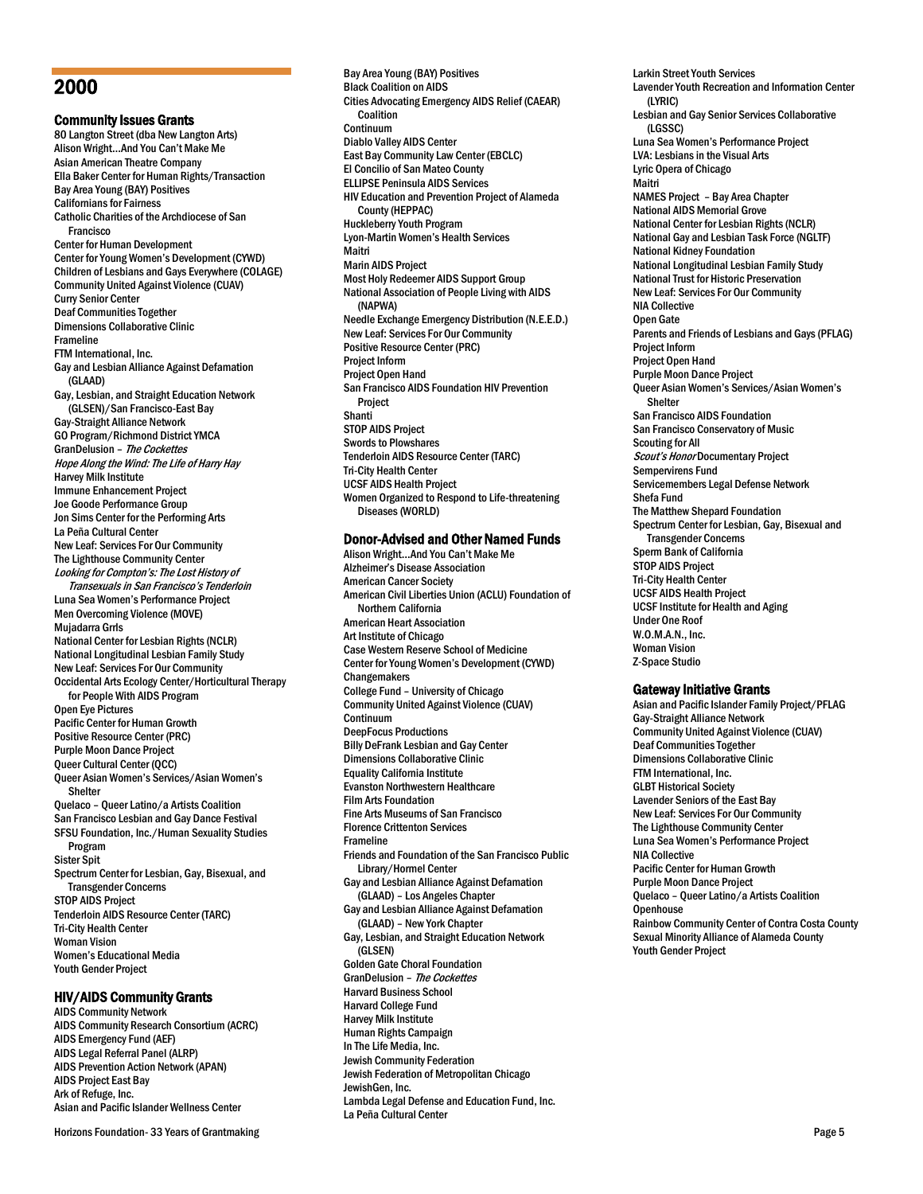# 2000

Community Issues Grants 80 Langton Street (dba New Langton Arts) Alison Wright…And You Can't Make Me Asian American Theatre Company Ella Baker Center for Human Rights/Transaction Bay Area Young (BAY) Positives Californians for Fairness Catholic Charities of the Archdiocese of San Francisco Center for Human Development Center for Young Women's Development (CYWD) Children of Lesbians and Gays Everywhere (COLAGE) Community United Against Violence (CUAV) Curry Senior Center Deaf Communities Together Dimensions Collaborative Clinic Frameline FTM International, Inc. Gay and Lesbian Alliance Against Defamation (GLAAD) Gay, Lesbian, and Straight Education Network (GLSEN)/San Francisco-East Bay Gay-Straight Alliance Network GO Program/Richmond District YMCA GranDelusion - The Cockettes Hope Along the Wind: The Life of Harry Hay Harvey Milk Institute Immune Enhancement Project Joe Goode Performance Group Jon Sims Center for the Performing Arts La Peña Cultural Center New Leaf: Services For Our Community The Lighthouse Community Center Looking for Compton's: The Lost History of Transexuals in San Francisco's Tenderloin Luna Sea Women's Performance Project Men Overcoming Violence (MOVE) Mujadarra Grrls National Center for Lesbian Rights (NCLR) National Longitudinal Lesbian Family Study New Leaf: Services For Our Community Occidental Arts Ecology Center/Horticultural Therapy for People With AIDS Program Open Eye Pictures Pacific Center for Human Growth Positive Resource Center (PRC) Purple Moon Dance Project Queer Cultural Center (QCC) Queer Asian Women's Services/Asian Women's Shelter Quelaco – Queer Latino/a Artists Coalition San Francisco Lesbian and Gay Dance Festival SFSU Foundation, Inc./Human Sexuality Studies Program Sister Spit Spectrum Center for Lesbian, Gay, Bisexual, and Transgender Concerns STOP AIDS Project Tenderloin AIDS Resource Center (TARC) Tri-City Health Center Woman Vision Women's Educational Media Youth Gender Project

# HIV/AIDS Community Grants

AIDS Community Network AIDS Community Research Consortium (ACRC) AIDS Emergency Fund (AEF) AIDS Legal Referral Panel (ALRP) AIDS Prevention Action Network (APAN) AIDS Project East Bay Ark of Refuge, Inc. Asian and Pacific Islander Wellness Center

Horizons Foundation- 33 Years of Grantmaking Page 5

Bay Area Young (BAY) Positives Black Coalition on AIDS Cities Advocating Emergency AIDS Relief (CAEAR) Coalition Continuum Diablo Valley AIDS Center East Bay Community Law Center (EBCLC) El Concilio of San Mateo County ELLIPSE Peninsula AIDS Services HIV Education and Prevention Project of Alameda County (HEPPAC) Huckleberry Youth Program Lyon-Martin Women's Health Services Maitri Marin AIDS Project Most Holy Redeemer AIDS Support Group National Association of People Living with AIDS (NAPWA) Needle Exchange Emergency Distribution (N.E.E.D.) New Leaf: Services For Our Community Positive Resource Center (PRC) Project Inform Project Open Hand San Francisco AIDS Foundation HIV Prevention Project **Shanti** STOP AIDS Project Swords to Plowshares Tenderloin AIDS Resource Center (TARC) Tri-City Health Center UCSF AIDS Health Project Women Organized to Respond to Life-threatening Diseases(WORLD)

# Donor-Advised and Other Named Funds

Alison Wright…And You Can't Make Me Alzheimer's Disease Association American Cancer Society American Civil Liberties Union (ACLU) Foundation of Northern California American Heart Association Art Institute of Chicago Case Western Reserve School of Medicine Center for Young Women's Development (CYWD) **Changemakers** College Fund – University of Chicago Community United Against Violence (CUAV) Continuum DeepFocus Productions Billy DeFrank Lesbian and Gay Center Dimensions Collaborative Clinic Equality California Institute Evanston Northwestern Healthcare Film Arts Foundation Fine Arts Museums of San Francisco Florence Crittenton Services Frameline Friends and Foundation of the San Francisco Public Library/Hormel Center Gay and Lesbian Alliance Against Defamation (GLAAD) – Los Angeles Chapter Gay and Lesbian Alliance Against Defamation (GLAAD) – New York Chapter Gay, Lesbian, and Straight Education Network (GLSEN) Golden Gate Choral Foundation GranDelusion - The Cockettes Harvard Business School Harvard College Fund Harvey Milk Institute Human Rights Campaign In The Life Media, Inc. Jewish Community Federation Jewish Federation of Metropolitan Chicago JewishGen, Inc. Lambda Legal Defense and Education Fund, Inc. La Peña Cultural Center

Larkin Street Youth Services Lavender Youth Recreation and Information Center (LYRIC) Lesbian and Gay Senior Services Collaborative (LGSSC) Luna Sea Women's Performance Project LVA: Lesbians in the Visual Arts Lyric Opera of Chicago Maitri NAMES Project – Bay Area Chapter National AIDS Memorial Grove National Center for Lesbian Rights (NCLR) National Gay and Lesbian Task Force (NGLTF) National Kidney Foundation National Longitudinal Lesbian Family Study National Trust for Historic Preservation New Leaf: Services For Our Community NIA Collective Open Gate Parents and Friends of Lesbians and Gays (PFLAG) Project Inform Project Open Hand Purple Moon Dance Project Queer Asian Women's Services/Asian Women's Shelter San Francisco AIDS Foundation San Francisco Conservatory of Music Scouting for All Scout's Honor Documentary Project Sempervirens Fund Servicemembers Legal Defense Network Shefa Fund The Matthew Shepard Foundation Spectrum Center for Lesbian, Gay, Bisexual and Transgender Concerns Sperm Bank of California STOP AIDS Project Tri-City Health Center UCSF AIDS Health Project UCSF Institute for Health and Aging Under One Roof W.O.M.A.N., Inc. Woman Vision Z-Space Studio

### Gateway Initiative Grants

Asian and Pacific Islander Family Project/PFLAG Gay-Straight Alliance Network Community United Against Violence (CUAV) Deaf Communities Together Dimensions Collaborative Clinic FTM International, Inc. GLBT Historical Society Lavender Seniors of the East Bay New Leaf: Services For Our Community The Lighthouse Community Center Luna Sea Women's Performance Project NIA Collective Pacific Center for Human Growth Purple Moon Dance Project Quelaco – Queer Latino/a Artists Coalition **Openhouse** Rainbow Community Center of Contra Costa County Sexual Minority Alliance of Alameda County Youth Gender Project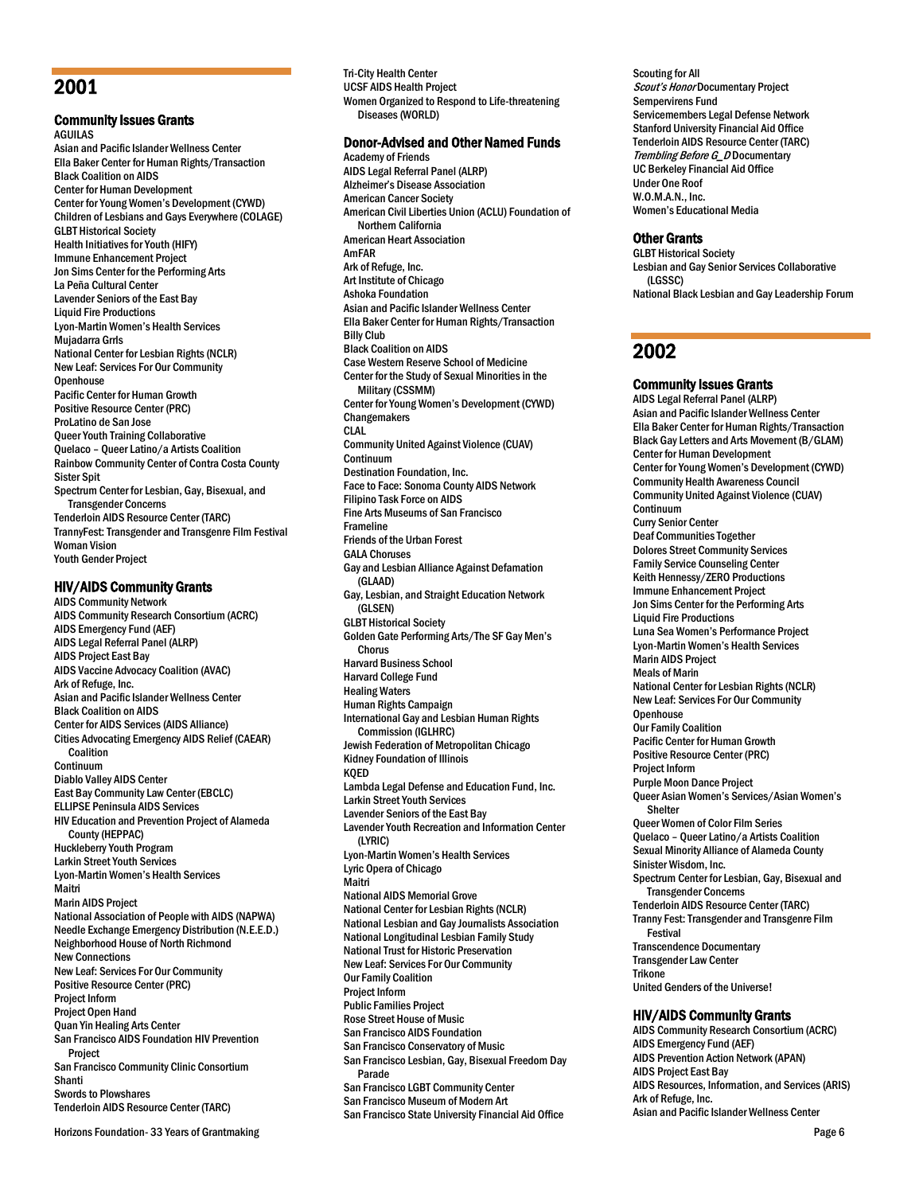# 2001

# Community Issues Grants

AGUILAS Asian and Pacific Islander Wellness Center Ella Baker Center for Human Rights/Transaction Black Coalition on AIDS Center for Human Development Center for Young Women's Development (CYWD) Children of Lesbians and Gays Everywhere (COLAGE) GLBT Historical Society Health Initiatives for Youth (HIFY) Immune Enhancement Project Jon Sims Center for the Performing Arts La Peña Cultural Center Lavender Seniors of the East Bay Liquid Fire Productions Lyon-Martin Women's Health Services Mujadarra Grrls National Center for Lesbian Rights (NCLR) New Leaf: Services For Our Community **Openhouse** Pacific Center for Human Growth Positive Resource Center (PRC) ProLatino de San Jose Queer Youth Training Collaborative Quelaco – Queer Latino/a Artists Coalition Rainbow Community Center of Contra Costa County Sister Spit Spectrum Center for Lesbian, Gay, Bisexual, and Transgender Concerns Tenderloin AIDS Resource Center (TARC) TrannyFest: Transgender and Transgenre Film Festival Woman Vision Youth Gender Project

# HIV/AIDS Community Grants

AIDS Community Network AIDS Community Research Consortium (ACRC) AIDS Emergency Fund (AEF) AIDS Legal Referral Panel (ALRP) AIDS Project East Bay AIDS Vaccine Advocacy Coalition (AVAC) Ark of Refuge, Inc. Asian and Pacific Islander Wellness Center Black Coalition on AIDS Center for AIDS Services (AIDS Alliance) Cities Advocating Emergency AIDS Relief (CAEAR) Coalition Continuum Diablo Valley AIDS Center East Bay Community Law Center (EBCLC) ELLIPSE Peninsula AIDS Services HIV Education and Prevention Project of Alameda County (HEPPAC) Huckleberry Youth Program Larkin Street Youth Services Lyon-Martin Women's Health Services Maitri Marin AIDS Project National Association of People with AIDS (NAPWA) Needle Exchange Emergency Distribution (N.E.E.D.) Neighborhood House of North Richmond New Connections New Leaf: Services For Our Community Positive Resource Center (PRC) Project Inform Project Open Hand Quan Yin Healing Arts Center San Francisco AIDS Foundation HIV Prevention Project San Francisco Community Clinic Consortium Shanti Swords to Plowshares Tenderloin AIDS Resource Center (TARC)

Tri-City Health Center UCSF AIDS Health Project Women Organized to Respond to Life-threatening Diseases (WORLD) Donor-Advised and Other Named Funds Academy of Friends AIDS Legal Referral Panel (ALRP)

Alzheimer's Disease Association American Cancer Society American Civil Liberties Union (ACLU) Foundation of Northern California American Heart Association AmFAR Ark of Refuge, Inc. Art Institute of Chicago Ashoka Foundation Asian and Pacific Islander Wellness Center Ella Baker Center for Human Rights/Transaction Billy Club Black Coalition on AIDS Case Western Reserve School of Medicine Center for the Study of Sexual Minorities in the Military (CSSMM) Center for Young Women's Development (CYWD) Changemakers CLAL Community United Against Violence (CUAV) Continuum Destination Foundation, Inc. Face to Face: Sonoma County AIDS Network Filipino Task Force on AIDS Fine Arts Museums of San Francisco Frameline Friends of the Urban Forest GALA Choruses Gay and Lesbian Alliance Against Defamation (GLAAD) Gay, Lesbian, and Straight Education Network (GLSEN) GLBT Historical Society Golden Gate Performing Arts/The SF Gay Men's Chorus Harvard Business School Harvard College Fund Healing Waters Human Rights Campaign International Gay and Lesbian Human Rights Commission (IGLHRC) Jewish Federation of Metropolitan Chicago Kidney Foundation of Illinois KQED Lambda Legal Defense and Education Fund, Inc. Larkin Street Youth Services Lavender Seniors of the East Bay Lavender Youth Recreation and Information Center (LYRIC) Lyon-Martin Women's Health Services Lyric Opera of Chicago Maitri National AIDS Memorial Grove National Center for Lesbian Rights (NCLR) National Lesbian and Gay Journalists Association National Longitudinal Lesbian Family Study National Trust for Historic Preservation New Leaf: Services For Our Community Our Family Coalition Project Inform Public Families Project Rose Street House of Music San Francisco AIDS Foundation San Francisco Conservatory of Music San Francisco Lesbian, Gay, Bisexual Freedom Day Parade San Francisco LGBT Community Center San Francisco Museum of Modern Art San Francisco State University Financial Aid Office

Scouting for All Scout's Honor Documentary Project Sempervirens Fund Servicemembers Legal Defense Network Stanford University Financial Aid Office Tenderloin AIDS Resource Center (TARC) Trembling Before G\_D Documentary UC Berkeley Financial Aid Office Under One Roof W.O.M.A.N., Inc. Women's Educational Media

### Other Grants

GLBT Historical Society Lesbian and Gay Senior Services Collaborative (LGSSC) National Black Lesbian and Gay Leadership Forum

# 2002

### Community Issues Grants

AIDS Legal Referral Panel (ALRP) Asian and Pacific Islander Wellness Center Ella Baker Center for Human Rights/Transaction Black Gay Letters and Arts Movement (B/GLAM) Center for Human Development Center for Young Women's Development (CYWD) Community Health Awareness Council Community United Against Violence (CUAV) Continuum Curry Senior Center Deaf Communities Together Dolores Street Community Services Family Service Counseling Center Keith Hennessy/ZERO Productions Immune Enhancement Project Jon Sims Center for the Performing Arts Liquid Fire Productions Luna Sea Women's Performance Project Lyon-Martin Women's Health Services Marin AIDS Project Meals of Marin National Center for Lesbian Rights (NCLR) New Leaf: Services For Our Community **Openhouse** Our Family Coalition Pacific Center for Human Growth Positive Resource Center (PRC) Project Inform Purple Moon Dance Project Queer Asian Women's Services/Asian Women's Shelter Queer Women of Color Film Series Quelaco – Queer Latino/a Artists Coalition Sexual Minority Alliance of Alameda County Sinister Wisdom, Inc. Spectrum Center for Lesbian, Gay, Bisexual and Transgender Concerns Tenderloin AIDS Resource Center (TARC) Tranny Fest: Transgender and Transgenre Film Festival Transcendence Documentary Transgender Law Center **Trikone** United Genders of the Universe!

# HIV/AIDS Community Grants

AIDS Community Research Consortium (ACRC) AIDS Emergency Fund (AEF) AIDS Prevention Action Network (APAN) AIDS Project East Bay AIDS Resources, Information, and Services (ARIS) Ark of Refuge, Inc. Asian and Pacific Islander Wellness Center

Horizons Foundation- 33 Years of Grantmaking Page 6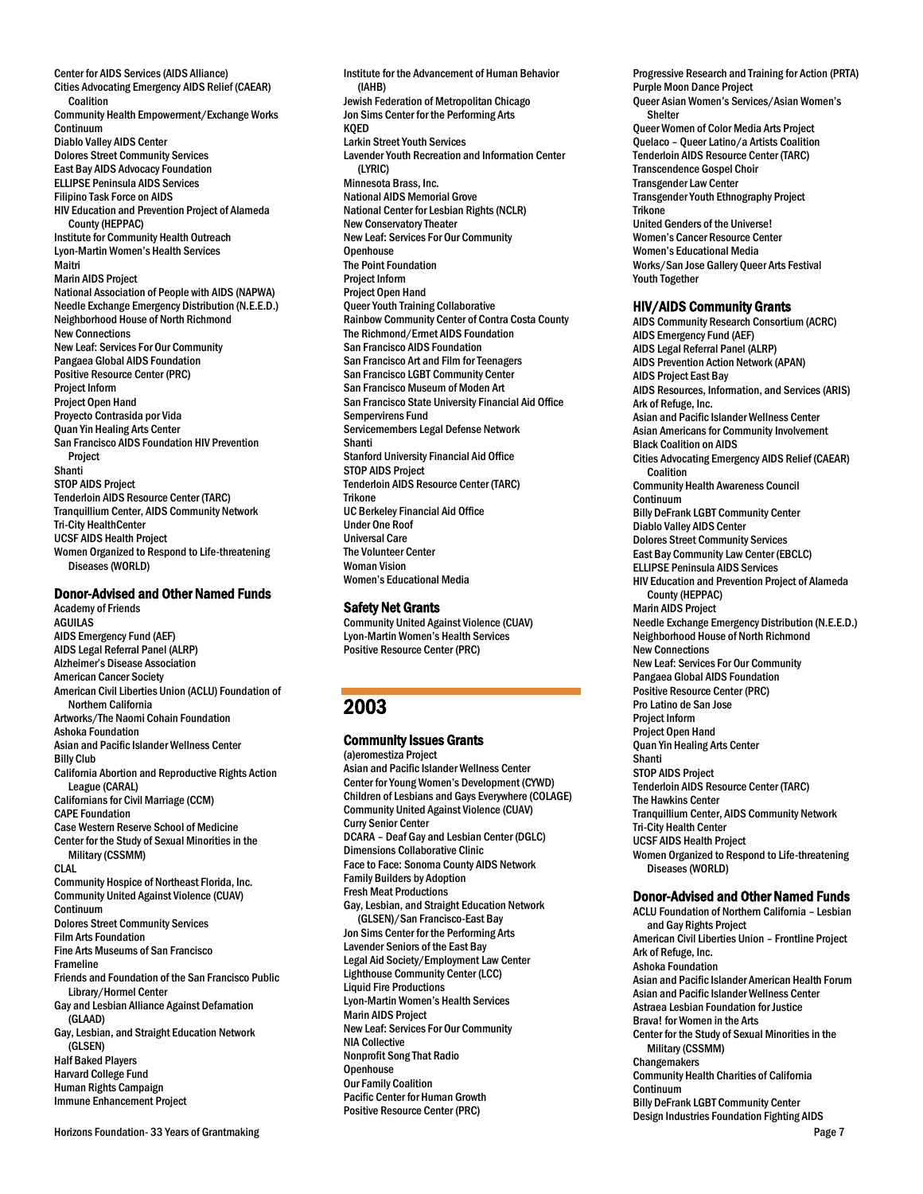Center for AIDS Services (AIDS Alliance) Cities Advocating Emergency AIDS Relief (CAEAR) Coalition Community Health Empowerment/Exchange Works Continuum Diablo Valley AIDS Center Dolores Street Community Services East Bay AIDS Advocacy Foundation ELLIPSE Peninsula AIDS Services Filipino Task Force on AIDS HIV Education and Prevention Project of Alameda County (HEPPAC) Institute for Community Health Outreach Lyon-Martin Women's Health Services Maitri Marin AIDS Project National Association of People with AIDS (NAPWA) Needle Exchange Emergency Distribution (N.E.E.D.) Neighborhood House of North Richmond New Connections New Leaf: Services For Our Community Pangaea Global AIDS Foundation Positive Resource Center (PRC) Project Inform Project Open Hand Proyecto Contrasida por Vida Quan Yin Healing Arts Center San Francisco AIDS Foundation HIV Prevention Project Shanti STOP AIDS Project Tenderloin AIDS Resource Center (TARC) Tranquillium Center, AIDS Community Network Tri-City HealthCenter UCSF AIDS Health Project Women Organized to Respond to Life-threatening Diseases (WORLD)

#### Donor-Advised and Other Named Funds

Academy of Friends **AGUILAS** AIDS Emergency Fund (AEF) AIDS Legal Referral Panel (ALRP) Alzheimer's Disease Association American Cancer Society American Civil Liberties Union (ACLU) Foundation of Northern California Artworks/The Naomi Cohain Foundation Ashoka Foundation Asian and Pacific Islander Wellness Center Billy Club California Abortion and Reproductive Rights Action League (CARAL) Californians for Civil Marriage (CCM) CAPE Foundation Case Western Reserve School of Medicine Center for the Study of Sexual Minorities in the Military (CSSMM) CLAL Community Hospice of Northeast Florida, Inc. Community United Against Violence (CUAV) Continuum Dolores Street Community Services Film Arts Foundation Fine Arts Museums of San Francisco Frameline Friends and Foundation of the San Francisco Public Library/Hormel Center Gay and Lesbian Alliance Against Defamation (GLAAD) Gay, Lesbian, and Straight Education Network (GLSEN) Half Baked Players Harvard College Fund Human Rights Campaign Immune Enhancement Project

Institute for the Advancement of Human Behavior (IAHB) Jewish Federation of Metropolitan Chicago Jon Sims Center for the Performing Arts KQED Larkin Street Youth Services Lavender Youth Recreation and Information Center (LYRIC) Minnesota Brass, Inc. National AIDS Memorial Grove National Center for Lesbian Rights (NCLR) New Conservatory Theater New Leaf: Services For Our Community **Openhouse** The Point Foundation Project Inform Project Open Hand Queer Youth Training Collaborative Rainbow Community Center of Contra Costa County The Richmond/Ermet AIDS Foundation San Francisco AIDS Foundation San Francisco Art and Film for Teenagers San Francisco LGBT Community Center San Francisco Museum of Moden Art San Francisco State University Financial Aid Office Sempervirens Fund Servicemembers Legal Defense Network Shanti Stanford University Financial Aid Office STOP AIDS Project Tenderloin AIDS Resource Center (TARC) **Trikone** UC Berkeley Financial Aid Office Under One Roof Universal Care The Volunteer Center Woman Vision Women's Educational Media

#### Safety Net Grants

Community United Against Violence (CUAV) Lyon-Martin Women's Health Services Positive Resource Center (PRC)

# 2003

# Community Issues Grants

(a)eromestiza Project Asian and Pacific Islander Wellness Center Center for Young Women's Development (CYWD) Children of Lesbians and Gays Everywhere (COLAGE) Community United Against Violence (CUAV) Curry Senior Center DCARA – Deaf Gay and Lesbian Center (DGLC) Dimensions Collaborative Clinic Face to Face: Sonoma County AIDS Network Family Builders by Adoption Fresh Meat Productions Gay, Lesbian, and Straight Education Network (GLSEN)/San Francisco-East Bay Jon Sims Center for the Performing Arts Lavender Seniors of the East Bay Legal Aid Society/Employment Law Center Lighthouse Community Center (LCC) Liquid Fire Productions Lyon-Martin Women's Health Services Marin AIDS Project New Leaf: Services For Our Community NIA Collective Nonprofit Song That Radio **Openhouse** Our Family Coalition Pacific Center for Human Growth Positive Resource Center (PRC)

Progressive Research and Training for Action (PRTA) Purple Moon Dance Project Queer Asian Women's Services/Asian Women's Shelter Queer Women of Color Media Arts Project Quelaco – Queer Latino/a Artists Coalition Tenderloin AIDS Resource Center (TARC) Transcendence Gospel Choir Transgender Law Center Transgender Youth Ethnography Project Trikone United Genders of the Universe! Women's Cancer Resource Center Women's Educational Media Works/San Jose Gallery Queer Arts Festival Youth Together

#### HIV/AIDS Community Grants

AIDS Community Research Consortium (ACRC) AIDS Emergency Fund (AEF) AIDS Legal Referral Panel (ALRP) AIDS Prevention Action Network (APAN) AIDS Project East Bay AIDS Resources, Information, and Services (ARIS) Ark of Refuge, Inc. Asian and Pacific Islander Wellness Center Asian Americans for Community Involvement Black Coalition on AIDS Cities Advocating Emergency AIDS Relief (CAEAR) Coalition Community Health Awareness Council Continuum Billy DeFrank LGBT Community Center Diablo Valley AIDS Center Dolores Street Community Services East Bay Community Law Center (EBCLC) ELLIPSE Peninsula AIDS Services HIV Education and Prevention Project of Alameda County (HEPPAC) Marin AIDS Project Needle Exchange Emergency Distribution (N.E.E.D.) Neighborhood House of North Richmond New Connections New Leaf: Services For Our Community Pangaea Global AIDS Foundation Positive Resource Center (PRC) Pro Latino de San Jose Project Inform Project Open Hand Quan Yin Healing Arts Center Shanti STOP AIDS Project Tenderloin AIDS Resource Center (TARC) The Hawkins Center Tranquillium Center, AIDS Community Network Tri-City Health Center UCSF AIDS Health Project Women Organized to Respond to Life-threatening Diseases (WORLD)

# Donor-Advised and Other Named Funds

ACLU Foundation of Northern California – Lesbian and Gay Rights Project American Civil Liberties Union – Frontline Project Ark of Refuge, Inc. Ashoka Foundation Asian and Pacific Islander American Health Forum Asian and Pacific Islander Wellness Center Astraea Lesbian Foundation for Justice Brava! for Women in the Arts Center for the Study of Sexual Minorities in the Military (CSSMM) **Changemakers** Community Health Charities of California Continuum Billy DeFrank LGBT Community Center Design Industries Foundation Fighting AIDS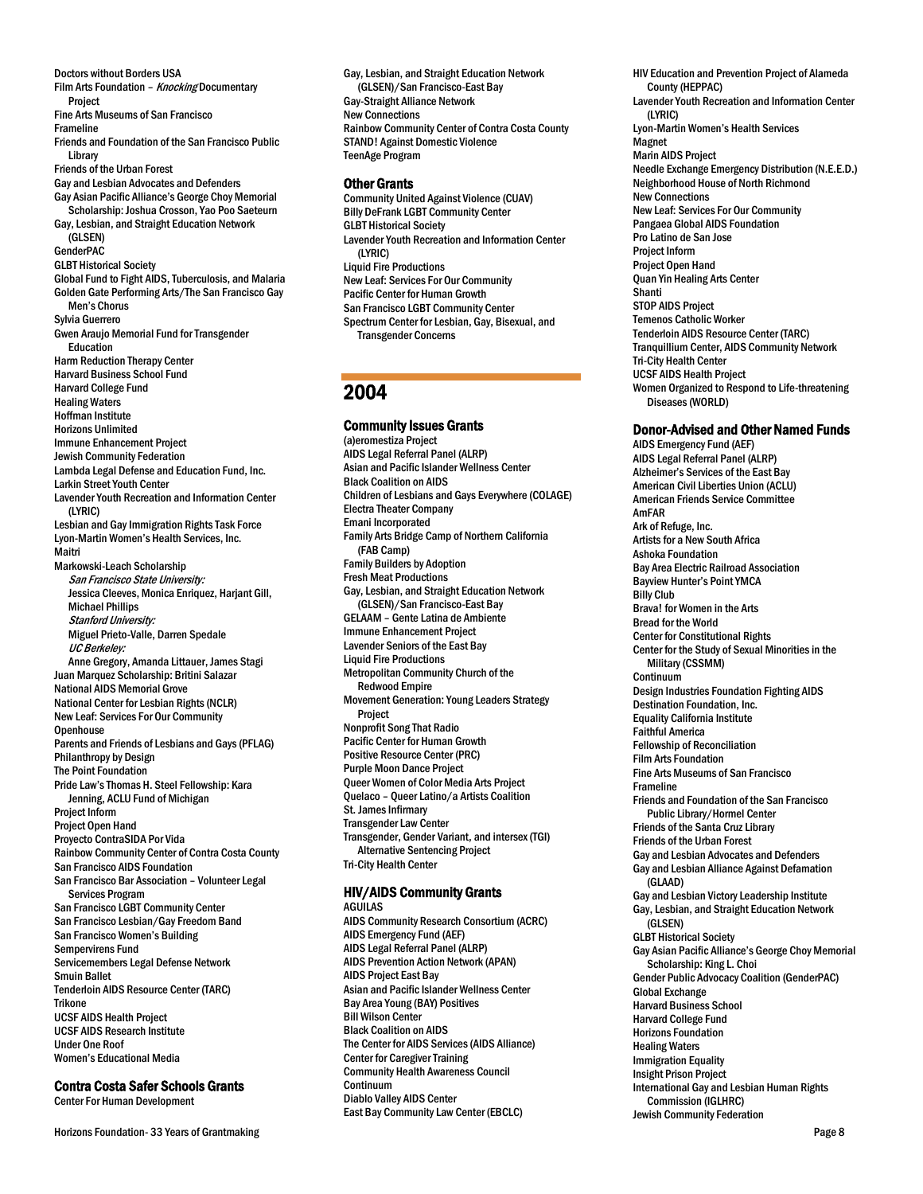Doctors without Borders USA Film Arts Foundation - Knocking Documentary Project Fine Arts Museums of San Francisco Frameline Friends and Foundation of the San Francisco Public Library Friends of the Urban Forest Gay and Lesbian Advocates and Defenders Gay Asian Pacific Alliance's George Choy Memorial Scholarship: Joshua Crosson, Yao Poo Saeteurn Gay, Lesbian, and Straight Education Network (GLSEN) GenderPAC GLBT Historical Society Global Fund to Fight AIDS, Tuberculosis, and Malaria Golden Gate Performing Arts/The San Francisco Gay Men's Chorus Sylvia Guerrero Gwen Araujo Memorial Fund for Transgender Education Harm Reduction Therapy Center Harvard Business School Fund Harvard College Fund Healing Waters Hoffman Institute Horizons Unlimited Immune Enhancement Project Jewish Community Federation Lambda Legal Defense and Education Fund, Inc. Larkin Street Youth Center Lavender Youth Recreation and Information Center (LYRIC) Lesbian and Gay Immigration Rights Task Force Lyon-Martin Women's Health Services, Inc. Maitri Markowski-Leach Scholarship San Francisco State University: Jessica Cleeves, Monica Enriquez, Harjant Gill, Michael Phillips Stanford University: Miguel Prieto-Valle, Darren Spedale UC Berkeley: Anne Gregory, Amanda Littauer, James Stagi Juan Marquez Scholarship: Britini Salazar National AIDS Memorial Grove National Center for Lesbian Rights (NCLR) New Leaf: Services For Our Community **Openhouse** Parents and Friends of Lesbians and Gays (PFLAG) Philanthropy by Design The Point Foundation Pride Law's Thomas H. Steel Fellowship: Kara Jenning, ACLU Fund of Michigan Project Inform Project Open Hand Proyecto ContraSIDA Por Vida Rainbow Community Center of Contra Costa County San Francisco AIDS Foundation San Francisco Bar Association – Volunteer Legal Services Program San Francisco LGBT Community Center San Francisco Lesbian/Gay Freedom Band San Francisco Women's Building Sempervirens Fund Servicemembers Legal Defense Network Smuin Ballet Tenderloin AIDS Resource Center (TARC) Trikone UCSF AIDS Health Project UCSF AIDS Research Institute Under One Roof Women's Educational Media

### Contra Costa Safer Schools Grants

Center For Human Development

Gay, Lesbian, and Straight Education Network (GLSEN)/San Francisco-East Bay Gay-Straight Alliance Network New Connections Rainbow Community Center of Contra Costa County STAND! Against Domestic Violence TeenAge Program

#### Other Grants

Community United Against Violence (CUAV) Billy DeFrank LGBT Community Center GLBT Historical Society Lavender Youth Recreation and Information Center (LYRIC) Liquid Fire Productions New Leaf: Services For Our Community Pacific Center for Human Growth San Francisco LGBT Community Center Spectrum Center for Lesbian, Gay, Bisexual, and Transgender Concerns

# 2004

#### Community Issues Grants

(a)eromestiza Project AIDS Legal Referral Panel (ALRP) Asian and Pacific Islander Wellness Center Black Coalition on AIDS Children of Lesbians and Gays Everywhere (COLAGE) Electra Theater Company Emani Incorporated Family Arts Bridge Camp of Northern California (FAB Camp) Family Builders by Adoption Fresh Meat Productions Gay, Lesbian, and Straight Education Network (GLSEN)/San Francisco-East Bay GELAAM – Gente Latina de Ambiente Immune Enhancement Project Lavender Seniors of the East Bay Liquid Fire Productions Metropolitan Community Church of the Redwood Empire Movement Generation: Young Leaders Strategy Project Nonprofit Song That Radio Pacific Center for Human Growth Positive Resource Center (PRC) Purple Moon Dance Project Queer Women of Color Media Arts Project Quelaco – Queer Latino/a Artists Coalition St. James Infirmary Transgender Law Center Transgender, Gender Variant, and intersex (TGI) Alternative Sentencing Project Tri-City Health Center

#### HIV/AIDS Community Grants

AGUILAS AIDS Community Research Consortium (ACRC) AIDS Emergency Fund (AEF) AIDS Legal Referral Panel (ALRP) AIDS Prevention Action Network (APAN) AIDS Project East Bay Asian and Pacific Islander Wellness Center Bay Area Young (BAY) Positives Bill Wilson Center Black Coalition on AIDS The Center for AIDS Services (AIDS Alliance) Center for Caregiver Training Community Health Awareness Council Continuum Diablo Valley AIDS Center East Bay Community Law Center (EBCLC)

HIV Education and Prevention Project of Alameda County (HEPPAC) Lavender Youth Recreation and Information Center (LYRIC) Lyon-Martin Women's Health Services Magnet Marin AIDS Project Needle Exchange Emergency Distribution (N.E.E.D.) Neighborhood House of North Richmond New Connections New Leaf: Services For Our Community Pangaea Global AIDS Foundation Pro Latino de San Jose Project Inform Project Open Hand Quan Yin Healing Arts Center Shanti STOP AIDS Project Temenos Catholic Worker Tenderloin AIDS Resource Center (TARC) Tranquillium Center, AIDS Community Network Tri-City Health Center UCSF AIDS Health Project Women Organized to Respond to Life-threatening Diseases (WORLD)

#### Donor-Advised and Other Named Funds

AIDS Emergency Fund (AEF) AIDS Legal Referral Panel (ALRP) Alzheimer's Services of the East Bay American Civil Liberties Union (ACLU) American Friends Service Committee AmFAR Ark of Refuge, Inc. Artists for a New South Africa Ashoka Foundation Bay Area Electric Railroad Association Bayview Hunter's Point YMCA Billy Club Brava! for Women in the Arts Bread for the World Center for Constitutional Rights Center for the Study of Sexual Minorities in the Military (CSSMM) Continuum Design Industries Foundation Fighting AIDS Destination Foundation, Inc. Equality California Institute Faithful America Fellowship of Reconciliation Film Arts Foundation Fine Arts Museums of San Francisco Frameline Friends and Foundation of the San Francisco Public Library/Hormel Center Friends of the Santa Cruz Library Friends of the Urban Forest Gay and Lesbian Advocates and Defenders Gay and Lesbian Alliance Against Defamation (GLAAD) Gay and Lesbian Victory Leadership Institute Gay, Lesbian, and Straight Education Network (GLSEN) GLBT Historical Society Gay Asian Pacific Alliance's George Choy Memorial Scholarship: King L. Choi Gender Public Advocacy Coalition (GenderPAC) Global Exchange Harvard Business School Harvard College Fund Horizons Foundation Healing Waters Immigration Equality Insight Prison Project International Gay and Lesbian Human Rights Commission (IGLHRC) Jewish Community Federation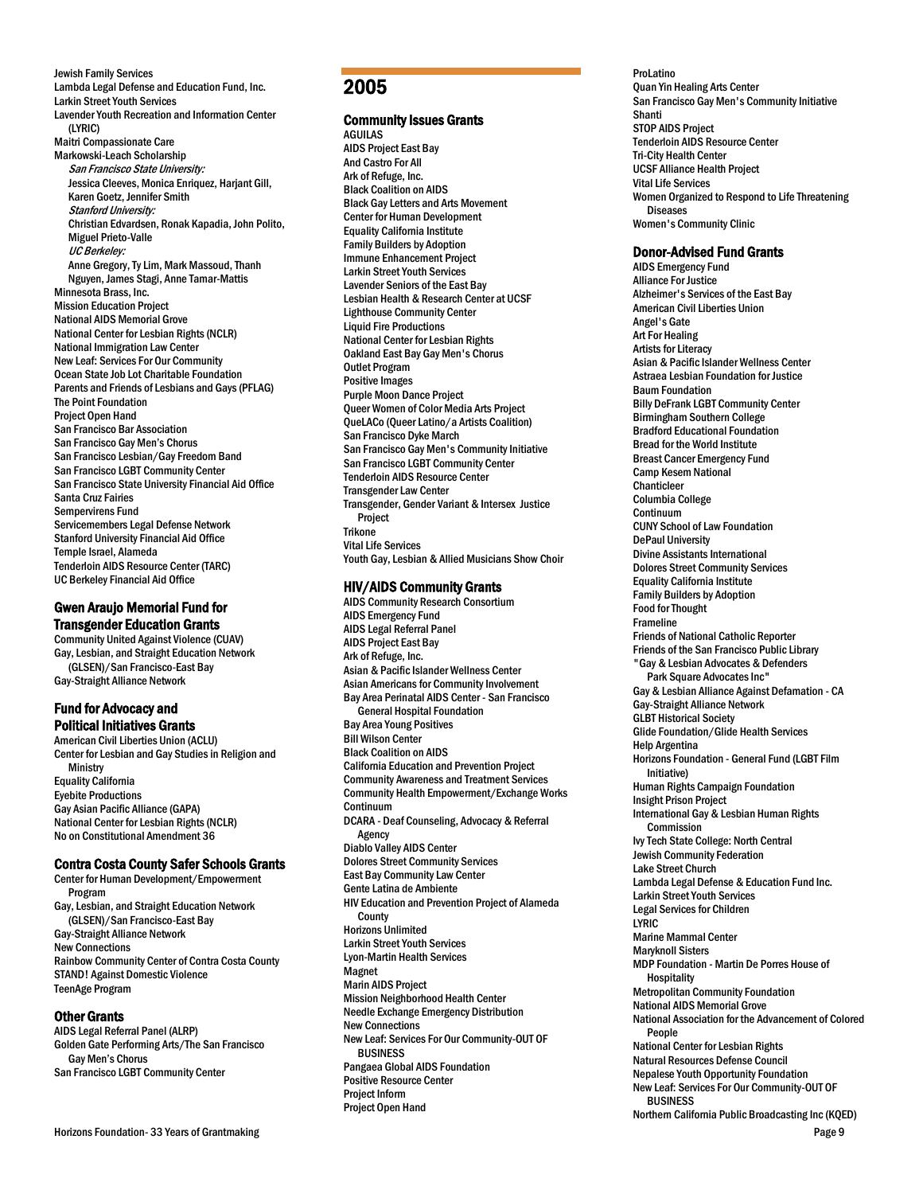Jewish Family Services Lambda Legal Defense and Education Fund, Inc. Larkin Street Youth Services Lavender Youth Recreation and Information Center (LYRIC) Maitri Compassionate Care Markowski-Leach Scholarship San Francisco State University: Jessica Cleeves, Monica Enriquez, Harjant Gill, Karen Goetz, Jennifer Smith Stanford University: Christian Edvardsen, Ronak Kapadia, John Polito, Miguel Prieto-Valle UC Berkeley: Anne Gregory, Ty Lim, Mark Massoud, Thanh Nguyen, James Stagi, Anne Tamar-Mattis Minnesota Brass, Inc. Mission Education Project National AIDS Memorial Grove National Center for Lesbian Rights (NCLR) National Immigration Law Center New Leaf: Services For Our Community Ocean State Job Lot Charitable Foundation Parents and Friends of Lesbians and Gays (PFLAG) The Point Foundation Project Open Hand San Francisco Bar Association San Francisco Gay Men's Chorus San Francisco Lesbian/Gay Freedom Band San Francisco LGBT Community Center San Francisco State University Financial Aid Office Santa Cruz Fairies Sempervirens Fund Servicemembers Legal Defense Network Stanford University Financial Aid Office Temple Israel, Alameda Tenderloin AIDS Resource Center (TARC) UC Berkeley Financial Aid Office

# Gwen Araujo Memorial Fund for Transgender Education Grants

Community United Against Violence (CUAV) Gay, Lesbian, and Straight Education Network (GLSEN)/San Francisco-East Bay Gay-Straight Alliance Network

# Fund for Advocacy and Political Initiatives Grants

American Civil Liberties Union (ACLU) Center for Lesbian and Gay Studies in Religion and **Ministry** Equality California Eyebite Productions Gay Asian Pacific Alliance (GAPA) National Center for Lesbian Rights (NCLR) No on Constitutional Amendment 36

# Contra Costa County Safer Schools Grants

Center for Human Development/Empowerment Program Gay, Lesbian, and Straight Education Network (GLSEN)/San Francisco-East Bay Gay-Straight Alliance Network New Connections Rainbow Community Center of Contra Costa County STAND! Against Domestic Violence TeenAge Program

# Other Grants

AIDS Legal Referral Panel (ALRP) Golden Gate Performing Arts/The San Francisco Gay Men's Chorus San Francisco LGBT Community Center

#### Horizons Foundation- 33 Years of Grantmaking Page 9

# 2005

# Community Issues Grants

AGUILAS AIDS Project East Bay And Castro For All Ark of Refuge, Inc. Black Coalition on AIDS Black Gay Letters and Arts Movement Center for Human Development Equality California Institute Family Builders by Adoption Immune Enhancement Project Larkin Street Youth Services Lavender Seniors of the East Bay Lesbian Health & Research Center at UCSF Lighthouse Community Center Liquid Fire Productions National Center for Lesbian Rights Oakland East Bay Gay Men's Chorus Outlet Program Positive Images Purple Moon Dance Project Queer Women of Color Media Arts Project QueLACo (Queer Latino/a Artists Coalition) San Francisco Dyke March San Francisco Gay Men's Community Initiative San Francisco LGBT Community Center Tenderloin AIDS Resource Center Transgender Law Center Transgender, Gender Variant & Intersex Justice Project **Trikone** Vital Life Services Youth Gay, Lesbian & Allied Musicians Show Choir

# HIV/AIDS Community Grants

AIDS Community Research Consortium AIDS Emergency Fund AIDS Legal Referral Panel AIDS Project East Bay Ark of Refuge, Inc. Asian & Pacific Islander Wellness Center Asian Americans for Community Involvement Bay Area Perinatal AIDS Center - San Francisco General Hospital Foundation Bay Area Young Positives Bill Wilson Center Black Coalition on AIDS California Education and Prevention Project Community Awareness and Treatment Services Community Health Empowerment/Exchange Works Continuum DCARA - Deaf Counseling, Advocacy & Referral Agency Diablo Valley AIDS Center Dolores Street Community Services East Bay Community Law Center Gente Latina de Ambiente HIV Education and Prevention Project of Alameda **County** Horizons Unlimited Larkin Street Youth Services Lyon-Martin Health Services Magnet Marin AIDS Project Mission Neighborhood Health Center Needle Exchange Emergency Distribution New Connections New Leaf: Services For Our Community-OUT OF BUSINESS Pangaea Global AIDS Foundation Positive Resource Center Project Inform Project Open Hand

ProLatino Quan Yin Healing Arts Center San Francisco Gay Men's Community Initiative Shanti STOP AIDS Project Tenderloin AIDS Resource Center Tri-City Health Center UCSF Alliance Health Project Vital Life Services Women Organized to Respond to Life Threatening Diseases Women's Community Clinic

#### Donor-Advised Fund Grants

AIDS Emergency Fund Alliance For Justice Alzheimer's Services of the East Bay American Civil Liberties Union Angel's Gate Art For Healing Artists for Literacy Asian & Pacific Islander Wellness Center Astraea Lesbian Foundation for Justice Baum Foundation Billy DeFrank LGBT Community Center Birmingham Southern College Bradford Educational Foundation Bread for the World Institute Breast Cancer Emergency Fund Camp Kesem National Chanticleer Columbia College Continuum CUNY School of Law Foundation DePaul University Divine Assistants International Dolores Street Community Services Equality California Institute Family Builders by Adoption Food for Thought Frameline Friends of National Catholic Reporter Friends of the San Francisco Public Library "Gay & Lesbian Advocates & Defenders Park Square Advocates Inc" Gay & Lesbian Alliance Against Defamation - CA Gay-Straight Alliance Network GLBT Historical Society Glide Foundation/Glide Health Services Help Argentina Horizons Foundation - General Fund (LGBT Film Initiative) Human Rights Campaign Foundation Insight Prison Project International Gay & Lesbian Human Rights Commission Ivy Tech State College: North Central Jewish Community Federation Lake Street Church Lambda Legal Defense & Education Fund Inc. Larkin Street Youth Services Legal Services for Children LYRIC Marine Mammal Center Maryknoll Sisters MDP Foundation - Martin De Porres House of **Hospitality** Metropolitan Community Foundation National AIDS Memorial Grove National Association for the Advancement of Colored People National Center for Lesbian Rights Natural Resources Defense Council Nepalese Youth Opportunity Foundation New Leaf: Services For Our Community-OUT OF BUSINESS Northern California Public Broadcasting Inc (KQED)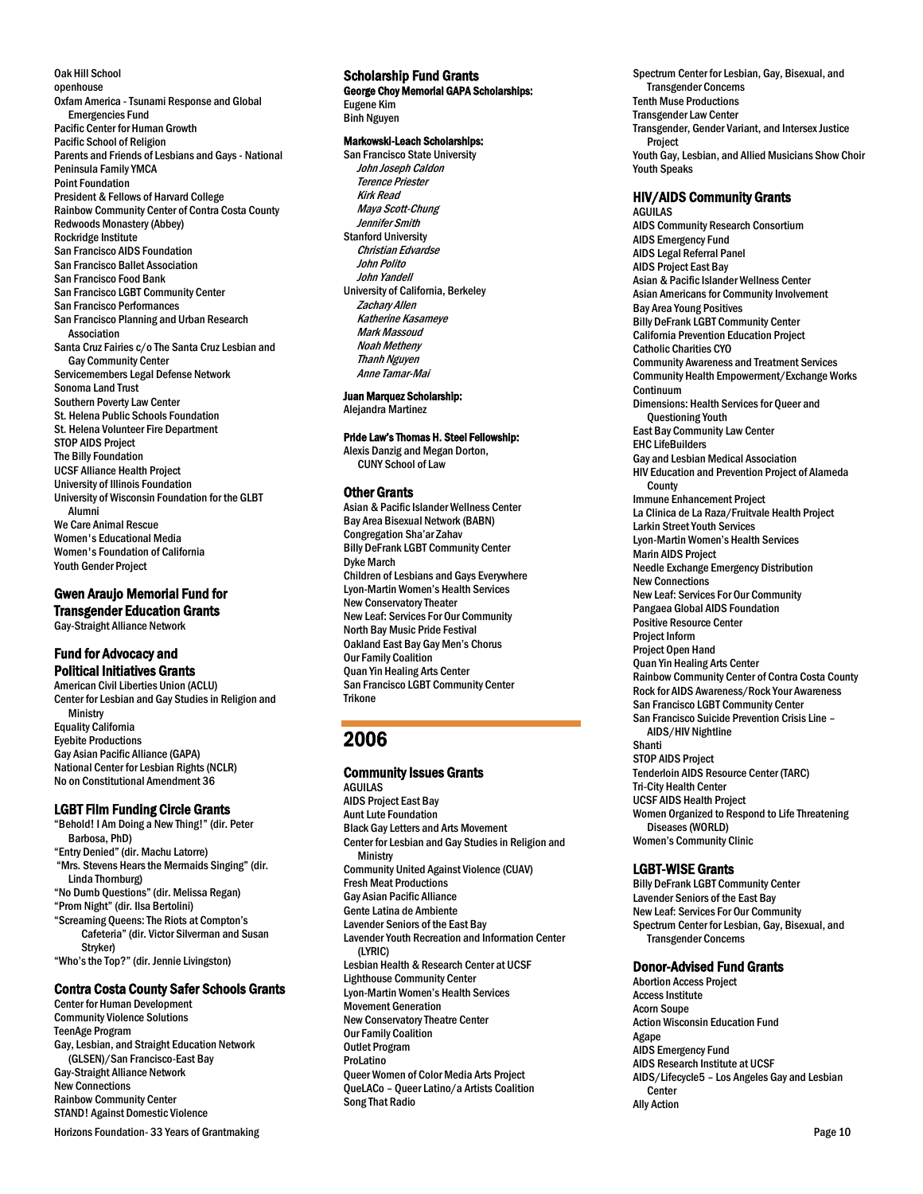Oak Hill School openhouse Oxfam America - Tsunami Response and Global Emergencies Fund Pacific Center for Human Growth Pacific School of Religion Parents and Friends of Lesbians and Gays - National Peninsula Family YMCA Point Foundation President & Fellows of Harvard College Rainbow Community Center of Contra Costa County Redwoods Monastery (Abbey) Rockridge Institute San Francisco AIDS Foundation San Francisco Ballet Association San Francisco Food Bank San Francisco LGBT Community Center San Francisco Performances San Francisco Planning and Urban Research Association Santa Cruz Fairies c/o The Santa Cruz Lesbian and Gay Community Center Servicemembers Legal Defense Network Sonoma Land Trust Southern Poverty Law Center St. Helena Public Schools Foundation St. Helena Volunteer Fire Department STOP AIDS Project The Billy Foundation UCSF Alliance Health Project University of Illinois Foundation University of Wisconsin Foundation for the GLBT Alumni We Care Animal Rescue Women's Educational Media Women's Foundation of California Youth Gender Project

Gwen Araujo Memorial Fund for Transgender Education Grants Gay-Straight Alliance Network

# Fund for Advocacy and Political Initiatives Grants

American Civil Liberties Union (ACLU) Center for Lesbian and Gay Studies in Religion and Ministry Equality California Eyebite Productions Gay Asian Pacific Alliance (GAPA) National Center for Lesbian Rights (NCLR) No on Constitutional Amendment 36

### LGBT Film Funding Circle Grants

"Behold! I Am Doing a New Thing!" (dir. Peter Barbosa, PhD) "Entry Denied" (dir. Machu Latorre) "Mrs. Stevens Hears the Mermaids Singing" (dir. Linda Thornburg) "No Dumb Questions" (dir. Melissa Regan) "Prom Night" (dir. Ilsa Bertolini) "Screaming Queens: The Riots at Compton's Cafeteria" (dir. Victor Silverman and Susan Stryker) "Who's the Top?" (dir. Jennie Livingston)

# Contra Costa County Safer Schools Grants

Center for Human Development Community Violence Solutions TeenAge Program Gay, Lesbian, and Straight Education Network (GLSEN)/San Francisco-East Bay Gay-Straight Alliance Network New Connections Rainbow Community Center STAND! Against Domestic Violence

Horizons Foundation- 33 Years of Grantmaking **Page 10** November 2012 12:30 November 2012 12:30 November 2013 12:30

# Scholarship Fund Grants

George Choy Memorial GAPA Scholarships: Eugene Kim Binh Nguyen

### Markowski-Leach Scholarships:

San Francisco State University John Joseph Caldon Terence Priester Kirk Read Maya Scott-Chung Jennifer Smith Stanford University Christian Edvardse John Polito John Yandell University of California, Berkeley Zachary Allen Katherine Kasameye Mark Massoud Noah Metheny Thanh Nguyen Anne Tamar-Mai

Juan Marquez Scholarship:

Alejandra Martinez

### Pride Law's Thomas H. Steel Fellowship:

Alexis Danzig and Megan Dorton, CUNY School of Law

# Other Grants

Asian & Pacific Islander Wellness Center Bay Area Bisexual Network (BABN) Congregation Sha'ar Zahav Billy DeFrank LGBT Community Center Dyke March Children of Lesbians and Gays Everywhere Lyon-Martin Women's Health Services New Conservatory Theater New Leaf: Services For Our Community North Bay Music Pride Festival Oakland East Bay Gay Men's Chorus Our Family Coalition Quan Yin Healing Arts Center San Francisco LGBT Community Center **Trikone** 

# 2006

#### Community Issues Grants AGUILAS

AIDS Project East Bay Aunt Lute Foundation Black Gay Letters and Arts Movement Center for Lesbian and Gay Studies in Religion and **Ministry** Community United Against Violence (CUAV) Fresh Meat Productions Gay Asian Pacific Alliance Gente Latina de Ambiente Lavender Seniors of the East Bay Lavender Youth Recreation and Information Center (LYRIC) Lesbian Health & Research Center at UCSF Lighthouse Community Center Lyon-Martin Women's Health Services Movement Generation New Conservatory Theatre Center Our Family Coalition Outlet Program ProLatino Queer Women of Color Media Arts Project QueLACo – Queer Latino/a Artists Coalition Song That Radio

Spectrum Center for Lesbian, Gay, Bisexual, and Transgender Concerns Tenth Muse Productions Transgender Law Center Transgender, Gender Variant, and Intersex Justice Project Youth Gay, Lesbian, and Allied Musicians Show Choir Youth Speaks

# HIV/AIDS Community Grants

AGUILAS AIDS Community Research Consortium AIDS Emergency Fund AIDS Legal Referral Panel AIDS Project East Bay Asian & Pacific Islander Wellness Center Asian Americans for Community Involvement Bay Area Young Positives Billy DeFrank LGBT Community Center California Prevention Education Project Catholic Charities CYO Community Awareness and Treatment Services Community Health Empowerment/Exchange Works Continuum Dimensions: Health Services for Queer and Questioning Youth East Bay Community Law Center EHC LifeBuilders Gay and Lesbian Medical Association HIV Education and Prevention Project of Alameda **County** Immune Enhancement Project La Clinica de La Raza/Fruitvale Health Project Larkin Street Youth Services Lyon-Martin Women's Health Services Marin AIDS Project Needle Exchange Emergency Distribution New Connections New Leaf: Services For Our Community Pangaea Global AIDS Foundation Positive Resource Center Project Inform Project Open Hand Quan Yin Healing Arts Center Rainbow Community Center of Contra Costa County Rock for AIDS Awareness/Rock Your Awareness San Francisco LGBT Community Center San Francisco Suicide Prevention Crisis Line – AIDS/HIV Nightline Shanti STOP AIDS Project Tenderloin AIDS Resource Center (TARC) Tri-City Health Center UCSF AIDS Health Project Women Organized to Respond to Life Threatening Diseases (WORLD) Women's Community Clinic

#### LGBT-WISE Grants

Billy DeFrank LGBT Community Center Lavender Seniors of the East Bay New Leaf: Services For Our Community Spectrum Center for Lesbian, Gay, Bisexual, and Transgender Concerns

### Donor-Advised Fund Grants

Abortion Access Project Access Institute Acorn Soupe Action Wisconsin Education Fund Agape AIDS Emergency Fund AIDS Research Institute at UCSF AIDS/Lifecycle5 – Los Angeles Gay and Lesbian Center Ally Action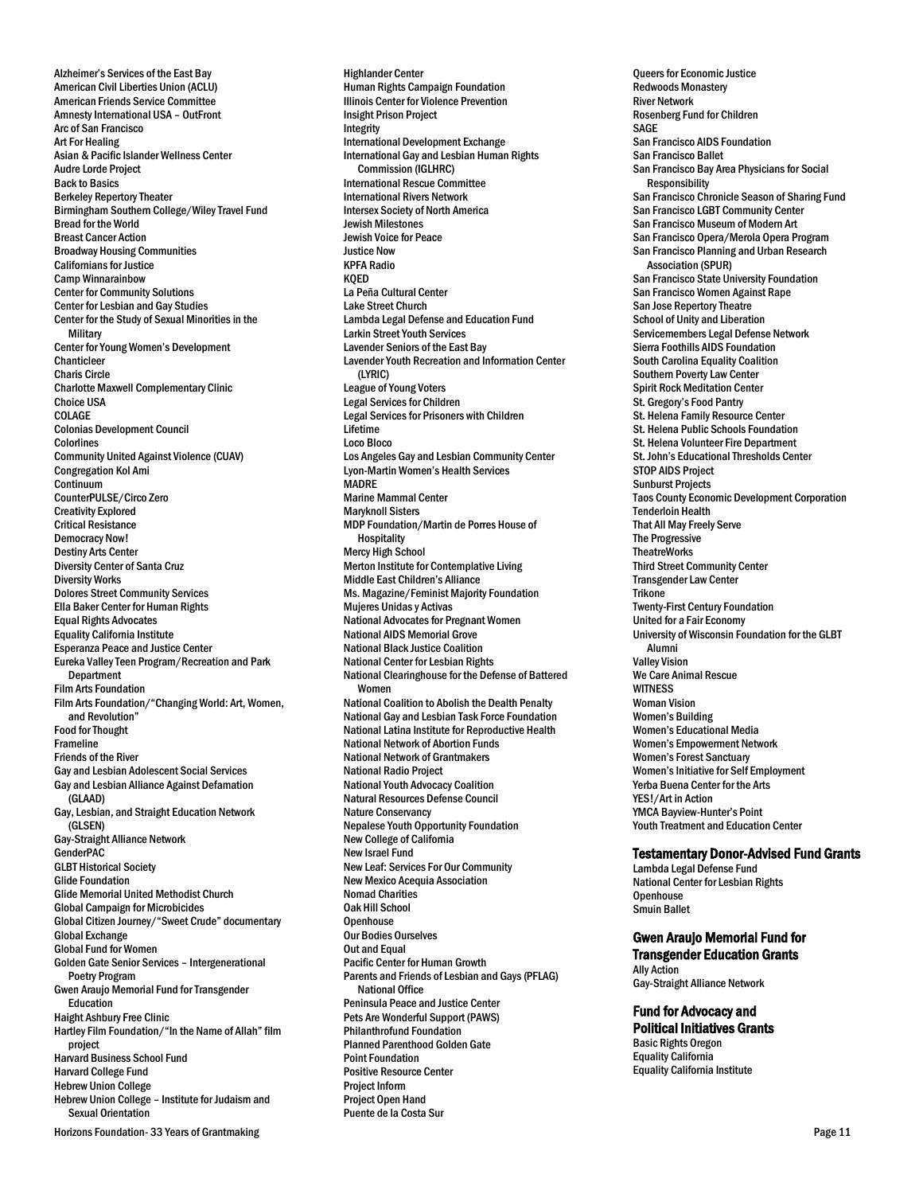Alzheimer's Services of the East Bay American Civil Liberties Union (ACLU) American Friends Service Committee Amnesty International USA – OutFront Arc of San Francisco Art For Healing Asian & Pacific Islander Wellness Center Audre Lorde Project Back to Basics Berkeley Repertory Theater Birmingham Southern College/Wiley Travel Fund Bread for the World Breast Cancer Action Broadway Housing Communities Californians for Justice Camp Winnarainbow Center for Community Solutions Center for Lesbian and Gay Studies Center for the Study of Sexual Minorities in the **Military** Center for Young Women's Development Chanticleer Charis Circle Charlotte Maxwell Complementary Clinic Choice USA COLAGE Colonias Development Council **Colorlines** Community United Against Violence (CUAV) Congregation Kol Ami Continuum CounterPULSE/Circo Zero Creativity Explored Critical Resistance Democracy Now! Destiny Arts Center Diversity Center of Santa Cruz Diversity Works Dolores Street Community Services Ella Baker Center for Human Rights Equal Rights Advocates Equality California Institute Esperanza Peace and Justice Center Eureka Valley Teen Program/Recreation and Park **Department** Film Arts Foundation Film Arts Foundation/"Changing World: Art, Women, and Revolution" Food for Thought Frameline Friends of the River Gay and Lesbian Adolescent Social Services Gay and Lesbian Alliance Against Defamation (GLAAD) Gay, Lesbian, and Straight Education Network (GLSEN) Gay-Straight Alliance Network GenderPAC GLBT Historical Society Glide Foundation Glide Memorial United Methodist Church Global Campaign for Microbicides Global Citizen Journey/"Sweet Crude" documentary Global Exchange Global Fund for Women Golden Gate Senior Services – Intergenerational Poetry Program Gwen Araujo Memorial Fund for Transgender Education Haight Ashbury Free Clinic Hartley Film Foundation/"In the Name of Allah" film project Harvard Business School Fund Harvard College Fund Hebrew Union College Hebrew Union College – Institute for Judaism and Sexual Orientation

Horizons Foundation- 33 Years of Grantmaking  $\blacksquare$ 

Highlander Center Human Rights Campaign Foundation Illinois Center for Violence Prevention Insight Prison Project Integrity International Development Exchange International Gay and Lesbian Human Rights Commission (IGLHRC) International Rescue Committee International Rivers Network Intersex Society of North America Jewish Milestones Jewish Voice for Peace Justice Now KPFA Radio KQED La Peña Cultural Center Lake Street Church Lambda Legal Defense and Education Fund Larkin Street Youth Services Lavender Seniors of the East Bay Lavender Youth Recreation and Information Center (LYRIC) League of Young Voters Legal Services for Children Legal Services for Prisoners with Children Lifetime Loco Bloco Los Angeles Gay and Lesbian Community Center Lyon-Martin Women's Health Services MADRE Marine Mammal Center Maryknoll Sisters MDP Foundation/Martin de Porres House of Hospitality Mercy High School Merton Institute for Contemplative Living Middle East Children's Alliance Ms. Magazine/Feminist Majority Foundation Mujeres Unidas y Activas National Advocates for Pregnant Women National AIDS Memorial Grove National Black Justice Coalition National Center for Lesbian Rights National Clearinghouse for the Defense of Battered Women National Coalition to Abolish the Dealth Penalty National Gay and Lesbian Task Force Foundation National Latina Institute for Reproductive Health National Network of Abortion Funds National Network of Grantmakers National Radio Project National Youth Advocacy Coalition Natural Resources Defense Council Nature Conservancy Nepalese Youth Opportunity Foundation New College of California New Israel Fund New Leaf: Services For Our Community New Mexico Acequia Association **Nomad Charities** Oak Hill School **Openhouse** Our Bodies Ourselves Out and Equal Pacific Center for Human Growth Parents and Friends of Lesbian and Gays (PFLAG) National Office Peninsula Peace and Justice Center Pets Are Wonderful Support (PAWS) Philanthrofund Foundation Planned Parenthood Golden Gate Point Foundation Positive Resource Center Project Inform Project Open Hand Puente de la Costa Sur

Queers for Economic Justice Redwoods Monastery River Network Rosenberg Fund for Children SAGE San Francisco AIDS Foundation San Francisco Ballet San Francisco Bay Area Physicians for Social **Responsibility** San Francisco Chronicle Season of Sharing Fund San Francisco LGBT Community Center San Francisco Museum of Modern Art San Francisco Opera/Merola Opera Program San Francisco Planning and Urban Research Association (SPUR) San Francisco State University Foundation San Francisco Women Against Rape San Jose Repertory Theatre School of Unity and Liberation Servicemembers Legal Defense Network Sierra Foothills AIDS Foundation South Carolina Equality Coalition Southern Poverty Law Center Spirit Rock Meditation Center St. Gregory's Food Pantry St. Helena Family Resource Center St. Helena Public Schools Foundation St. Helena Volunteer Fire Department St. John's Educational Thresholds Center STOP AIDS Project Sunburst Projects Taos County Economic Development Corporation Tenderloin Health That All May Freely Serve The Progressive **TheatreWorks** Third Street Community Center Transgender Law Center Trikone Twenty-First Century Foundation United for a Fair Economy University of Wisconsin Foundation for the GLBT Alumni Valley Vision We Care Animal Rescue **WITNESS** Woman Vision Women's Building Women's Educational Media Women's Empowerment Network Women's Forest Sanctuary Women's Initiative for Self Employment Yerba Buena Center for the Arts YES!/Art in Action YMCA Bayview-Hunter's Point Youth Treatment and Education Center

### Testamentary Donor-Advised Fund Grants

Lambda Legal Defense Fund National Center for Lesbian Rights **Openhouse** Smuin Ballet

# Gwen Araujo Memorial Fund for Transgender Education Grants

Ally Action Gay-Straight Alliance Network

# Fund for Advocacy and

Political Initiatives Grants Basic Rights Oregon Equality California Equality California Institute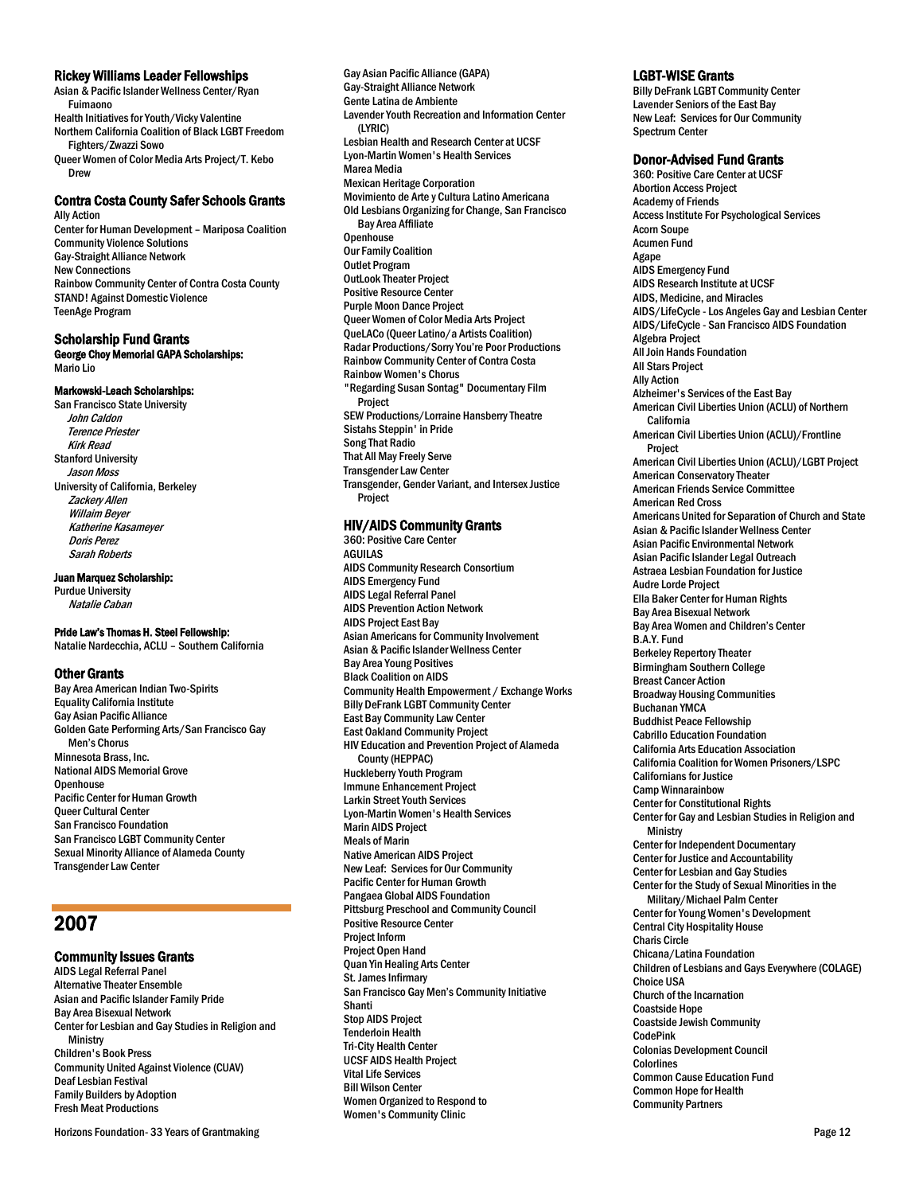### Rickey Williams Leader Fellowships

Asian & Pacific Islander Wellness Center/Ryan Fuimaono Health Initiatives for Youth/Vicky Valentine Northern California Coalition of Black LGBT Freedom

Fighters/Zwazzi Sowo Queer Women of Color Media Arts Project/T. Kebo

#### Contra Costa County Safer Schools Grants Ally Action

Center for Human Development – Mariposa Coalition Community Violence Solutions Gay-Straight Alliance Network New Connections Rainbow Community Center of Contra Costa County STAND! Against Domestic Violence TeenAge Program

### Scholarship Fund Grants

Drew

George Choy Memorial GAPA Scholarships: Mario Lio

# Markowski-Leach Scholarships:

San Francisco State University John Caldon Terence Priester Kirk Read Stanford University Jason Moss University of California, Berkeley Zackery Allen Willaim Beyer Katherine Kasameyer Doris Perez Sarah Roberts

#### Juan Marquez Scholarship:

Purdue University Natalie Caban

#### Pride Law's Thomas H. Steel Fellowship:

Natalie Nardecchia, ACLU – Southern California

#### Other Grants

Bay Area American Indian Two-Spirits Equality California Institute Gay Asian Pacific Alliance Golden Gate Performing Arts/San Francisco Gay Men's Chorus Minnesota Brass, Inc. National AIDS Memorial Grove **Openhouse** Pacific Center for Human Growth Queer Cultural Center San Francisco Foundation San Francisco LGBT Community Center Sexual Minority Alliance of Alameda County Transgender Law Center

# 2007

### Community Issues Grants

AIDS Legal Referral Panel Alternative Theater Ensemble Asian and Pacific Islander Family Pride Bay Area Bisexual Network Center for Lesbian and Gay Studies in Religion and **Ministry** Children's Book Press Community United Against Violence (CUAV) Deaf Lesbian Festival Family Builders by Adoption Fresh Meat Productions

Horizons Foundation- 33 Years of Grantmaking **Page 12** And the Security Page 12 Page 12 Page 12

Gay Asian Pacific Alliance (GAPA) Gay-Straight Alliance Network Gente Latina de Ambiente Lavender Youth Recreation and Information Center (LYRIC) Lesbian Health and Research Center at UCSF Lyon-Martin Women's Health Services Marea Media Mexican Heritage Corporation Movimiento de Arte y Cultura Latino Americana Old Lesbians Organizing for Change, San Francisco Bay Area Affiliate **Openhouse** Our Family Coalition Outlet Program OutLook Theater Project Positive Resource Center Purple Moon Dance Project Queer Women of Color Media Arts Project QueLACo (Queer Latino/a Artists Coalition) Radar Productions/Sorry You're Poor Productions Rainbow Community Center of Contra Costa Rainbow Women's Chorus "Regarding Susan Sontag" Documentary Film Project SEW Productions/Lorraine Hansberry Theatre Sistahs Steppin' in Pride Song That Radio That All May Freely Serve Transgender Law Center Transgender, Gender Variant, and Intersex Justice Project

### HIV/AIDS Community Grants

360: Positive Care Center AGUILAS AIDS Community Research Consortium AIDS Emergency Fund AIDS Legal Referral Panel AIDS Prevention Action Network AIDS Project East Bay Asian Americans for Community Involvement Asian & Pacific Islander Wellness Center Bay Area Young Positives Black Coalition on AIDS Community Health Empowerment / Exchange Works Billy DeFrank LGBT Community Center East Bay Community Law Center East Oakland Community Project HIV Education and Prevention Project of Alameda County (HEPPAC) Huckleberry Youth Program Immune Enhancement Project Larkin Street Youth Services Lyon-Martin Women's Health Services Marin AIDS Project Meals of Marin Native American AIDS Project New Leaf: Services for Our Community Pacific Center for Human Growth Pangaea Global AIDS Foundation Pittsburg Preschool and Community Council Positive Resource Center Project Inform Project Open Hand Quan Yin Healing Arts Center St. James Infirmary San Francisco Gay Men's Community Initiative Shanti Stop AIDS Project Tenderloin Health Tri-City Health Center UCSF AIDS Health Project Vital Life Services Bill Wilson Center Women Organized to Respond to Women's Community Clinic

### LGBT-WISE Grants

Billy DeFrank LGBT Community Center Lavender Seniors of the East Bay New Leaf: Services for Our Community Spectrum Center

### Donor-Advised Fund Grants

360: Positive Care Center at UCSF Abortion Access Project Academy of Friends Access Institute For Psychological Services Acorn Soupe Acumen Fund Agape AIDS Emergency Fund AIDS Research Institute at UCSF AIDS, Medicine, and Miracles AIDS/LifeCycle - Los Angeles Gay and Lesbian Center AIDS/LifeCycle - San Francisco AIDS Foundation Algebra Project All Join Hands Foundation All Stars Project Ally Action Alzheimer's Services of the East Bay American Civil Liberties Union (ACLU) of Northern California American Civil Liberties Union (ACLU)/Frontline Project American Civil Liberties Union (ACLU)/LGBT Project American Conservatory Theater American Friends Service Committee American Red Cross Americans United for Separation of Church and State Asian & Pacific Islander Wellness Center Asian Pacific Environmental Network Asian Pacific Islander Legal Outreach Astraea Lesbian Foundation for Justice Audre Lorde Project Ella Baker Center for Human Rights Bay Area Bisexual Network Bay Area Women and Children's Center B.A.Y. Fund Berkeley Repertory Theater Birmingham Southern College Breast Cancer Action Broadway Housing Communities Buchanan YMCA Buddhist Peace Fellowship Cabrillo Education Foundation California Arts Education Association California Coalition for Women Prisoners/LSPC Californians for Justice Camp Winnarainbow Center for Constitutional Rights Center for Gay and Lesbian Studies in Religion and **Ministry** Center for Independent Documentary Center for Justice and Accountability Center for Lesbian and Gay Studies Center for the Study of Sexual Minorities in the Military/Michael Palm Center Center for Young Women's Development Central City Hospitality House Charis Circle Chicana/Latina Foundation Children of Lesbians and Gays Everywhere (COLAGE) Choice USA Church of the Incarnation Coastside Hope Coastside Jewish Community CodePink Colonias Development Council Colorlines Common Cause Education Fund Common Hope for Health Community Partners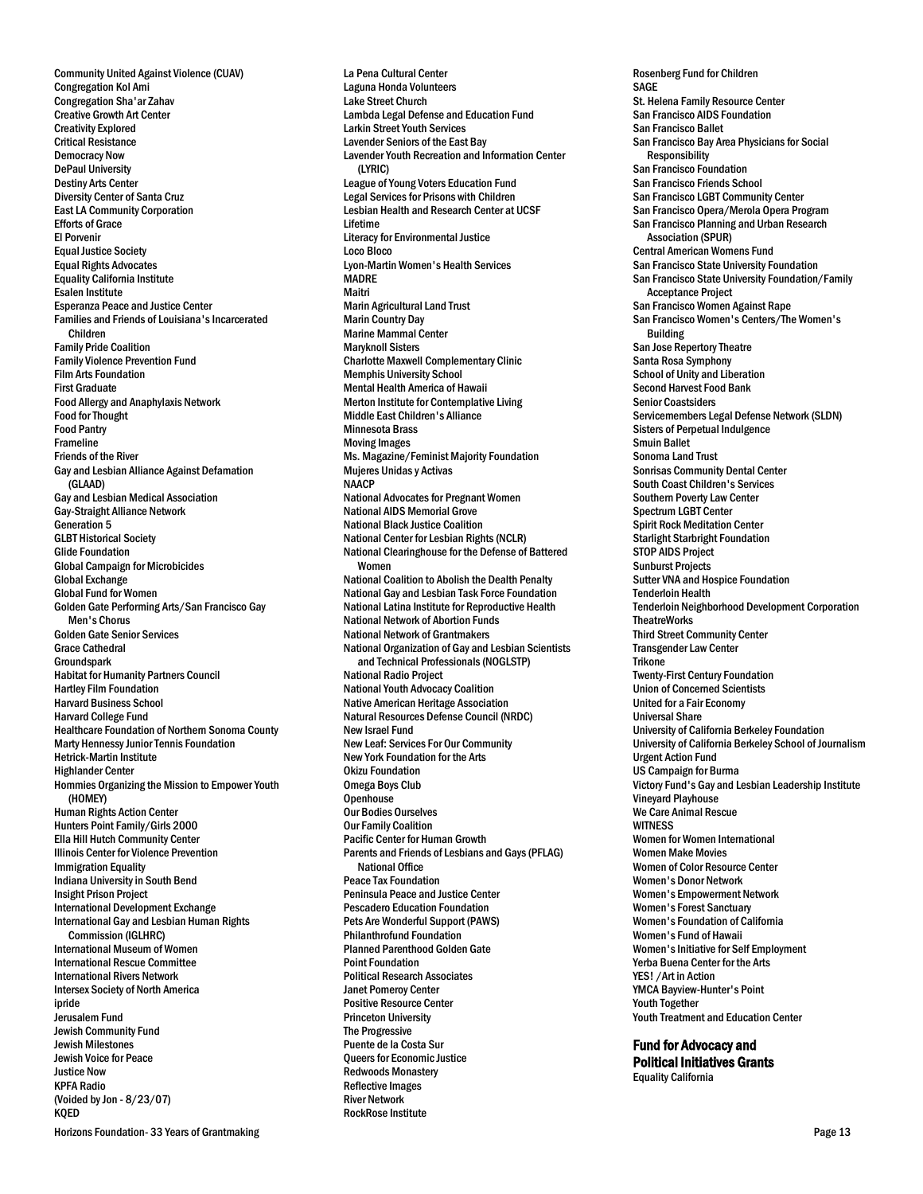Community United Against Violence (CUAV) Congregation Kol Ami Congregation Sha'ar Zahav Creative Growth Art Center Creativity Explored Critical Resistance Democracy Now DePaul University Destiny Arts Center Diversity Center of Santa Cruz East LA Community Corporation Efforts of Grace El Porvenir Equal Justice Society Equal Rights Advocates Equality California Institute Esalen Institute Esperanza Peace and Justice Center Families and Friends of Louisiana's Incarcerated Children Family Pride Coalition Family Violence Prevention Fund Film Arts Foundation First Graduate Food Allergy and Anaphylaxis Network Food for Thought Food Pantry Frameline Friends of the River Gay and Lesbian Alliance Against Defamation (GLAAD) Gay and Lesbian Medical Association Gay-Straight Alliance Network Generation 5 GLBT Historical Society Glide Foundation Global Campaign for Microbicides Global Exchange Global Fund for Women Golden Gate Performing Arts/San Francisco Gay Men's Chorus Golden Gate Senior Services Grace Cathedral **Groundspark** Habitat for Humanity Partners Council Hartley Film Foundation Harvard Business School Harvard College Fund Healthcare Foundation of Northern Sonoma County Marty Hennessy Junior Tennis Foundation Hetrick-Martin Institute Highlander Center Hommies Organizing the Mission to Empower Youth (HOMEY) Human Rights Action Center Hunters Point Family/Girls 2000 Ella Hill Hutch Community Center Illinois Center for Violence Prevention Immigration Equality Indiana University in South Bend Insight Prison Project International Development Exchange International Gay and Lesbian Human Rights Commission (IGLHRC) International Museum of Women International Rescue Committee International Rivers Network Intersex Society of North America ipride Jerusalem Fund Jewish Community Fund Jewish Milestones Jewish Voice for Peace Justice Now KPFA Radio (Voided by Jon - 8/23/07) KQED

La Pena Cultural Center Laguna Honda Volunteers Lake Street Church Lambda Legal Defense and Education Fund Larkin Street Youth Services Lavender Seniors of the East Bay Lavender Youth Recreation and Information Center (LYRIC) League of Young Voters Education Fund Legal Services for Prisons with Children Lesbian Health and Research Center at UCSF Lifetime Literacy for Environmental Justice Loco Bloco Lyon-Martin Women's Health Services MADRE Maitri Marin Agricultural Land Trust Marin Country Day Marine Mammal Center Maryknoll Sisters Charlotte Maxwell Complementary Clinic Memphis University School Mental Health America of Hawaii Merton Institute for Contemplative Living Middle East Children's Alliance Minnesota Brass Moving Images Ms. Magazine/Feminist Majority Foundation Mujeres Unidas y Activas **NAACP** National Advocates for Pregnant Women National AIDS Memorial Grove National Black Justice Coalition National Center for Lesbian Rights (NCLR) National Clearinghouse for the Defense of Battered Women National Coalition to Abolish the Dealth Penalty National Gay and Lesbian Task Force Foundation National Latina Institute for Reproductive Health National Network of Abortion Funds National Network of Grantmakers National Organization of Gay and Lesbian Scientists and Technical Professionals (NOGLSTP) National Radio Project National Youth Advocacy Coalition Native American Heritage Association Natural Resources Defense Council (NRDC) New Israel Fund New Leaf: Services For Our Community New York Foundation for the Arts Okizu Foundation Omega Boys Club **Openhouse** Our Bodies Ourselves Our Family Coalition Pacific Center for Human Growth Parents and Friends of Lesbians and Gays (PFLAG) National Office Peace Tax Foundation Peninsula Peace and Justice Center Pescadero Education Foundation Pets Are Wonderful Support (PAWS) Philanthrofund Foundation Planned Parenthood Golden Gate Point Foundation Political Research Associates Janet Pomeroy Center Positive Resource Center Princeton University The Progressive Puente de la Costa Sur Queers for Economic Justice Redwoods Monastery Reflective Images River Network

RockRose Institute

Rosenberg Fund for Children SAGE St. Helena Family Resource Center San Francisco AIDS Foundation San Francisco Ballet San Francisco Bay Area Physicians for Social Responsibility San Francisco Foundation San Francisco Friends School San Francisco LGBT Community Center San Francisco Opera/Merola Opera Program San Francisco Planning and Urban Research Association (SPUR) Central American Womens Fund San Francisco State University Foundation San Francisco State University Foundation/Family Acceptance Project San Francisco Women Against Rape San Francisco Women's Centers/The Women's Building San Jose Repertory Theatre Santa Rosa Symphony School of Unity and Liberation Second Harvest Food Bank Senior Coastsiders Servicemembers Legal Defense Network (SLDN) Sisters of Perpetual Indulgence Smuin Ballet Sonoma Land Trust Sonrisas Community Dental Center South Coast Children's Services Southern Poverty Law Center Spectrum LGBT Center Spirit Rock Meditation Center Starlight Starbright Foundation STOP AIDS Project Sunburst Projects Sutter VNA and Hospice Foundation Tenderloin Health Tenderloin Neighborhood Development Corporation **TheatreWorks** Third Street Community Center Transgender Law Center Trikone Twenty-First Century Foundation Union of Concerned Scientists United for a Fair Economy Universal Share University of California Berkeley Foundation University of California Berkeley School of Journalism Urgent Action Fund US Campaign for Burma Victory Fund's Gay and Lesbian Leadership Institute Vineyard Playhouse We Care Animal Rescue **WITNESS** Women for Women International Women Make Movies Women of Color Resource Center Women's Donor Network Women's Empowerment Network Women's Forest Sanctuary Women's Foundation of California Women's Fund of Hawaii Women's Initiative for Self Employment Yerba Buena Center for the Arts YES! /Art in Action YMCA Bayview-Hunter's Point Youth Together Youth Treatment and Education Center

Fund for Advocacy and Political Initiatives Grants Equality California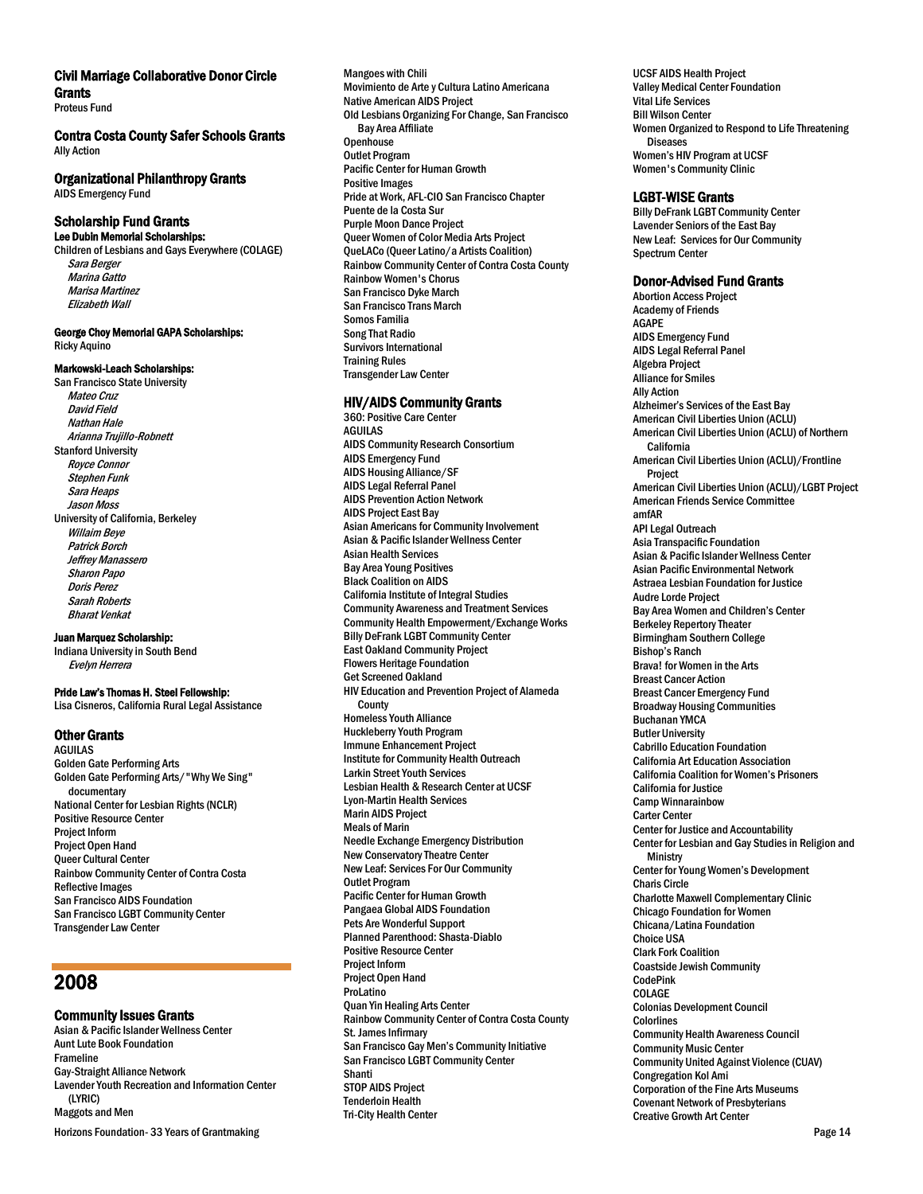### Civil Marriage Collaborative Donor Circle **Grants**

Proteus Fund

### Contra Costa County Safer Schools Grants Ally Action

# Organizational Philanthropy Grants

AIDS Emergency Fund

#### Scholarship Fund Grants Lee Dubin Memorial Scholarships:

Children of Lesbians and Gays Everywhere (COLAGE) Sara Berger Marina Gatto Marisa Martinez Elizabeth Wall

#### George Choy Memorial GAPA Scholarships: Ricky Aquino

#### Markowski-Leach Scholarships:

San Francisco State University Mateo Cruz David Field Nathan Hale Arianna Trujillo-Robnett Stanford University Royce Connor Stephen Funk Sara Heaps Jason Moss University of California, Berkeley Willaim Beye Patrick Borch Jeffrey Manassero Sharon Papo Doris Perez Sarah Roberts Bharat Venkat

Juan Marquez Scholarship:

Indiana University in South Bend Evelyn Herrera

### Pride Law's Thomas H. Steel Fellowship:

Lisa Cisneros, California Rural Legal Assistance

# Other Grants

AGUILAS Golden Gate Performing Arts Golden Gate Performing Arts/"Why We Sing" documentary National Center for Lesbian Rights (NCLR) Positive Resource Center Project Inform Project Open Hand Queer Cultural Center Rainbow Community Center of Contra Costa Reflective Images San Francisco AIDS Foundation San Francisco LGBT Community Center Transgender Law Center

# 2008

# Community Issues Grants

Asian & Pacific Islander Wellness Center Aunt Lute Book Foundation Frameline Gay-Straight Alliance Network Lavender Youth Recreation and Information Center (LYRIC) Maggots and Men

Horizons Foundation- 33 Years of Grantmaking **Page 14** November 2012 of Page 14 November 2012 of Page 14 November 2012

Mangoes with Chili Movimiento de Arte y Cultura Latino Americana Native American AIDS Project Old Lesbians Organizing For Change, San Francisco Bay Area Affiliate **Openhouse** Outlet Program Pacific Center for Human Growth Positive Images Pride at Work, AFL-CIO San Francisco Chapter Puente de la Costa Sur Purple Moon Dance Project Queer Women of Color Media Arts Project QueLACo (Queer Latino/a Artists Coalition) Rainbow Community Center of Contra Costa County Rainbow Women's Chorus San Francisco Dyke March San Francisco Trans March Somos Familia Song That Radio Survivors International Training Rules Transgender Law Center

# HIV/AIDS Community Grants

360: Positive Care Center AGUILAS AIDS Community Research Consortium AIDS Emergency Fund AIDS Housing Alliance/SF AIDS Legal Referral Panel AIDS Prevention Action Network AIDS Project East Bay Asian Americans for Community Involvement Asian & Pacific Islander Wellness Center Asian Health Services Bay Area Young Positives Black Coalition on AIDS California Institute of Integral Studies Community Awareness and Treatment Services Community Health Empowerment/Exchange Works Billy DeFrank LGBT Community Center East Oakland Community Project Flowers Heritage Foundation Get Screened Oakland HIV Education and Prevention Project of Alameda **County** Homeless Youth Alliance Huckleberry Youth Program Immune Enhancement Project Institute for Community Health Outreach Larkin Street Youth Services Lesbian Health & Research Center at UCSF Lyon-Martin Health Services Marin AIDS Project Meals of Marin Needle Exchange Emergency Distribution New Conservatory Theatre Center New Leaf: Services For Our Community Outlet Program Pacific Center for Human Growth Pangaea Global AIDS Foundation Pets Are Wonderful Support Planned Parenthood: Shasta-Diablo Positive Resource Center Project Inform Project Open Hand ProLatino Quan Yin Healing Arts Center Rainbow Community Center of Contra Costa County St. James Infirmary San Francisco Gay Men's Community Initiative San Francisco LGBT Community Center Shanti STOP AIDS Project Tenderloin Health Tri-City Health Center

UCSF AIDS Health Project Valley Medical Center Foundation Vital Life Services Bill Wilson Center Women Organized to Respond to Life Threatening **Diseases** Women's HIV Program at UCSF Women's Community Clinic

# LGBT-WISE Grants

Billy DeFrank LGBT Community Center Lavender Seniors of the East Bay New Leaf: Services for Our Community Spectrum Center

### Donor-Advised Fund Grants

Abortion Access Project Academy of Friends AGAPE AIDS Emergency Fund AIDS Legal Referral Panel Algebra Project Alliance for Smiles Ally Action Alzheimer's Services of the East Bay American Civil Liberties Union (ACLU) American Civil Liberties Union (ACLU) of Northern California American Civil Liberties Union (ACLU)/Frontline Project American Civil Liberties Union (ACLU)/LGBT Project American Friends Service Committee amfAR API Legal Outreach Asia Transpacific Foundation Asian & Pacific Islander Wellness Center Asian Pacific Environmental Network Astraea Lesbian Foundation for Justice Audre Lorde Project Bay Area Women and Children's Center Berkeley Repertory Theater Birmingham Southern College Bishop's Ranch Brava! for Women in the Arts Breast Cancer Action Breast Cancer Emergency Fund Broadway Housing Communities Buchanan YMCA Butler University Cabrillo Education Foundation California Art Education Association California Coalition for Women's Prisoners California for Justice Camp Winnarainbow Carter Center Center for Justice and Accountability Center for Lesbian and Gay Studies in Religion and **Ministry** Center for Young Women's Development Charis Circle Charlotte Maxwell Complementary Clinic Chicago Foundation for Women Chicana/Latina Foundation Choice USA Clark Fork Coalition Coastside Jewish Community CodePink COLAGE Colonias Development Council Colorlines Community Health Awareness Council Community Music Center Community United Against Violence (CUAV) Congregation Kol Ami Corporation of the Fine Arts Museums Covenant Network of Presbyterians Creative Growth Art Center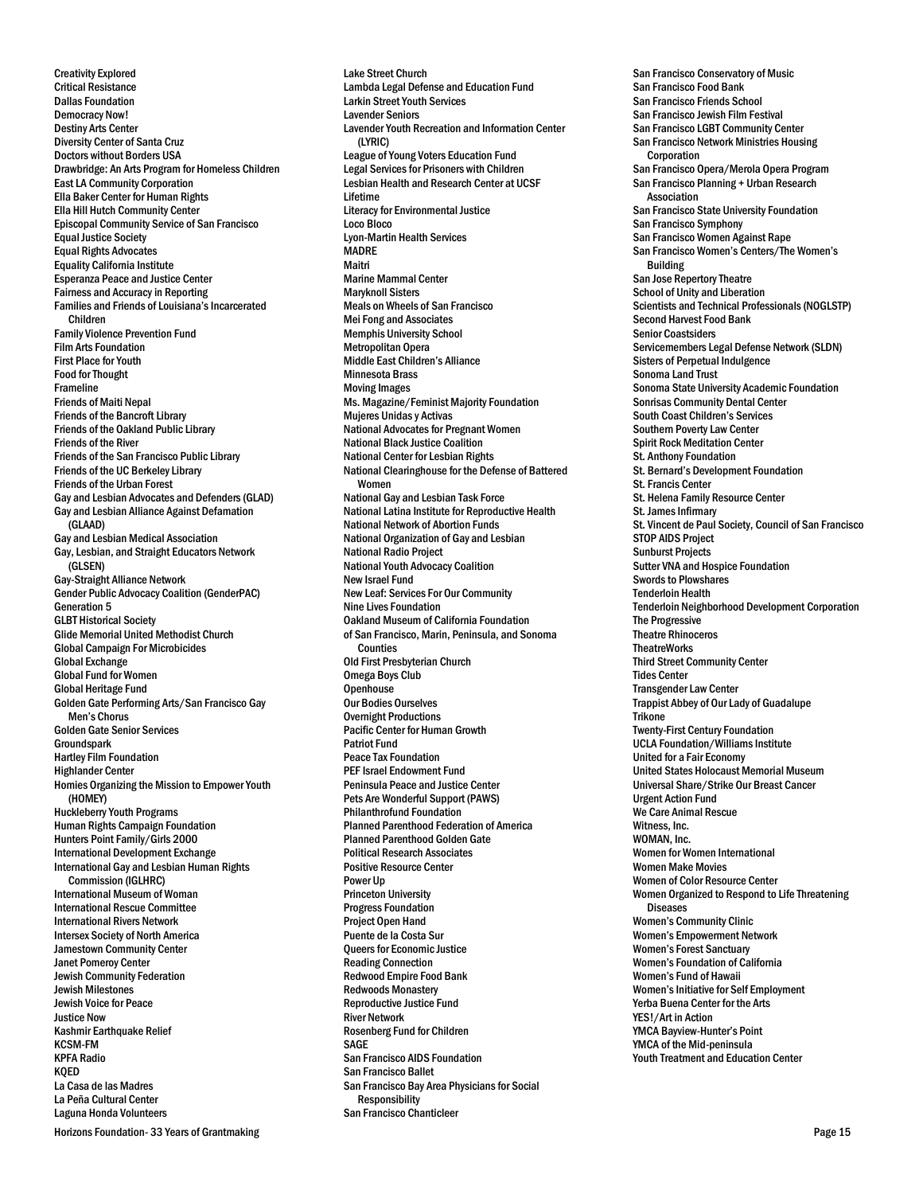Creativity Explored Critical Resistance Dallas Foundation Democracy Now! Destiny Arts Center Diversity Center of Santa Cruz Doctors without Borders USA Drawbridge: An Arts Program for Homeless Children East LA Community Corporation Ella Baker Center for Human Rights Ella Hill Hutch Community Center Episcopal Community Service of San Francisco Equal Justice Society Equal Rights Advocates Equality California Institute Esperanza Peace and Justice Center Fairness and Accuracy in Reporting Families and Friends of Louisiana's Incarcerated Children Family Violence Prevention Fund Film Arts Foundation First Place for Youth Food for Thought Frameline Friends of Maiti Nepal Friends of the Bancroft Library Friends of the Oakland Public Library Friends of the River Friends of the San Francisco Public Library Friends of the UC Berkeley Library Friends of the Urban Forest Gay and Lesbian Advocates and Defenders (GLAD) Gay and Lesbian Alliance Against Defamation (GLAAD) Gay and Lesbian Medical Association Gay, Lesbian, and Straight Educators Network (GLSEN) Gay-Straight Alliance Network Gender Public Advocacy Coalition (GenderPAC) Generation 5 GLBT Historical Society Glide Memorial United Methodist Church Global Campaign For Microbicides Global Exchange Global Fund for Women Global Heritage Fund Golden Gate Performing Arts/San Francisco Gay Men's Chorus Golden Gate Senior Services Groundspark Hartley Film Foundation Highlander Center Homies Organizing the Mission to Empower Youth (HOMEY) Huckleberry Youth Programs Human Rights Campaign Foundation Hunters Point Family/Girls 2000 International Development Exchange International Gay and Lesbian Human Rights Commission (IGLHRC) International Museum of Woman International Rescue Committee International Rivers Network Intersex Society of North America Jamestown Community Center Janet Pomeroy Center Jewish Community Federation Jewish Milestones Jewish Voice for Peace **Justice Now** Kashmir Earthquake Relief KCSM-FM KPFA Radio KQED La Casa de las Madres La Peña Cultural Center Laguna Honda Volunteers

Lambda Legal Defense and Education Fund Larkin Street Youth Services Lavender Seniors Lavender Youth Recreation and Information Center (LYRIC) League of Young Voters Education Fund Legal Services for Prisoners with Children Lesbian Health and Research Center at UCSF Lifetime Literacy for Environmental Justice Loco Bloco Lyon-Martin Health Services **MADRE** Maitri Marine Mammal Center Maryknoll Sisters Meals on Wheels of San Francisco Mei Fong and Associates Memphis University School Metropolitan Opera Middle East Children's Alliance Minnesota Brass Moving Images Ms. Magazine/Feminist Majority Foundation Mujeres Unidas y Activas National Advocates for Pregnant Women National Black Justice Coalition National Center for Lesbian Rights National Clearinghouse for the Defense of Battered Women National Gay and Lesbian Task Force National Latina Institute for Reproductive Health National Network of Abortion Funds National Organization of Gay and Lesbian National Radio Project National Youth Advocacy Coalition New Israel Fund New Leaf: Services For Our Community Nine Lives Foundation Oakland Museum of California Foundation of San Francisco, Marin, Peninsula, and Sonoma Counties Old First Presbyterian Church Omega Boys Club **Openhouse** Our Bodies Ourselves Overnight Productions Pacific Center for Human Growth Patriot Fund Peace Tax Foundation PEF Israel Endowment Fund Peninsula Peace and Justice Center Pets Are Wonderful Support (PAWS) Philanthrofund Foundation Planned Parenthood Federation of America Planned Parenthood Golden Gate Political Research Associates Positive Resource Center Power Up Princeton University Progress Foundation Project Open Hand Puente de la Costa Sur Queers for Economic Justice Reading Connection Redwood Empire Food Bank Redwoods Monastery Reproductive Justice Fund River Network Rosenberg Fund for Children SAGE San Francisco AIDS Foundation San Francisco Ballet San Francisco Bay Area Physicians for Social Responsibility

San Francisco Chanticleer

Lake Street Church

San Francisco Conservatory of Music San Francisco Food Bank San Francisco Friends School San Francisco Jewish Film Festival San Francisco LGBT Community Center San Francisco Network Ministries Housing **Corporation** San Francisco Opera/Merola Opera Program San Francisco Planning + Urban Research Association San Francisco State University Foundation San Francisco Symphony San Francisco Women Against Rape San Francisco Women's Centers/The Women's Building San Jose Repertory Theatre School of Unity and Liberation Scientists and Technical Professionals (NOGLSTP) Second Harvest Food Bank Senior Coastsiders Servicemembers Legal Defense Network (SLDN) Sisters of Perpetual Indulgence Sonoma Land Trust Sonoma State University Academic Foundation Sonrisas Community Dental Center South Coast Children's Services Southern Poverty Law Center Spirit Rock Meditation Center St. Anthony Foundation St. Bernard's Development Foundation St. Francis Center St. Helena Family Resource Center St. James Infirmary St. Vincent de Paul Society, Council of San Francisco STOP AIDS Project Sunburst Projects Sutter VNA and Hospice Foundation Swords to Plowshares Tenderloin Health Tenderloin Neighborhood Development Corporation The Progressive Theatre Rhinoceros **TheatreWorks** Third Street Community Center Tides Center Transgender Law Center Trappist Abbey of Our Lady of Guadalupe Trikone Twenty-First Century Foundation UCLA Foundation/Williams Institute United for a Fair Economy United States Holocaust Memorial Museum Universal Share/Strike Our Breast Cancer Urgent Action Fund We Care Animal Rescue Witness, Inc. WOMAN, Inc. Women for Women International Women Make Movies Women of Color Resource Center Women Organized to Respond to Life Threatening Diseases Women's Community Clinic Women's Empowerment Network Women's Forest Sanctuary Women's Foundation of California Women's Fund of Hawaii Women's Initiative for Self Employment Yerba Buena Center for the Arts YES!/Art in Action YMCA Bayview-Hunter's Point YMCA of the Mid-peninsula Youth Treatment and Education Center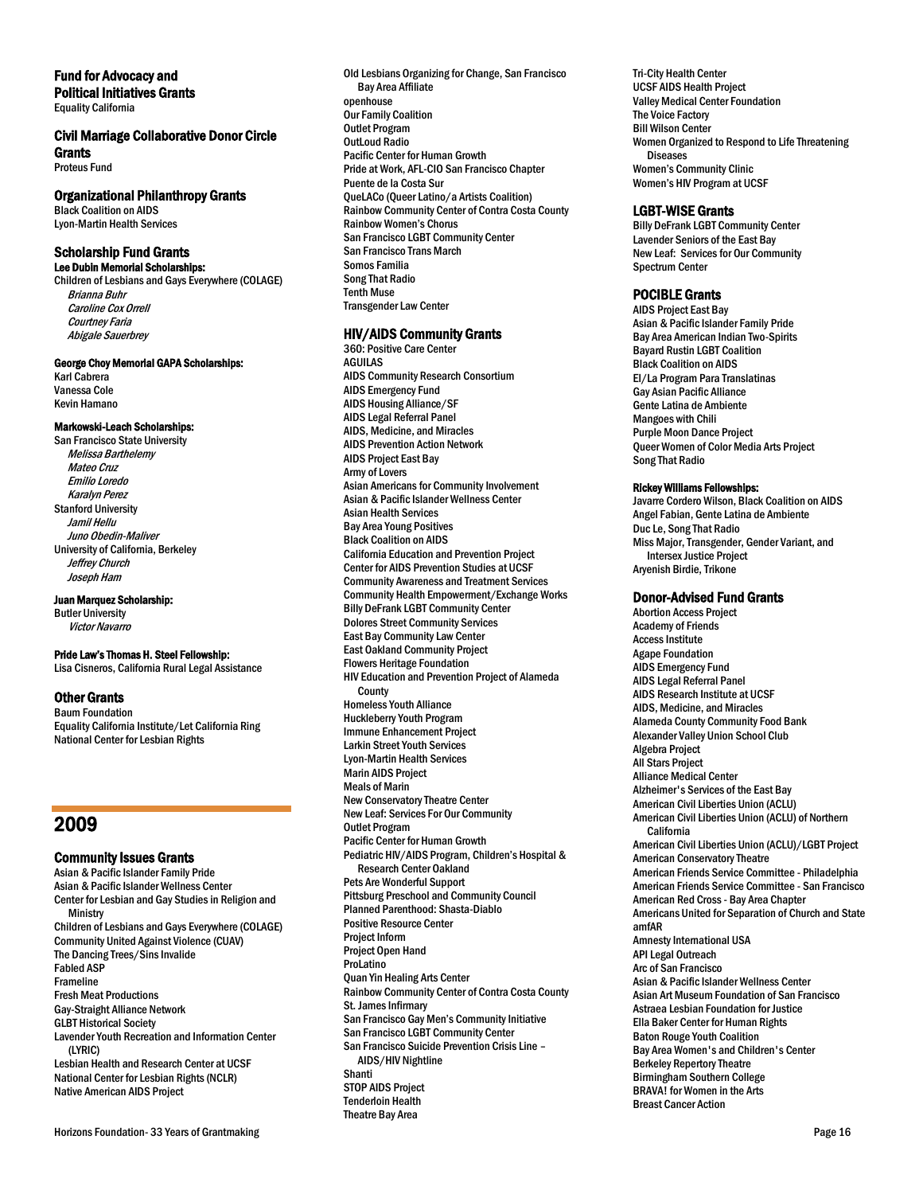# Fund for Advocacy and

Political Initiatives Grants Equality California

# Civil Marriage Collaborative Donor Circle

**Grants** Proteus Fund

# Organizational Philanthropy Grants

Black Coalition on AIDS Lyon-Martin Health Services

#### Scholarship Fund Grants Lee Dubin Memorial Scholarships:

Children of Lesbians and Gays Everywhere (COLAGE) Brianna Buhr Caroline Cox Orrell Courtney Faria Abigale Sauerbrey

#### George Choy Memorial GAPA Scholarships:

Karl Cabrera Vanessa Cole Kevin Hamano

#### Markowski-Leach Scholarships:

San Francisco State University Melissa Barthelemy Mateo Cruz Emilio Loredo Karalyn Perez Stanford University Jamil Hellu Juno Obedin-Maliver University of California, Berkeley Jeffrey Church Joseph Ham

Juan Marquez Scholarship:

Butler University Victor Navarro

#### Pride Law's Thomas H. Steel Fellowship:

Lisa Cisneros, California Rural Legal Assistance

### Other Grants

Baum Foundation Equality California Institute/Let California Ring National Center for Lesbian Rights

# 2009

# Community Issues Grants

Asian & Pacific Islander Family Pride Asian & Pacific Islander Wellness Center Center for Lesbian and Gay Studies in Religion and **Ministry** Children of Lesbians and Gays Everywhere (COLAGE) Community United Against Violence (CUAV) The Dancing Trees/Sins Invalide Fabled ASP Frameline Fresh Meat Productions Gay-Straight Alliance Network GLBT Historical Society Lavender Youth Recreation and Information Center (LYRIC) Lesbian Health and Research Center at UCSF National Center for Lesbian Rights (NCLR) Native American AIDS Project

Old Lesbians Organizing for Change, San Francisco Bay Area Affiliate openhouse Our Family Coalition Outlet Program OutLoud Radio Pacific Center for Human Growth Pride at Work, AFL-CIO San Francisco Chapter Puente de la Costa Sur QueLACo (Queer Latino/a Artists Coalition) Rainbow Community Center of Contra Costa County Rainbow Women's Chorus San Francisco LGBT Community Center San Francisco Trans March Somos Familia Song That Radio Tenth Muse Transgender Law Center

# HIV/AIDS Community Grants

360: Positive Care Center AGUILAS AIDS Community Research Consortium AIDS Emergency Fund AIDS Housing Alliance/SF AIDS Legal Referral Panel AIDS, Medicine, and Miracles AIDS Prevention Action Network AIDS Project East Bay Army of Lovers Asian Americans for Community Involvement Asian & Pacific Islander Wellness Center Asian Health Services Bay Area Young Positives Black Coalition on AIDS California Education and Prevention Project Center for AIDS Prevention Studies at UCSF Community Awareness and Treatment Services Community Health Empowerment/Exchange Works Billy DeFrank LGBT Community Center Dolores Street Community Services East Bay Community Law Center East Oakland Community Project Flowers Heritage Foundation HIV Education and Prevention Project of Alameda County Homeless Youth Alliance Huckleberry Youth Program Immune Enhancement Project Larkin Street Youth Services Lyon-Martin Health Services Marin AIDS Project Meals of Marin New Conservatory Theatre Center New Leaf: Services For Our Community Outlet Program Pacific Center for Human Growth Pediatric HIV/AIDS Program, Children's Hospital & Research Center Oakland Pets Are Wonderful Support Pittsburg Preschool and Community Council Planned Parenthood: Shasta-Diablo Positive Resource Center Project Inform Project Open Hand ProLatino Quan Yin Healing Arts Center Rainbow Community Center of Contra Costa County St. James Infirmary San Francisco Gay Men's Community Initiative San Francisco LGBT Community Center San Francisco Suicide Prevention Crisis Line – AIDS/HIV Nightline Shanti STOP AIDS Project Tenderloin Health Theatre Bay Area

Tri-City Health Center UCSF AIDS Health Project Valley Medical Center Foundation The Voice Factory Bill Wilson Center Women Organized to Respond to Life Threatening **Diseases** Women's Community Clinic Women's HIV Program at UCSF

### LGBT-WISE Grants

Billy DeFrank LGBT Community Center Lavender Seniors of the East Bay New Leaf: Services for Our Community Spectrum Center

### POCIBLE Grants

AIDS Project East Bay Asian & Pacific Islander Family Pride Bay Area American Indian Two-Spirits Bayard Rustin LGBT Coalition Black Coalition on AIDS El/La Program Para Translatinas Gay Asian Pacific Alliance Gente Latina de Ambiente Mangoes with Chili Purple Moon Dance Project Queer Women of Color Media Arts Project Song That Radio

### Rickey Williams Fellowships:

Javarre Cordero Wilson, Black Coalition on AIDS Angel Fabian, Gente Latina de Ambiente Duc Le, Song That Radio Miss Major, Transgender, Gender Variant, and Intersex Justice Project Aryenish Birdie, Trikone

#### Donor-Advised Fund Grants

Abortion Access Project Academy of Friends Access Institute Agape Foundation AIDS Emergency Fund AIDS Legal Referral Panel AIDS Research Institute at UCSF AIDS, Medicine, and Miracles Alameda County Community Food Bank Alexander Valley Union School Club Algebra Project All Stars Project Alliance Medical Center Alzheimer's Services of the East Bay American Civil Liberties Union (ACLU) American Civil Liberties Union (ACLU) of Northern California American Civil Liberties Union (ACLU)/LGBT Project American Conservatory Theatre American Friends Service Committee - Philadelphia American Friends Service Committee - San Francisco American Red Cross - Bay Area Chapter Americans United for Separation of Church and State amfAR Amnesty International USA API Legal Outreach Arc of San Francisco Asian & Pacific Islander Wellness Center Asian Art Museum Foundation of San Francisco Astraea Lesbian Foundation for Justice Ella Baker Center for Human Rights Baton Rouge Youth Coalition Bay Area Women's and Children's Center Berkeley Repertory Theatre Birmingham Southern College BRAVA! for Women in the Arts Breast Cancer Action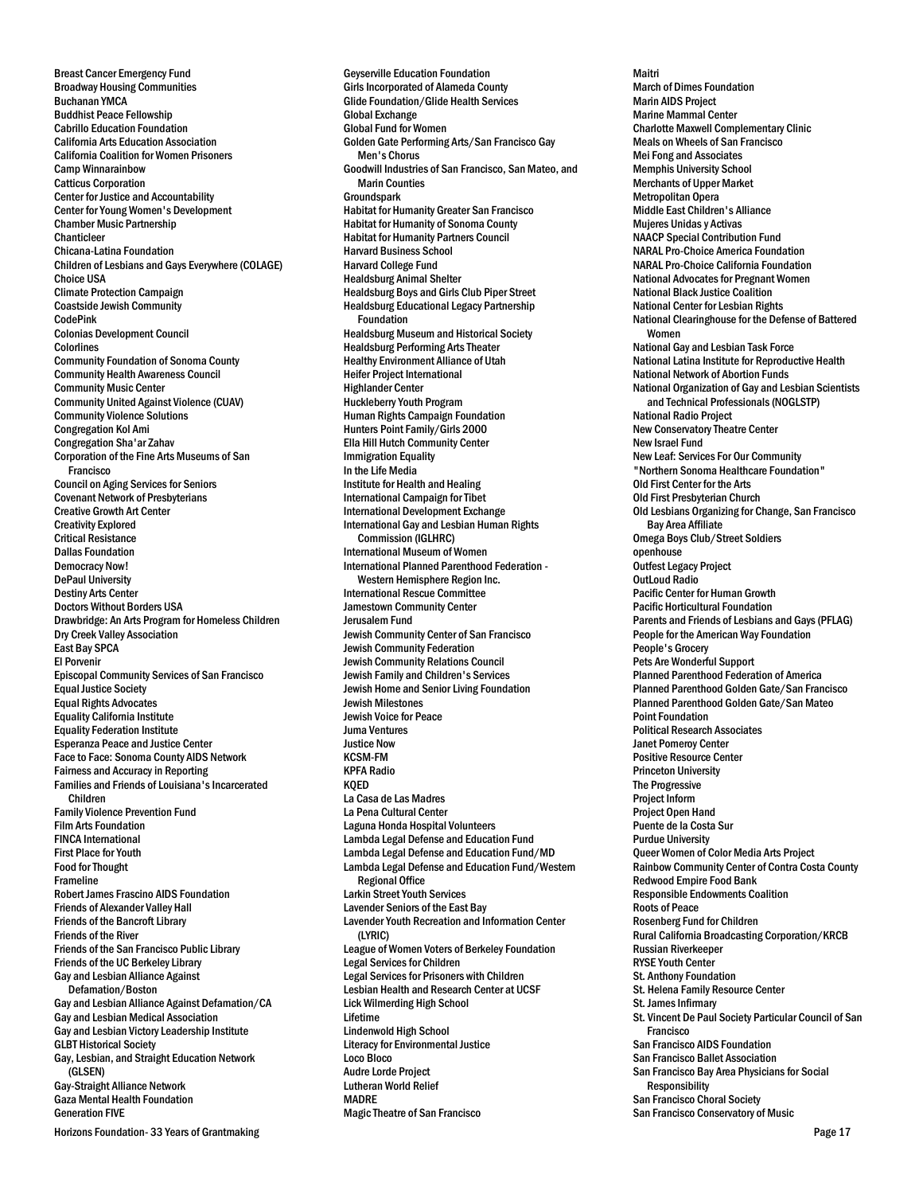Breast Cancer Emergency Fund Broadway Housing Communities Buchanan YMCA Buddhist Peace Fellowship Cabrillo Education Foundation California Arts Education Association California Coalition for Women Prisoners Camp Winnarainbow Catticus Corporation Center for Justice and Accountability Center for Young Women's Development Chamber Music Partnership Chanticleer Chicana-Latina Foundation Children of Lesbians and Gays Everywhere (COLAGE) Choice USA Climate Protection Campaign Coastside Jewish Community CodePink Colonias Development Council **Colorlines** Community Foundation of Sonoma County Community Health Awareness Council Community Music Center Community United Against Violence (CUAV) Community Violence Solutions Congregation Kol Ami Congregation Sha'ar Zahav Corporation of the Fine Arts Museums of San Francisco Council on Aging Services for Seniors Covenant Network of Presbyterians Creative Growth Art Center Creativity Explored Critical Resistance Dallas Foundation Democracy Now! DePaul University Destiny Arts Center Doctors Without Borders USA Drawbridge: An Arts Program for Homeless Children Dry Creek Valley Association East Bay SPCA El Porvenir Episcopal Community Services of San Francisco Equal Justice Society Equal Rights Advocates Equality California Institute Equality Federation Institute Esperanza Peace and Justice Center Face to Face: Sonoma County AIDS Network Fairness and Accuracy in Reporting Families and Friends of Louisiana's Incarcerated Children Family Violence Prevention Fund Film Arts Foundation FINCA International First Place for Youth Food for Thought Frameline Robert James Frascino AIDS Foundation Friends of Alexander Valley Hall Friends of the Bancroft Library Friends of the River Friends of the San Francisco Public Library Friends of the UC Berkeley Library Gay and Lesbian Alliance Against Defamation/Boston Gay and Lesbian Alliance Against Defamation/CA Gay and Lesbian Medical Association Gay and Lesbian Victory Leadership Institute GLBT Historical Society Gay, Lesbian, and Straight Education Network (GLSEN) Gay-Straight Alliance Network Gaza Mental Health Foundation Generation FIVE

Horizons Foundation- 33 Years of Grantmaking **Page 17** November 2012 12:30 November 2012 12:30 November 2013 12:30

Geyserville Education Foundation Girls Incorporated of Alameda County Glide Foundation/Glide Health Services Global Exchange Global Fund for Women Golden Gate Performing Arts/San Francisco Gay Men's Chorus Goodwill Industries of San Francisco, San Mateo, and Marin Counties **Groundspark** Habitat for Humanity Greater San Francisco Habitat for Humanity of Sonoma County Habitat for Humanity Partners Council Harvard Business School Harvard College Fund Healdsburg Animal Shelter Healdsburg Boys and Girls Club Piper Street Healdsburg Educational Legacy Partnership Foundation Healdsburg Museum and Historical Society Healdsburg Performing Arts Theater Healthy Environment Alliance of Utah Heifer Project International Highlander Center Huckleberry Youth Program Human Rights Campaign Foundation Hunters Point Family/Girls 2000 Ella Hill Hutch Community Center Immigration Equality In the Life Media Institute for Health and Healing International Campaign for Tibet International Development Exchange International Gay and Lesbian Human Rights Commission (IGLHRC) International Museum of Women International Planned Parenthood Federation - Western Hemisphere Region Inc. International Rescue Committee Jamestown Community Center Jerusalem Fund Jewish Community Center of San Francisco Jewish Community Federation Jewish Community Relations Council Jewish Family and Children's Services Jewish Home and Senior Living Foundation Jewish Milestones Jewish Voice for Peace Juma Ventures Justice Now KCSM-FM KPFA Radio KQED La Casa de Las Madres La Pena Cultural Center Laguna Honda Hospital Volunteers Lambda Legal Defense and Education Fund Lambda Legal Defense and Education Fund/MD Lambda Legal Defense and Education Fund/Western Regional Office Larkin Street Youth Services Lavender Seniors of the East Bay Lavender Youth Recreation and Information Center (LYRIC) League of Women Voters of Berkeley Foundation Legal Services for Children Legal Services for Prisoners with Children Lesbian Health and Research Center at UCSF Lick Wilmerding High School Lifetime Lindenwold High School Literacy for Environmental Justice Loco Bloco Audre Lorde Project Lutheran World Relief MADRE Magic Theatre of San Francisco

Maitri March of Dimes Foundation Marin AIDS Project Marine Mammal Center Charlotte Maxwell Complementary Clinic Meals on Wheels of San Francisco Mei Fong and Associates Memphis University School Merchants of Upper Market Metropolitan Opera Middle East Children's Alliance Mujeres Unidas y Activas NAACP Special Contribution Fund NARAL Pro-Choice America Foundation NARAL Pro-Choice California Foundation National Advocates for Pregnant Women National Black Justice Coalition National Center for Lesbian Rights National Clearinghouse for the Defense of Battered Women National Gay and Lesbian Task Force National Latina Institute for Reproductive Health National Network of Abortion Funds National Organization of Gay and Lesbian Scientists and Technical Professionals (NOGLSTP) National Radio Project New Conservatory Theatre Center New Israel Fund New Leaf: Services For Our Community "Northern Sonoma Healthcare Foundation" Old First Center for the Arts Old First Presbyterian Church Old Lesbians Organizing for Change, San Francisco Bay Area Affiliate Omega Boys Club/Street Soldiers openhouse Outfest Legacy Project OutLoud Radio Pacific Center for Human Growth Pacific Horticultural Foundation Parents and Friends of Lesbians and Gays (PFLAG) People for the American Way Foundation People's Grocery Pets Are Wonderful Support Planned Parenthood Federation of America Planned Parenthood Golden Gate/San Francisco Planned Parenthood Golden Gate/San Mateo Point Foundation Political Research Associates Janet Pomeroy Center Positive Resource Center Princeton University The Progressive Project Inform Project Open Hand Puente de la Costa Sur Purdue University Queer Women of Color Media Arts Project Rainbow Community Center of Contra Costa County Redwood Empire Food Bank Responsible Endowments Coalition Roots of Peace Rosenberg Fund for Children Rural California Broadcasting Corporation/KRCB Russian Riverkeeper RYSE Youth Center St. Anthony Foundation St. Helena Family Resource Center St. James Infirmary St. Vincent De Paul Society Particular Council of San Francisco San Francisco AIDS Foundation San Francisco Ballet Association San Francisco Bay Area Physicians for Social Responsibility San Francisco Choral Society

San Francisco Conservatory of Music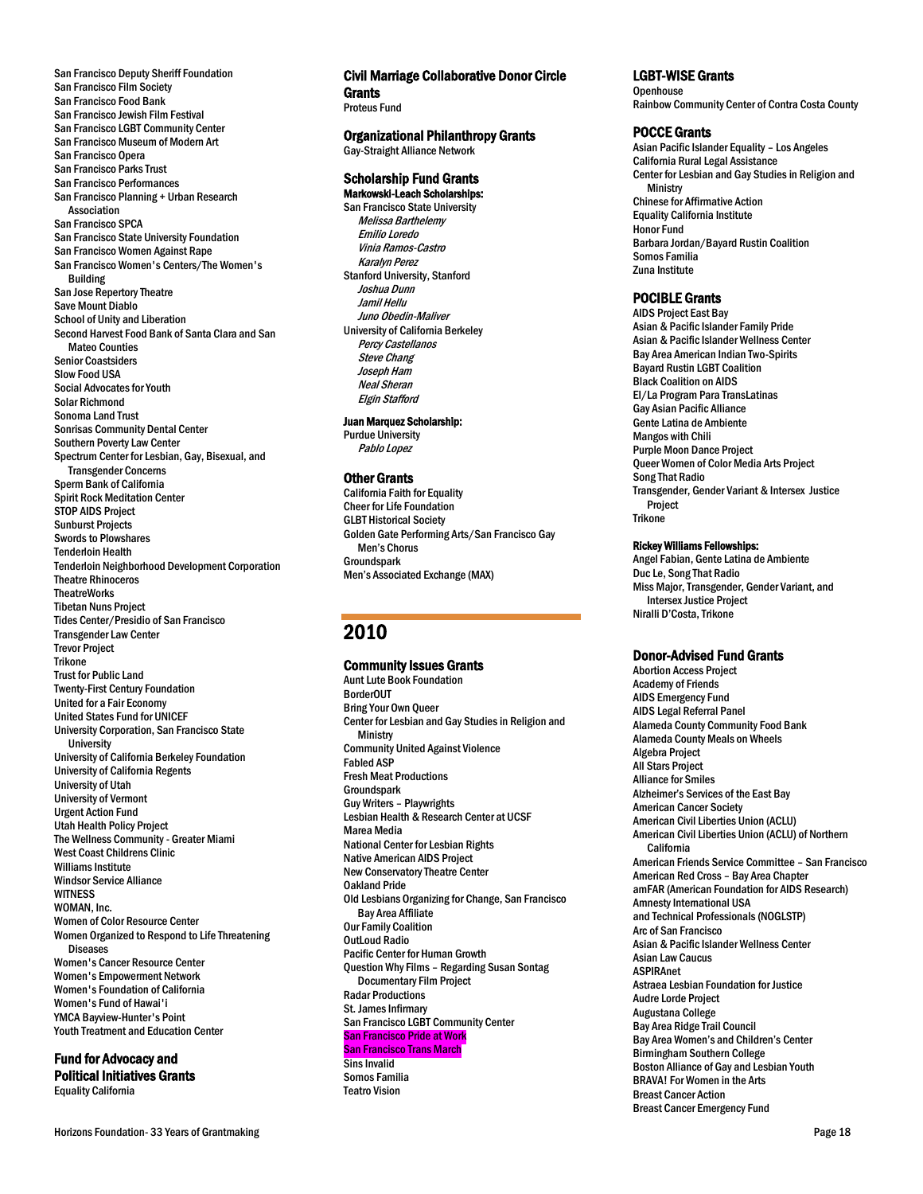San Francisco Deputy Sheriff Foundation San Francisco Film Society San Francisco Food Bank San Francisco Jewish Film Festival San Francisco LGBT Community Center San Francisco Museum of Modern Art San Francisco Opera San Francisco Parks Trust San Francisco Performances San Francisco Planning + Urban Research Association San Francisco SPCA San Francisco State University Foundation San Francisco Women Against Rape San Francisco Women's Centers/The Women's Building San Jose Repertory Theatre Save Mount Diablo School of Unity and Liberation Second Harvest Food Bank of Santa Clara and San Mateo Counties Senior Coastsiders Slow Food USA Social Advocates for Youth Solar Richmond Sonoma Land Trust Sonrisas Community Dental Center Southern Poverty Law Center Spectrum Center for Lesbian, Gay, Bisexual, and Transgender Concerns Sperm Bank of California Spirit Rock Meditation Center STOP AIDS Project Sunburst Projects Swords to Plowshares Tenderloin Health Tenderloin Neighborhood Development Corporation Theatre Rhinoceros **TheatreWorks** Tibetan Nuns Project Tides Center/Presidio of San Francisco Transgender Law Center Trevor Project Trikone Trust for Public Land Twenty-First Century Foundation United for a Fair Economy United States Fund for UNICEF University Corporation, San Francisco State **University** University of California Berkeley Foundation University of California Regents University of Utah University of Vermont Urgent Action Fund Utah Health Policy Project The Wellness Community - Greater Miami West Coast Childrens Clinic Williams Institute Windsor Service Alliance **WITNESS** WOMAN, Inc. Women of Color Resource Center Women Organized to Respond to Life Threatening Diseases Women's Cancer Resource Center Women's Empowerment Network Women's Foundation of California Women's Fund of Hawai'i YMCA Bayview-Hunter's Point Youth Treatment and Education Center

### Fund for Advocacy and

Political Initiatives Grants Equality California

# Civil Marriage Collaborative Donor Circle **Grants**

Proteus Fund

Organizational Philanthropy Grants Gay-Straight Alliance Network

#### Scholarship Fund Grants Markowski-Leach Scholarships:

San Francisco State University Melissa Barthelemy Emilio Loredo Vinia Ramos-Castro Karalyn Perez Stanford University, Stanford Joshua Dunn Jamil Hellu Juno Obedin-Maliver University of California Berkeley Percy Castellanos Steve Chang Joseph Ham Neal Sheran Elgin Stafford

#### Juan Marquez Scholarship:

Purdue University Pablo Lopez

#### Other Grants

California Faith for Equality Cheer for Life Foundation GLBT Historical Society Golden Gate Performing Arts/San Francisco Gay Men's Chorus Groundspark Men's Associated Exchange (MAX)

# 2010

### Community Issues Grants

Aunt Lute Book Foundation BorderOUT Bring Your Own Queer Center for Lesbian and Gay Studies in Religion and **Ministry** Community United Against Violence Fabled ASP Fresh Meat Productions **Groundspark** Guy Writers – Playwrights Lesbian Health & Research Center at UCSF Marea Media National Center for Lesbian Rights Native American AIDS Project New Conservatory Theatre Center Oakland Pride Old Lesbians Organizing for Change, San Francisco Bay Area Affiliate Our Family Coalition OutLoud Radio Pacific Center for Human Growth Question Why Films – Regarding Susan Sontag Documentary Film Project Radar Productions St. James Infirmary San Francisco LGBT Community Center San Francisco Pride at Work San Francisco Trans March Sins Invalid Somos Familia Teatro Vision

### LGBT-WISE Grants

**Openhouse** Rainbow Community Center of Contra Costa County

### POCCE Grants

Asian Pacific Islander Equality – Los Angeles California Rural Legal Assistance Center for Lesbian and Gay Studies in Religion and **Ministry** Chinese for Affirmative Action Equality California Institute Honor Fund Barbara Jordan/Bayard Rustin Coalition Somos Familia Zuna Institute

### POCIBLE Grants

AIDS Project East Bay Asian & Pacific Islander Family Pride Asian & Pacific Islander Wellness Center Bay Area American Indian Two-Spirits Bayard Rustin LGBT Coalition Black Coalition on AIDS El/La Program Para TransLatinas Gay Asian Pacific Alliance Gente Latina de Ambiente Mangos with Chili Purple Moon Dance Project Queer Women of Color Media Arts Project Song That Radio Transgender, Gender Variant & Intersex Justice Project **Trikone** 

# Rickey Williams Fellowships:

Angel Fabian, Gente Latina de Ambiente Duc Le, Song That Radio Miss Major, Transgender, Gender Variant, and Intersex Justice Project Niralli D'Costa, Trikone

# Donor-Advised Fund Grants

Abortion Access Project Academy of Friends AIDS Emergency Fund AIDS Legal Referral Panel Alameda County Community Food Bank Alameda County Meals on Wheels Algebra Project All Stars Project Alliance for Smiles Alzheimer's Services of the East Bay American Cancer Society American Civil Liberties Union (ACLU) American Civil Liberties Union (ACLU) of Northern California American Friends Service Committee – San Francisco American Red Cross – Bay Area Chapter amFAR (American Foundation for AIDS Research) Amnesty International USA and Technical Professionals (NOGLSTP) Arc of San Francisco Asian & Pacific Islander Wellness Center Asian Law Caucus ASPIRAnet Astraea Lesbian Foundation for Justice Audre Lorde Project Augustana College Bay Area Ridge Trail Council Bay Area Women's and Children's Center Birmingham Southern College Boston Alliance of Gay and Lesbian Youth BRAVA! For Women in the Arts Breast Cancer Action Breast Cancer Emergency Fund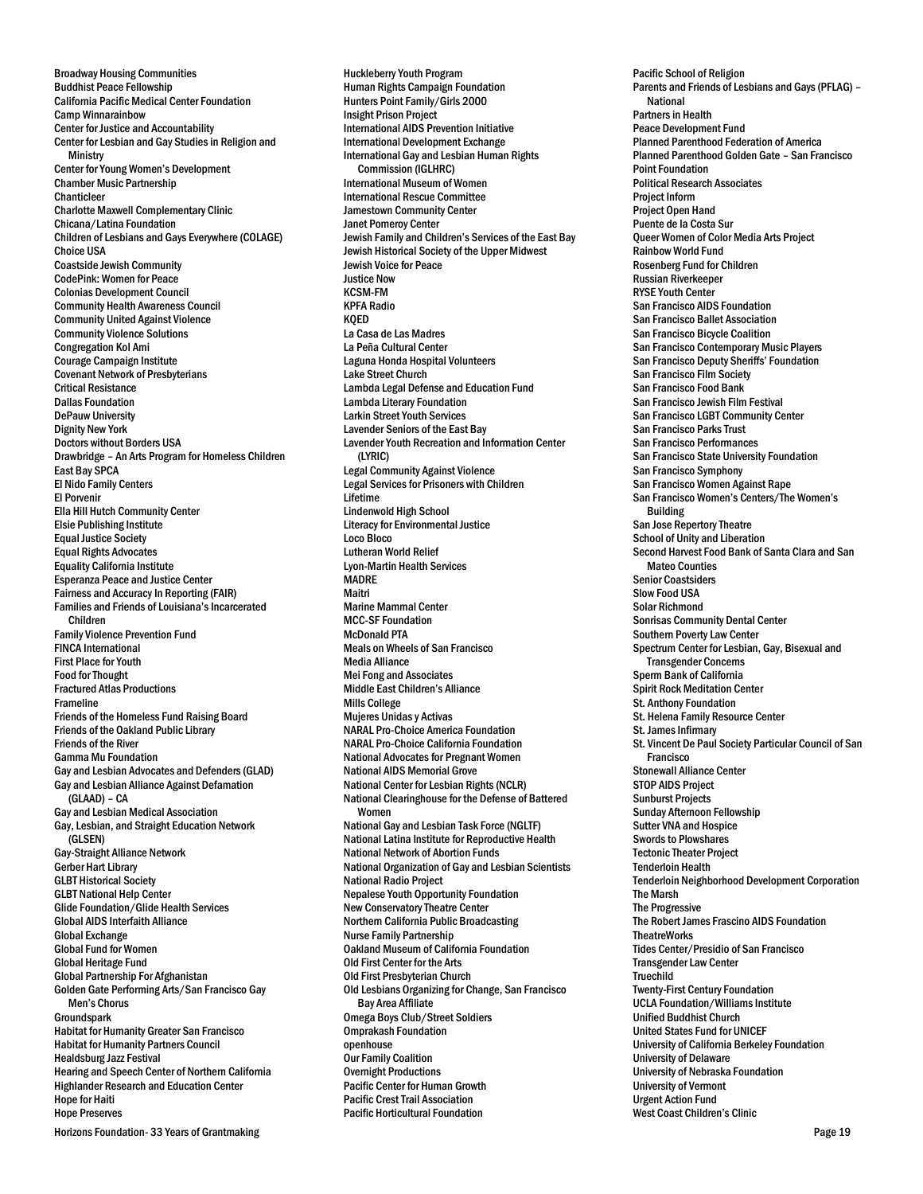Broadway Housing Communities Buddhist Peace Fellowship California Pacific Medical Center Foundation Camp Winnarainbow Center for Justice and Accountability Center for Lesbian and Gay Studies in Religion and **Ministry** Center for Young Women's Development Chamber Music Partnership Chanticleer Charlotte Maxwell Complementary Clinic Chicana/Latina Foundation Children of Lesbians and Gays Everywhere (COLAGE) Choice USA Coastside Jewish Community CodePink: Women for Peace Colonias Development Council Community Health Awareness Council Community United Against Violence Community Violence Solutions Congregation Kol Ami Courage Campaign Institute Covenant Network of Presbyterians Critical Resistance Dallas Foundation DePauw University Dignity New York Doctors without Borders USA Drawbridge – An Arts Program for Homeless Children East Bay SPCA El Nido Family Centers El Porvenir Ella Hill Hutch Community Center Elsie Publishing Institute Equal Justice Society Equal Rights Advocates Equality California Institute Esperanza Peace and Justice Center Fairness and Accuracy In Reporting (FAIR) Families and Friends of Louisiana's Incarcerated Children Family Violence Prevention Fund FINCA International First Place for Youth Food for Thought Fractured Atlas Productions Frameline Friends of the Homeless Fund Raising Board Friends of the Oakland Public Library Friends of the River Gamma Mu Foundation Gay and Lesbian Advocates and Defenders (GLAD) Gay and Lesbian Alliance Against Defamation (GLAAD) – CA Gay and Lesbian Medical Association Gay, Lesbian, and Straight Education Network (GLSEN) Gay-Straight Alliance Network Gerber Hart Library GLBT Historical Society GLBT National Help Center Glide Foundation/Glide Health Services Global AIDS Interfaith Alliance Global Exchange Global Fund for Women Global Heritage Fund Global Partnership For Afghanistan Golden Gate Performing Arts/San Francisco Gay Men's Chorus **Groundspark** Habitat for Humanity Greater San Francisco Habitat for Humanity Partners Council Healdsburg Jazz Festival Hearing and Speech Center of Northern California Highlander Research and Education Center Hope for Haiti Hope Preserves

Huckleberry Youth Program Human Rights Campaign Foundation Hunters Point Family/Girls 2000 Insight Prison Project International AIDS Prevention Initiative International Development Exchange International Gay and Lesbian Human Rights Commission (IGLHRC) International Museum of Women International Rescue Committee Jamestown Community Center Janet Pomeroy Center Jewish Family and Children's Services of the East Bay Jewish Historical Society of the Upper Midwest Jewish Voice for Peace Justice Now KCSM-FM KPFA Radio KQED La Casa de Las Madres La Peña Cultural Center Laguna Honda Hospital Volunteers Lake Street Church Lambda Legal Defense and Education Fund Lambda Literary Foundation Larkin Street Youth Services Lavender Seniors of the East Bay Lavender Youth Recreation and Information Center (LYRIC) Legal Community Against Violence Legal Services for Prisoners with Children Lifetime Lindenwold High School Literacy for Environmental Justice Loco Bloco Lutheran World Relief Lyon-Martin Health Services **MADRE** Maitri Marine Mammal Center MCC-SF Foundation McDonald PTA Meals on Wheels of San Francisco Media Alliance Mei Fong and Associates Middle East Children's Alliance Mills College Mujeres Unidas y Activas NARAL Pro-Choice America Foundation NARAL Pro-Choice California Foundation National Advocates for Pregnant Women National AIDS Memorial Grove National Center for Lesbian Rights (NCLR) National Clearinghouse for the Defense of Battered Women National Gay and Lesbian Task Force (NGLTF) National Latina Institute for Reproductive Health National Network of Abortion Funds National Organization of Gay and Lesbian Scientists National Radio Project Nepalese Youth Opportunity Foundation New Conservatory Theatre Center Northern California Public Broadcasting Nurse Family Partnership Oakland Museum of California Foundation Old First Center for the Arts Old First Presbyterian Church Old Lesbians Organizing for Change, San Francisco Bay Area Affiliate Omega Boys Club/Street Soldiers Omprakash Foundation openhouse Our Family Coalition Overnight Productions Pacific Center for Human Growth Pacific Crest Trail Association Pacific Horticultural Foundation

Pacific School of Religion Parents and Friends of Lesbians and Gays (PFLAG) – National Partners in Health Peace Development Fund Planned Parenthood Federation of America Planned Parenthood Golden Gate – San Francisco Point Foundation Political Research Associates Project Inform Project Open Hand Puente de la Costa Sur Queer Women of Color Media Arts Project Rainbow World Fund Rosenberg Fund for Children Russian Riverkeeper RYSE Youth Center San Francisco AIDS Foundation San Francisco Ballet Association San Francisco Bicycle Coalition San Francisco Contemporary Music Players San Francisco Deputy Sheriffs' Foundation San Francisco Film Society San Francisco Food Bank San Francisco Jewish Film Festival San Francisco LGBT Community Center San Francisco Parks Trust San Francisco Performances San Francisco State University Foundation San Francisco Symphony San Francisco Women Against Rape San Francisco Women's Centers/The Women's Building San Jose Repertory Theatre School of Unity and Liberation Second Harvest Food Bank of Santa Clara and San Mateo Counties Senior Coastsiders Slow Food USA Solar Richmond Sonrisas Community Dental Center Southern Poverty Law Center Spectrum Center for Lesbian, Gay, Bisexual and Transgender Concerns Sperm Bank of California Spirit Rock Meditation Center St. Anthony Foundation St. Helena Family Resource Center St. James Infirmary St. Vincent De Paul Society Particular Council of San Francisco Stonewall Alliance Center STOP AIDS Project Sunburst Projects Sunday Afternoon Fellowship Sutter VNA and Hospice Swords to Plowshares Tectonic Theater Project Tenderloin Health Tenderloin Neighborhood Development Corporation The Marsh The Progressive The Robert James Frascino AIDS Foundation **TheatreWorks** Tides Center/Presidio of San Francisco Transgender Law Center **Truechild** Twenty-First Century Foundation UCLA Foundation/Williams Institute Unified Buddhist Church United States Fund for UNICEF University of California Berkeley Foundation University of Delaware University of Nebraska Foundation University of Vermont Urgent Action Fund West Coast Children's Clinic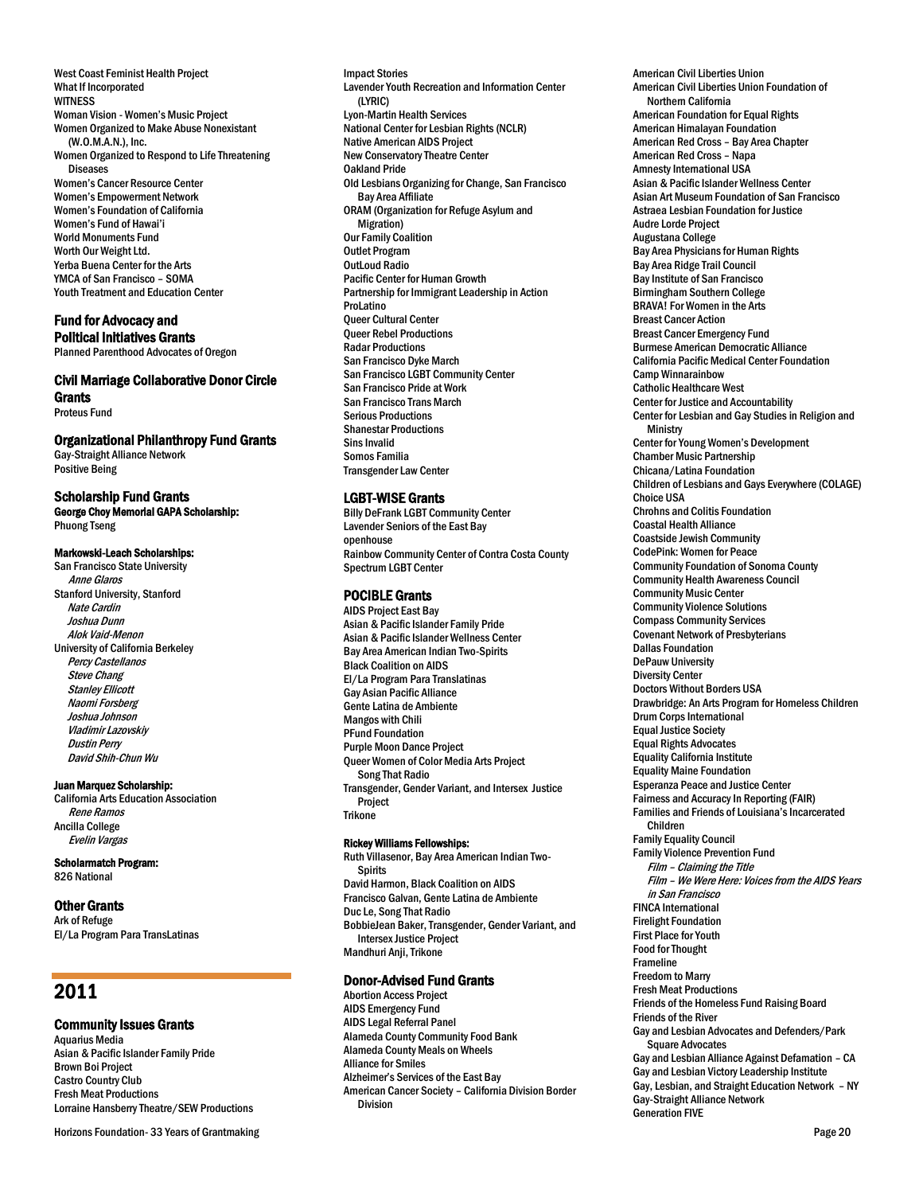West Coast Feminist Health Project What If Incorporated **WITNESS** Woman Vision -Women's Music Project Women Organized to Make Abuse Nonexistant (W.O.M.A.N.), Inc. Women Organized to Respond to Life Threatening **Diseases** Women's Cancer Resource Center Women's Empowerment Network Women's Foundation of California Women's Fund of Hawai'i World Monuments Fund Worth Our Weight Ltd. Yerba Buena Center for the Arts YMCA of San Francisco – SOMA Youth Treatment and Education Center

# Fund for Advocacy and Political Initiatives Grants

Planned Parenthood Advocates of Oregon

# Civil Marriage Collaborative Donor Circle **Grants**

Proteus Fund

# Organizational Philanthropy Fund Grants

Gay-Straight Alliance Network Positive Being

# Scholarship Fund Grants

George Choy Memorial GAPA Scholarship: Phuong Tseng

### Markowski-Leach Scholarships:

San Francisco State University Anne Glaros Stanford University, Stanford Nate Cardin Joshua Dunn Alok Vaid-Menon University of California Berkeley Percy Castellanos Steve Chang **Stanley Ellicott** Naomi Forsberg Joshua Johnson Vladimir Lazovskiy Dustin Perry David Shih-Chun Wu

#### Juan Marquez Scholarship:

California Arts Education Association Rene Ramos Ancilla College Evelin Vargas

# Scholarmatch Program:

826 National

# Other Grants

Ark of Refuge El/La Program Para TransLatinas

# 2011

# Community Issues Grants

Aquarius Media Asian & Pacific Islander Family Pride Brown Boi Project Castro Country Club Fresh Meat Productions Lorraine Hansberry Theatre/SEW Productions

Horizons Foundation- 33 Years of Grantmaking **Page 20** Page 20

Impact Stories Lavender Youth Recreation and Information Center (LYRIC) Lyon-Martin Health Services National Center for Lesbian Rights(NCLR) Native American AIDS Project New Conservatory Theatre Center Oakland Pride Old Lesbians Organizing for Change, San Francisco Bay Area Affiliate ORAM (Organization for Refuge Asylum and Migration) Our Family Coalition Outlet Program OutLoud Radio Pacific Center for Human Growth Partnership for Immigrant Leadership in Action ProLatino Queer Cultural Center Queer Rebel Productions Radar Productions San Francisco Dyke March San Francisco LGBT Community Center San Francisco Pride at Work San Francisco Trans March Serious Productions Shanestar Productions Sins Invalid Somos Familia Transgender Law Center

### LGBT-WISE Grants

Billy DeFrank LGBT Community Center Lavender Seniors of the East Bay openhouse Rainbow Community Center of Contra Costa County Spectrum LGBT Center

# POCIBLE Grants

AIDS Project East Bay Asian & Pacific Islander Family Pride Asian & Pacific Islander Wellness Center Bay Area American Indian Two-Spirits Black Coalition on AIDS El/La Program Para Translatinas Gay Asian Pacific Alliance Gente Latina de Ambiente Mangos with Chili PFund Foundation Purple Moon Dance Project Queer Women of Color Media Arts Project Song That Radio Transgender, Gender Variant, and Intersex Justice Project Trikone

#### Rickey Williams Fellowships:

Ruth Villasenor, Bay Area American Indian Two-Spirits David Harmon, Black Coalition on AIDS Francisco Galvan, Gente Latina de Ambiente Duc Le, Song That Radio BobbieJean Baker, Transgender, Gender Variant, and Intersex Justice Project Mandhuri Anji, Trikone

# Donor-Advised Fund Grants

Abortion Access Project AIDS Emergency Fund AIDS Legal Referral Panel Alameda County Community Food Bank Alameda County Meals on Wheels Alliance for Smiles Alzheimer's Services of the East Bay American Cancer Society – California Division Border Division

American Civil Liberties Union American Civil Liberties Union Foundation of Northern California American Foundation for Equal Rights American Himalayan Foundation American Red Cross – Bay Area Chapter American Red Cross – Napa Amnesty International USA Asian & Pacific Islander Wellness Center Asian Art Museum Foundation of San Francisco Astraea Lesbian Foundation for Justice Audre Lorde Project Augustana College Bay Area Physicians for Human Rights Bay Area Ridge Trail Council Bay Institute of San Francisco Birmingham Southern College BRAVA! For Women in the Arts Breast Cancer Action Breast Cancer Emergency Fund Burmese American Democratic Alliance California Pacific Medical Center Foundation Camp Winnarainbow Catholic Healthcare West Center for Justice and Accountability Center for Lesbian and Gay Studies in Religion and **Ministry** Center for Young Women's Development Chamber Music Partnership Chicana/Latina Foundation Children of Lesbians and Gays Everywhere (COLAGE) Choice USA Chrohns and Colitis Foundation Coastal Health Alliance Coastside Jewish Community CodePink: Women for Peace Community Foundation of Sonoma County Community Health Awareness Council Community Music Center Community Violence Solutions Compass Community Services Covenant Network of Presbyterians Dallas Foundation DePauw University Diversity Center Doctors Without Borders USA Drawbridge: An Arts Program for Homeless Children Drum Corps International Equal Justice Society Equal Rights Advocates Equality California Institute Equality Maine Foundation Esperanza Peace and Justice Center Fairness and Accuracy In Reporting (FAIR) Families and Friends of Louisiana's Incarcerated Children Family Equality Council Family Violence Prevention Fund Film – Claiming the Title Film –We Were Here: Voices from the AIDS Years in San Francisco FINCA International Firelight Foundation First Place for Youth Food for Thought Frameline Freedom to Marry Fresh Meat Productions Friends of the Homeless Fund Raising Board Friends of the River Gay and Lesbian Advocates and Defenders/Park Square Advocates Gay and Lesbian Alliance Against Defamation – CA Gay and Lesbian Victory Leadership Institute Gay, Lesbian, and Straight Education Network – NY Gay-Straight Alliance Network Generation FIVE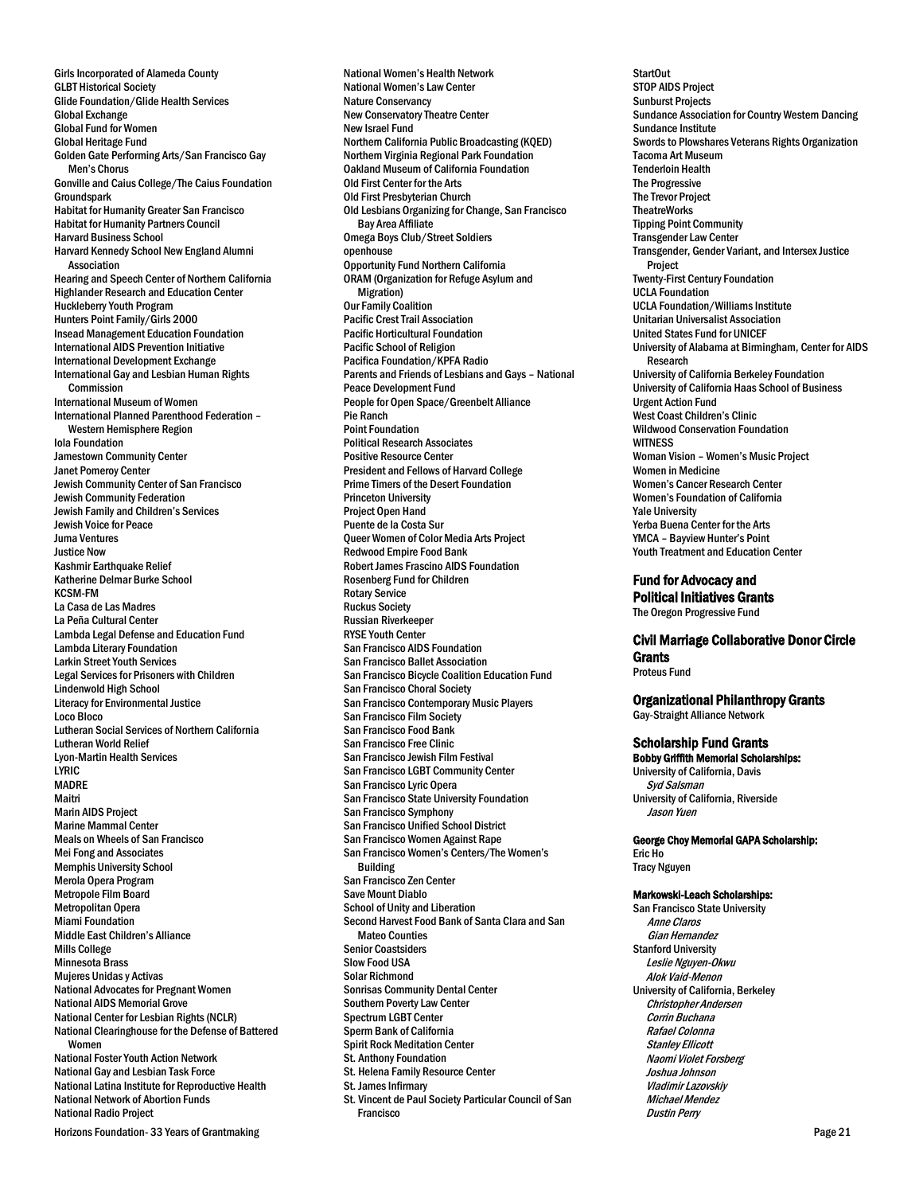Girls Incorporated of Alameda County GLBT Historical Society Glide Foundation/Glide Health Services Global Exchange Global Fund for Women Global Heritage Fund Golden Gate Performing Arts/San Francisco Gay Men's Chorus Gonville and Caius College/The Caius Foundation Groundspark Habitat for Humanity Greater San Francisco Habitat for Humanity Partners Council Harvard Business School Harvard Kennedy School New England Alumni Association Hearing and Speech Center of Northern California Highlander Research and Education Center Huckleberry Youth Program Hunters Point Family/Girls 2000 Insead Management Education Foundation International AIDS Prevention Initiative International Development Exchange International Gay and Lesbian Human Rights Commission International Museum of Women International Planned Parenthood Federation – Western Hemisphere Region Iola Foundation Jamestown Community Center Janet Pomeroy Center Jewish Community Center of San Francisco Jewish Community Federation Jewish Family and Children's Services Jewish Voice for Peace Juma Ventures Justice Now Kashmir Earthquake Relief Katherine Delmar Burke School KCSM-FM La Casa de Las Madres La Peña Cultural Center Lambda Legal Defense and Education Fund Lambda Literary Foundation Larkin Street Youth Services Legal Services for Prisoners with Children Lindenwold High School Literacy for Environmental Justice Loco Bloco Lutheran Social Services of Northern California Lutheran World Relief Lyon-Martin Health Services LYRIC MADRE Maitri Marin AIDS Project Marine Mammal Center Meals on Wheels of San Francisco Mei Fong and Associates Memphis University School Merola Opera Program Metropole Film Board Metropolitan Opera Miami Foundation Middle East Children's Alliance Mills College Minnesota Brass Mujeres Unidas y Activas National Advocates for Pregnant Women National AIDS Memorial Grove National Center for Lesbian Rights (NCLR) National Clearinghouse for the Defense of Battered Women National Foster Youth Action Network National Gay and Lesbian Task Force National Latina Institute for Reproductive Health National Network of Abortion Funds National Radio Project

Horizons Foundation- 33 Years of Grantmaking  $\blacksquare$ 

National Women's Health Network National Women's Law Center Nature Conservancy New Conservatory Theatre Center New Israel Fund Northern California Public Broadcasting (KQED) Northern Virginia Regional Park Foundation Oakland Museum of California Foundation Old First Center for the Arts Old First Presbyterian Church Old Lesbians Organizing for Change, San Francisco Bay Area Affiliate Omega Boys Club/Street Soldiers openhouse Opportunity Fund Northern California ORAM (Organization for Refuge Asylum and Migration) Our Family Coalition Pacific Crest Trail Association Pacific Horticultural Foundation Pacific School of Religion Pacifica Foundation/KPFA Radio Parents and Friends of Lesbians and Gays – National Peace Development Fund People for Open Space/Greenbelt Alliance Pie Ranch Point Foundation Political Research Associates Positive Resource Center President and Fellows of Harvard College Prime Timers of the Desert Foundation Princeton University Project Open Hand Puente de la Costa Sur Queer Women of Color Media Arts Project Redwood Empire Food Bank Robert James Frascino AIDS Foundation Rosenberg Fund for Children Rotary Service Ruckus Society Russian Riverkeeper RYSE Youth Center San Francisco AIDS Foundation San Francisco Ballet Association San Francisco Bicycle Coalition Education Fund San Francisco Choral Society San Francisco Contemporary Music Players San Francisco Film Society San Francisco Food Bank San Francisco Free Clinic San Francisco Jewish Film Festival San Francisco LGBT Community Center San Francisco Lyric Opera San Francisco State University Foundation San Francisco Symphony San Francisco Unified School District San Francisco Women Against Rape San Francisco Women's Centers/The Women's Building San Francisco Zen Center Save Mount Diablo School of Unity and Liberation Second Harvest Food Bank of Santa Clara and San Mateo Counties Senior Coastsiders Slow Food USA Solar Richmond Sonrisas Community Dental Center Southern Poverty Law Center Spectrum LGBT Center Sperm Bank of California Spirit Rock Meditation Center St. Anthony Foundation St. Helena Family Resource Center St. James Infirmary St. Vincent de Paul Society Particular Council of San Francisco

StartOut STOP AIDS Project Sunburst Projects Sundance Association for Country Western Dancing Sundance Institute Swords to Plowshares Veterans Rights Organization Tacoma Art Museum Tenderloin Health The Progressive The Trevor Project **TheatreWorks** Tipping Point Community Transgender Law Center Transgender, Gender Variant, and Intersex Justice Project Twenty-First Century Foundation UCLA Foundation UCLA Foundation/Williams Institute Unitarian Universalist Association United States Fund for UNICEF University of Alabama at Birmingham, Center for AIDS Research University of California Berkeley Foundation University of California Haas School of Business Urgent Action Fund West Coast Children's Clinic Wildwood Conservation Foundation **WITNESS** Woman Vision – Women's Music Project Women in Medicine Women's Cancer Research Center Women's Foundation of California Yale University Yerba Buena Center for the Arts YMCA – Bayview Hunter's Point Youth Treatment and Education Center

# Fund for Advocacy and

Political Initiatives Grants The Oregon Progressive Fund

#### Civil Marriage Collaborative Donor Circle **Grants**

Proteus Fund

### Organizational Philanthropy Grants Gay-Straight Alliance Network

# Scholarship Fund Grants

Bobby Griffith Memorial Scholarships: University of California, Davis Syd Salsman University of California, Riverside Jason Yuen

# George Choy Memorial GAPA Scholarship:

Eric Ho Tracy Nguyen

# Markowski-Leach Scholarships:

San Francisco State University Anne Claros Gian Hernandez Stanford University Leslie Nguyen-Okwu Alok Vaid-Menon University of California, Berkeley Christopher Andersen Corrin Buchana Rafael Colonna Stanley Ellicott Naomi Violet Forsberg Joshua Johnson Vladimir Lazovskiy Michael Mendez Dustin Perry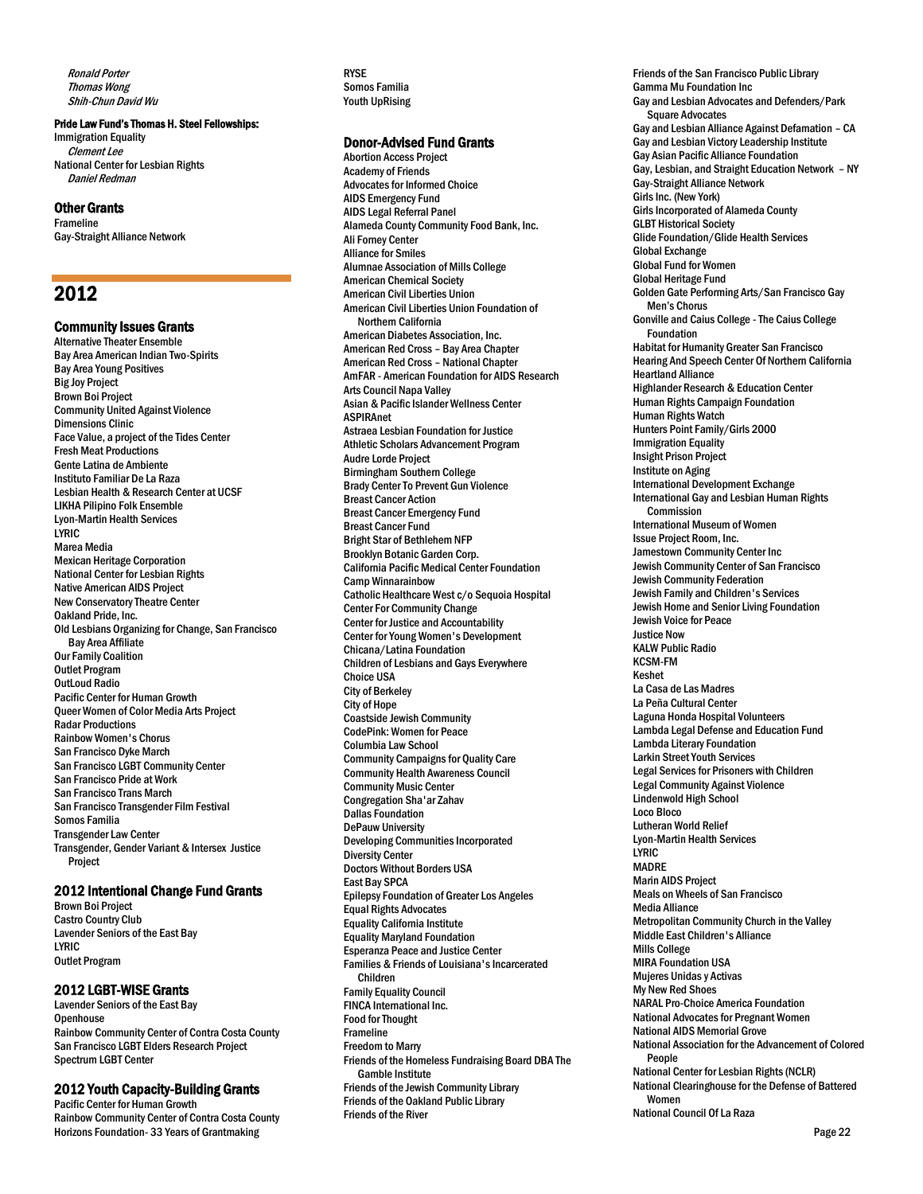Ronald Porter Thomas Wong Shih-Chun David Wu

# Pride Law Fund's Thomas H. Steel Fellowships:

Immigration Equality Clement Lee National Center for Lesbian Rights Daniel Redman

# Other Grants

Frameline Gay-Straight Alliance Network

# 2012

### Community Issues Grants

Alternative Theater Ensemble Bay Area American Indian Two-Spirits Bay Area Young Positives Big Joy Project Brown Boi Project Community United Against Violence Dimensions Clinic Face Value, a project of the Tides Center Fresh Meat Productions Gente Latina de Ambiente Instituto Familiar De La Raza Lesbian Health & Research Center at UCSF LIKHA Pilipino Folk Ensemble Lyon-Martin Health Services LYRIC Marea Media Mexican Heritage Corporation National Center for Lesbian Rights Native American AIDS Project New Conservatory Theatre Center Oakland Pride, Inc. Old Lesbians Organizing for Change, San Francisco Bay Area Affiliate Our Family Coalition Outlet Program OutLoud Radio Pacific Center for Human Growth Queer Women of Color Media Arts Project Radar Productions Rainbow Women's Chorus San Francisco Dyke March San Francisco LGBT Community Center San Francisco Pride at Work San Francisco Trans March San Francisco Transgender Film Festival Somos Familia Transgender Law Center Transgender, Gender Variant & Intersex Justice Project

# 2012 Intentional Change Fund Grants

Brown Boi Project Castro Country Club Lavender Seniors of the East Bay LYRIC Outlet Program

# 2012 LGBT-WISE Grants

Lavender Seniors of the East Bay **Openhouse** Rainbow Community Center of Contra Costa County San Francisco LGBT Elders Research Project Spectrum LGBT Center

### 2012 Youth Capacity-Building Grants

Horizons Foundation- 33 Years of Grantmaking Page 22 Pacific Center for Human Growth Rainbow Community Center of Contra Costa County

RYSE Somos Familia Youth UpRising

# Donor-Advised Fund Grants

Abortion Access Project Academy of Friends Advocates for Informed Choice AIDS Emergency Fund AIDS Legal Referral Panel Alameda County Community Food Bank, Inc. Ali Forney Center Alliance for Smiles Alumnae Association of Mills College American Chemical Society American Civil Liberties Union American Civil Liberties Union Foundation of Northern California American Diabetes Association, Inc. American Red Cross – Bay Area Chapter American Red Cross – National Chapter AmFAR - American Foundation for AIDS Research Arts Council Napa Valley Asian & Pacific Islander Wellness Center ASPIRAnet Astraea Lesbian Foundation for Justice Athletic Scholars Advancement Program Audre Lorde Project Birmingham Southern College Brady Center To Prevent Gun Violence Breast Cancer Action Breast Cancer Emergency Fund Breast Cancer Fund Bright Star of Bethlehem NFP Brooklyn Botanic Garden Corp. California Pacific Medical Center Foundation Camp Winnarainbow Catholic Healthcare West c/o Sequoia Hospital Center For Community Change Center for Justice and Accountability Center for Young Women's Development Chicana/Latina Foundation Children of Lesbians and Gays Everywhere Choice USA City of Berkeley City of Hope Coastside Jewish Community CodePink: Women for Peace Columbia Law School Community Campaigns for Quality Care Community Health Awareness Council Community Music Center Congregation Sha'ar Zahav Dallas Foundation DePauw University Developing Communities Incorporated Diversity Center Doctors Without Borders USA East Bay SPCA Epilepsy Foundation of Greater Los Angeles Equal Rights Advocates Equality California Institute Equality Maryland Foundation Esperanza Peace and Justice Center Families & Friends of Louisiana's Incarcerated Children Family Equality Council FINCA International Inc. Food for Thought Frameline Freedom to Marry Friends of the Homeless Fundraising Board DBA The Gamble Institute Friends of the Jewish Community Library Friends of the Oakland Public Library Friends of the River

Friends of the San Francisco Public Library Gamma Mu Foundation Inc Gay and Lesbian Advocates and Defenders/Park Square Advocates Gay and Lesbian Alliance Against Defamation – CA Gay and Lesbian Victory Leadership Institute Gay Asian Pacific Alliance Foundation Gay, Lesbian, and Straight Education Network – NY Gay-Straight Alliance Network Girls Inc. (New York) Girls Incorporated of Alameda County GLBT Historical Society Glide Foundation/Glide Health Services Global Exchange Global Fund for Women Global Heritage Fund Golden Gate Performing Arts/San Francisco Gay Men's Chorus Gonville and Caius College - The Caius College Foundation Habitat for Humanity Greater San Francisco Hearing And Speech Center Of Northern California Heartland Alliance Highlander Research & Education Center Human Rights Campaign Foundation Human Rights Watch Hunters Point Family/Girls 2000 Immigration Equality Insight Prison Project Institute on Aging International Development Exchange International Gay and Lesbian Human Rights **Commission** International Museum of Women Issue Project Room, Inc. Jamestown Community Center Inc Jewish Community Center of San Francisco Jewish Community Federation Jewish Family and Children's Services Jewish Home and Senior Living Foundation Jewish Voice for Peace Justice Now KALW Public Radio KCSM-FM Keshet La Casa de Las Madres La Peña Cultural Center Laguna Honda Hospital Volunteers Lambda Legal Defense and Education Fund Lambda Literary Foundation Larkin Street Youth Services Legal Services for Prisoners with Children Legal Community Against Violence Lindenwold High School Loco Bloco Lutheran World Relief Lyon-Martin Health Services LYRIC MADRE Marin AIDS Project Meals on Wheels of San Francisco Media Alliance Metropolitan Community Church in the Valley Middle East Children's Alliance Mills College MIRA Foundation USA Mujeres Unidas y Activas My New Red Shoes NARAL Pro-Choice America Foundation National Advocates for Pregnant Women National AIDS Memorial Grove National Association for the Advancement of Colored People National Center for Lesbian Rights (NCLR) National Clearinghouse for the Defense of Battered Women National Council Of La Raza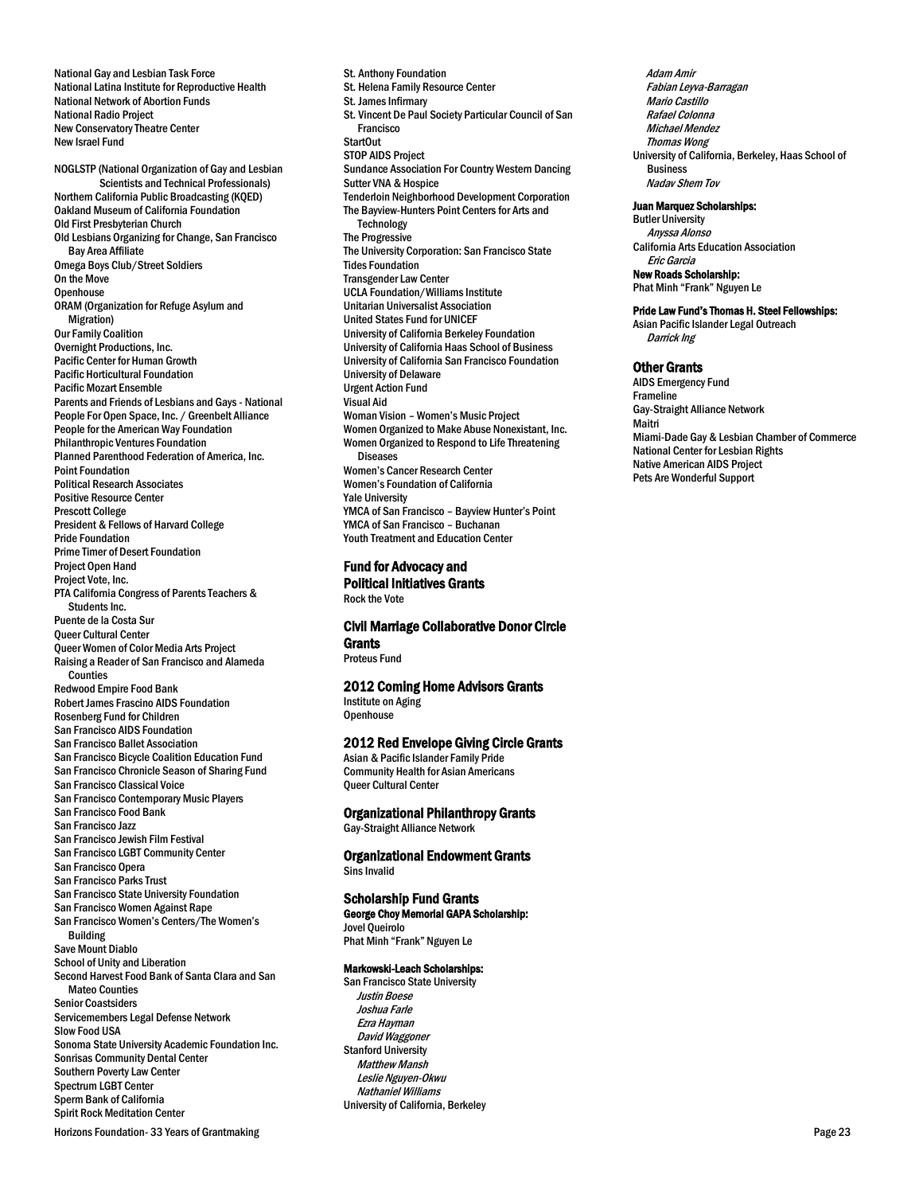National Latina Institute for Reproductive Health National Network of Abortion Funds National Radio Project New Conservatory Theatre Center New Israel Fund NOGLSTP (National Organization of Gay and Lesbian Scientists and Technical Professionals) Northern California Public Broadcasting (KQED) Oakland Museum of California Foundation Old First Presbyterian Church Old Lesbians Organizing for Change, San Francisco Bay Area Affiliate Omega Boys Club/Street Soldiers On the Move **Openhouse** ORAM (Organization for Refuge Asylum and Migration) Our Family Coalition Overnight Productions, Inc. Pacific Center for Human Growth Pacific Horticultural Foundation Pacific Mozart Ensemble Parents and Friends of Lesbians and Gays - National People For Open Space, Inc. / Greenbelt Alliance People for the American Way Foundation Philanthropic Ventures Foundation Planned Parenthood Federation of America, Inc. Point Foundation Political Research Associates Positive Resource Center Prescott College President & Fellows of Harvard College Pride Foundation Prime Timer of Desert Foundation Project Open Hand Project Vote, Inc. PTA California Congress of Parents Teachers & Students Inc. Puente de la Costa Sur Queer Cultural Center Queer Women of Color Media Arts Project Raising a Reader of San Francisco and Alameda Counties Redwood Empire Food Bank Robert James Frascino AIDS Foundation Rosenberg Fund for Children San Francisco AIDS Foundation San Francisco Ballet Association San Francisco Bicycle Coalition Education Fund San Francisco Chronicle Season of Sharing Fund San Francisco Classical Voice San Francisco Contemporary Music Players San Francisco Food Bank San Francisco Jazz San Francisco Jewish Film Festival San Francisco LGBT Community Center San Francisco Opera San Francisco Parks Trust San Francisco State University Foundation San Francisco Women Against Rape San Francisco Women's Centers/The Women's Building Save Mount Diablo School of Unity and Liberation Second Harvest Food Bank of Santa Clara and San Mateo Counties Senior Coastsiders Servicemembers Legal Defense Network Slow Food USA Sonoma State University Academic Foundation Inc. Sonrisas Community Dental Center Southern Poverty Law Center Spectrum LGBT Center Sperm Bank of California Spirit Rock Meditation Center

National Gay and Lesbian Task Force

St. Anthony Foundation St. Helena Family Resource Center St. James Infirmary St. Vincent De Paul Society Particular Council of San Francisco StartOut STOP AIDS Project Sundance Association For Country Western Dancing Sutter VNA & Hospice Tenderloin Neighborhood Development Corporation The Bayview-Hunters Point Centers for Arts and **Technology** The Progressive The University Corporation: San Francisco State Tides Foundation Transgender Law Center UCLA Foundation/Williams Institute Unitarian Universalist Association United States Fund for UNICEF University of California Berkeley Foundation University of California Haas School of Business University of California San Francisco Foundation University of Delaware Urgent Action Fund Visual Aid Woman Vision – Women's Music Project Women Organized to Make Abuse Nonexistant, Inc. Women Organized to Respond to Life Threatening Diseases Women's Cancer Research Center Women's Foundation of California Yale University YMCA of San Francisco – Bayview Hunter's Point YMCA of San Francisco – Buchanan Youth Treatment and Education Center

#### Fund for Advocacy and Political Initiatives Grants Rock the Vote

Civil Marriage Collaborative Donor Circle **Grants** Proteus Fund

2012 Coming Home Advisors Grants Institute on Aging

**Openhouse** 

2012 Red Envelope Giving Circle Grants

Asian & Pacific Islander Family Pride Community Health for Asian Americans Queer Cultural Center

Organizational Philanthropy Grants

Gay-Straight Alliance Network

Organizational Endowment Grants Sins Invalid

### Scholarship Fund Grants

George Choy Memorial GAPA Scholarship: Jovel Queirolo

Phat Minh "Frank" Nguyen Le

# Markowski-Leach Scholarships:

San Francisco State University Justin Boese Joshua Farle Ezra Hayman David Waggoner Stanford University Matthew Mansh Leslie Nguyen-Okwu Nathaniel Williams University of California, Berkeley

Adam Amir Fabian Leyva-Barragan Mario Castillo Rafael Colonna Michael Mendez Thomas Wong University of California, Berkeley, Haas School of Business Nadav Shem Tov

#### Juan Marquez Scholarships:

Butler University<br>Anyssa Alonso Anyssa Alonso \$1,000 California Arts Education Association Eric Garcia New Roads Scholarship: Phat Minh "Frank" Nguyen Le

#### Pride Law Fund's Thomas H. Steel Fellowships:

Asian Pacific Islander Legal Outreach Darrick Ing

#### Other Grants

AIDS Emergency Fund Frameline Gay-Straight Alliance Network Maitri Miami-Dade Gay & Lesbian Chamber of Commerce National Center for Lesbian Rights Native American AIDS Project Pets Are Wonderful Support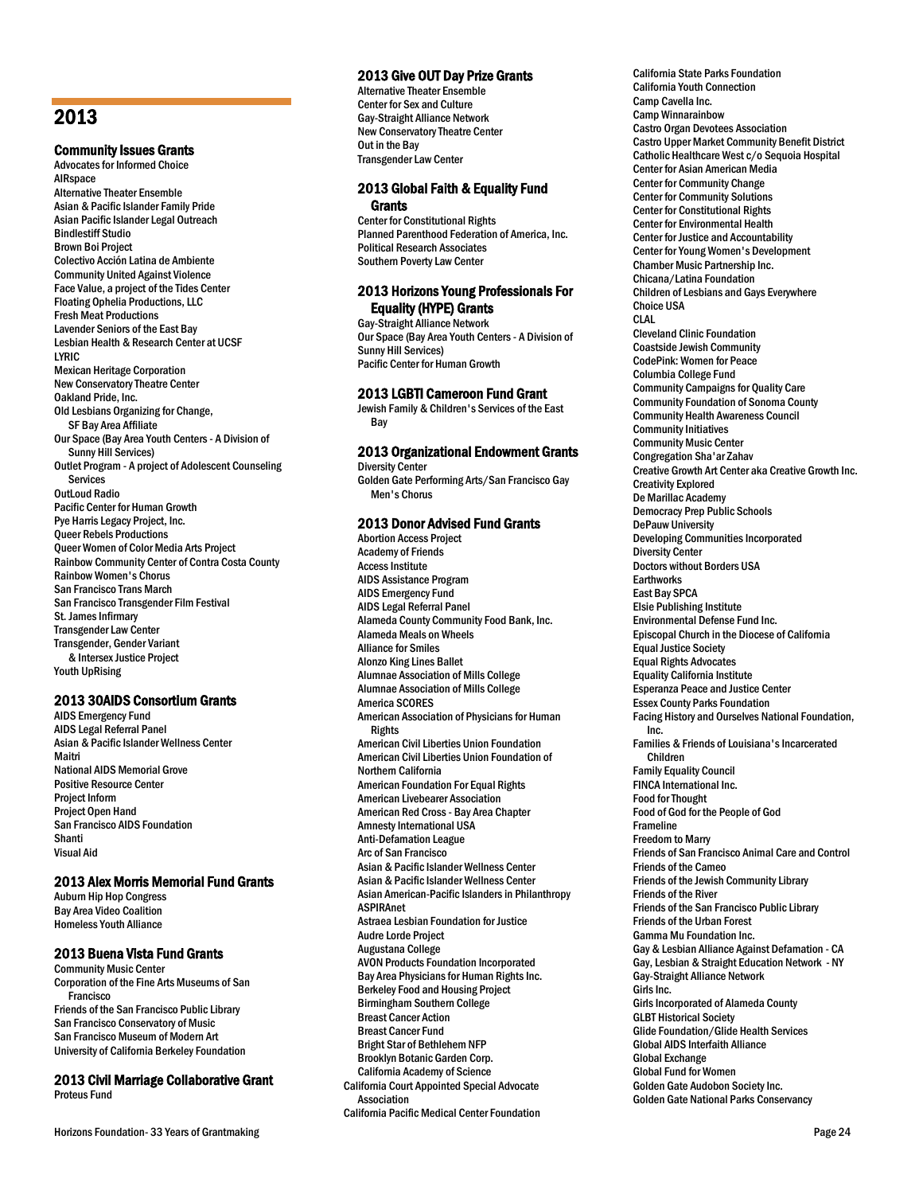# 2013

Community Issues Grants Advocates for Informed Choice **AIRspace** Alternative Theater Ensemble Asian & Pacific Islander Family Pride Asian Pacific Islander Legal Outreach Bindlestiff Studio Brown Boi Project Colectivo Acción Latina de Ambiente Community United Against Violence Face Value, a project of the Tides Center Floating Ophelia Productions, LLC Fresh Meat Productions Lavender Seniors of the East Bay Lesbian Health & Research Center at UCSF LYRIC Mexican Heritage Corporation New Conservatory Theatre Center Oakland Pride, Inc. Old Lesbians Organizing for Change, SF Bay Area Affiliate Our Space (Bay Area Youth Centers - A Division of Sunny Hill Services) Outlet Program - A project of Adolescent Counseling **Services** OutLoud Radio Pacific Center for Human Growth Pye Harris Legacy Project, Inc. Queer Rebels Productions Queer Women of Color Media Arts Project Rainbow Community Center of Contra Costa County Rainbow Women's Chorus San Francisco Trans March San Francisco Transgender Film Festival St. James Infirmary Transgender Law Center Transgender, Gender Variant & Intersex Justice Project Youth UpRising

### 2013 30AIDS Consortium Grants

AIDS Emergency Fund AIDS Legal Referral Panel Asian & Pacific Islander Wellness Center Maitri National AIDS Memorial Grove Positive Resource Center Project Inform Project Open Hand San Francisco AIDS Foundation Shanti Visual Aid

# 2013 Alex Morris Memorial Fund Grants

Auburn Hip Hop Congress Bay Area Video Coalition Homeless Youth Alliance

# 2013 Buena Vista Fund Grants

Community Music Center Corporation of the Fine Arts Museums of San Francisco Friends of the San Francisco Public Library San Francisco Conservatory of Music San Francisco Museum of Modern Art University of California Berkeley Foundation

# 2013 Civil Marriage Collaborative Grant Proteus Fund

Horizons Foundation- 33 Years of Grantmaking **Page 24** Page 24

# 2013 Give OUT Day Prize Grants

Alternative Theater Ensemble Center for Sex and Culture Gay-Straight Alliance Network New Conservatory Theatre Center Out in the Bay Transgender Law Center

### 2013 Global Faith & Equality Fund **Grants**

Center for Constitutional Rights Planned Parenthood Federation of America, Inc. Political Research Associates Southern Poverty Law Center

# 2013 Horizons Young Professionals For Equality (HYPE) Grants

Gay-Straight Alliance Network Our Space (Bay Area Youth Centers - A Division of Sunny Hill Services) Pacific Center for Human Growth

# 2013 LGBTI Cameroon Fund Grant

Jewish Family & Children's Services of the East Bay

# 2013 Organizational Endowment Grants

Diversity Center Golden Gate Performing Arts/San Francisco Gay Men's Chorus

# 2013 Donor Advised Fund Grants

Abortion Access Project Academy of Friends Access Institute AIDS Assistance Program AIDS Emergency Fund AIDS Legal Referral Panel Alameda County Community Food Bank, Inc. Alameda Meals on Wheels Alliance for Smiles Alonzo King Lines Ballet Alumnae Association of Mills College Alumnae Association of Mills College America SCORES American Association of Physicians for Human Rights American Civil Liberties Union Foundation American Civil Liberties Union Foundation of Northern California American Foundation For Equal Rights American Livebearer Association American Red Cross - Bay Area Chapter Amnesty International USA Anti-Defamation League Arc of San Francisco Asian & Pacific Islander Wellness Center Asian & Pacific Islander Wellness Center Asian American-Pacific Islanders in Philanthropy ASPIRAnet Astraea Lesbian Foundation for Justice Audre Lorde Project Augustana College AVON Products Foundation Incorporated Bay Area Physicians for Human Rights Inc. Berkeley Food and Housing Project Birmingham Southern College Breast Cancer Action Breast Cancer Fund Bright Star of Bethlehem NFP Brooklyn Botanic Garden Corp. California Academy of Science California Court Appointed Special Advocate Association California Pacific Medical Center Foundation

California State Parks Foundation California Youth Connection Camp Cavella Inc. Camp Winnarainbow Castro Organ Devotees Association Castro Upper Market Community Benefit District Catholic Healthcare West c/o Sequoia Hospital Center for Asian American Media Center for Community Change Center for Community Solutions Center for Constitutional Rights Center for Environmental Health Center for Justice and Accountability Center for Young Women's Development Chamber Music Partnership Inc. Chicana/Latina Foundation Children of Lesbians and Gays Everywhere Choice USA CLAL Cleveland Clinic Foundation Coastside Jewish Community CodePink: Women for Peace Columbia College Fund Community Campaigns for Quality Care Community Foundation of Sonoma County Community Health Awareness Council Community Initiatives Community Music Center Congregation Sha'ar Zahav Creative Growth Art Center aka Creative Growth Inc. Creativity Explored De Marillac Academy Democracy Prep Public Schools DePauw University Developing Communities Incorporated Diversity Center Doctors without Borders USA **Earthworks** East Bay SPCA Elsie Publishing Institute Environmental Defense Fund Inc. Episcopal Church in the Diocese of California Equal Justice Society Equal Rights Advocates Equality California Institute Esperanza Peace and Justice Center Essex County Parks Foundation Facing History and Ourselves National Foundation, Inc. Families & Friends of Louisiana's Incarcerated Children Family Equality Council FINCA International Inc. Food for Thought Food of God for the People of God Frameline Freedom to Marry Friends of San Francisco Animal Care and Control Friends of the Cameo Friends of the Jewish Community Library Friends of the River Friends of the San Francisco Public Library Friends of the Urban Forest Gamma Mu Foundation Inc. Gay & Lesbian Alliance Against Defamation - CA Gay, Lesbian & Straight Education Network - NY Gay-Straight Alliance Network Girls Inc. Girls Incorporated of Alameda County GLBT Historical Society Glide Foundation/Glide Health Services Global AIDS Interfaith Alliance Global Exchange Global Fund for Women Golden Gate Audobon Society Inc. Golden Gate National Parks Conservancy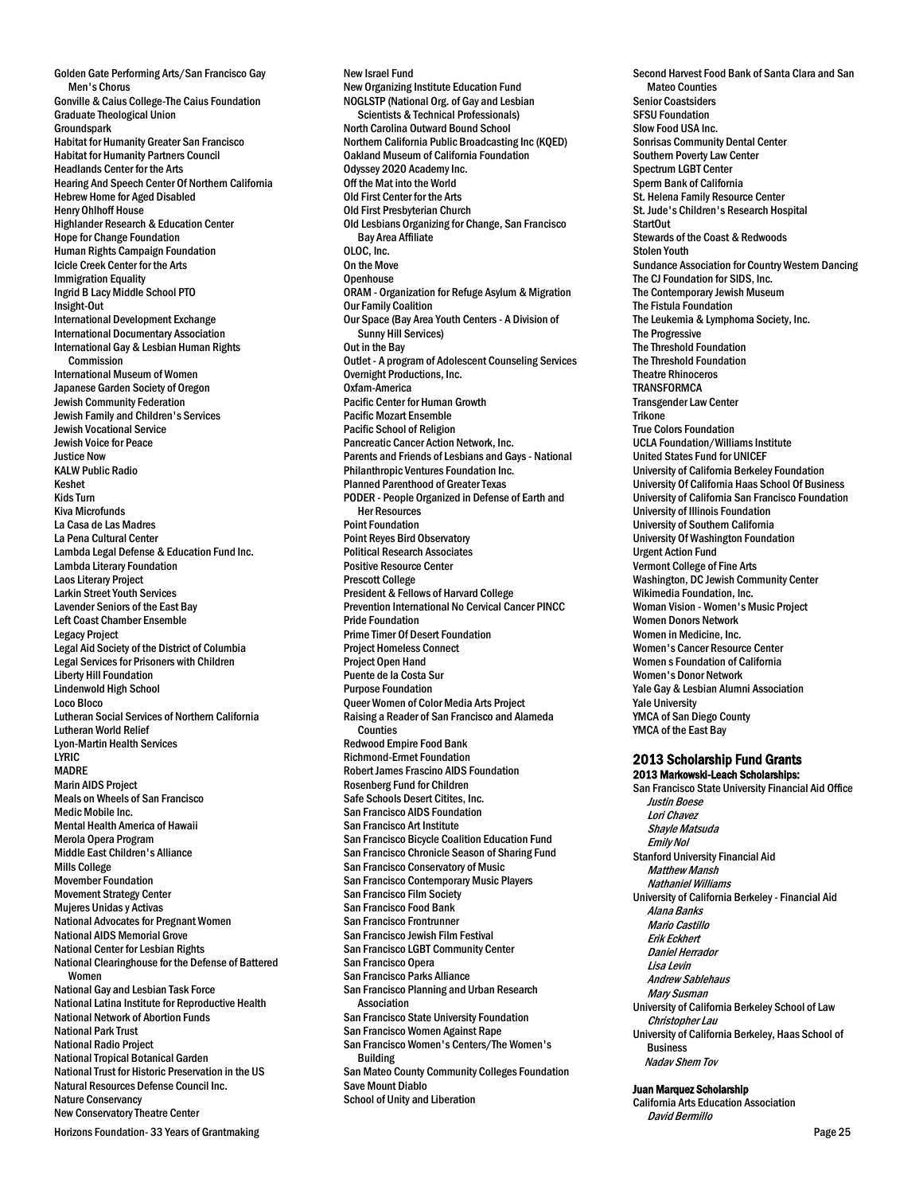Golden Gate Performing Arts/San Francisco Gay Men's Chorus Gonville & Caius College-The Caius Foundation Graduate Theological Union **Groundspark** Habitat for Humanity Greater San Francisco Habitat for Humanity Partners Council Headlands Center for the Arts Hearing And Speech Center Of Northern California Hebrew Home for Aged Disabled Henry Ohlhoff House Highlander Research & Education Center Hope for Change Foundation Human Rights Campaign Foundation Icicle Creek Center for the Arts Immigration Equality Ingrid B Lacy Middle School PTO Insight-Out International Development Exchange International Documentary Association International Gay & Lesbian Human Rights Commission International Museum of Women Japanese Garden Society of Oregon Jewish Community Federation Jewish Family and Children's Services Jewish Vocational Service Jewish Voice for Peace **Justice Now** KALW Public Radio Keshet Kids Turn Kiva Microfunds La Casa de Las Madres La Pena Cultural Center Lambda Legal Defense & Education Fund Inc. Lambda Literary Foundation Laos Literary Project Larkin Street Youth Services Lavender Seniors of the East Bay Left Coast Chamber Ensemble Legacy Project Legal Aid Society of the District of Columbia Legal Services for Prisoners with Children Liberty Hill Foundation Lindenwold High School Loco Bloco Lutheran Social Services of Northern California Lutheran World Relief Lyon-Martin Health Services LYRIC MADRE Marin AIDS Project Meals on Wheels of San Francisco Medic Mobile Inc. Mental Health America of Hawaii Merola Opera Program Middle East Children's Alliance Mills College Movember Foundation Movement Strategy Center Mujeres Unidas y Activas National Advocates for Pregnant Women National AIDS Memorial Grove National Center for Lesbian Rights National Clearinghouse for the Defense of Battered Women National Gay and Lesbian Task Force National Latina Institute for Reproductive Health National Network of Abortion Funds National Park Trust National Radio Project National Tropical Botanical Garden National Trust for Historic Preservation in the US Natural Resources Defense Council Inc. Nature Conservancy New Conservatory Theatre Center

New Israel Fund New Organizing Institute Education Fund NOGLSTP (National Org. of Gay and Lesbian Scientists & Technical Professionals) North Carolina Outward Bound School Northern California Public Broadcasting Inc (KQED) Oakland Museum of California Foundation Odyssey 2020 Academy Inc. Off the Mat into the World Old First Center for the Arts Old First Presbyterian Church Old Lesbians Organizing for Change, San Francisco Bay Area Affiliate OLOC, Inc. On the Move **Openhouse** ORAM - Organization for Refuge Asylum & Migration Our Family Coalition Our Space (Bay Area Youth Centers - A Division of Sunny Hill Services) Out in the Bay Outlet - A program of Adolescent Counseling Services Overnight Productions, Inc. Oxfam-America Pacific Center for Human Growth Pacific Mozart Ensemble Pacific School of Religion Pancreatic Cancer Action Network, Inc. Parents and Friends of Lesbians and Gays - National Philanthropic Ventures Foundation Inc. Planned Parenthood of Greater Texas PODER - People Organized in Defense of Earth and Her Resources Point Foundation Point Reyes Bird Observatory Political Research Associates Positive Resource Center Prescott College President & Fellows of Harvard College Prevention International No Cervical Cancer PINCC Pride Foundation Prime Timer Of Desert Foundation Project Homeless Connect Project Open Hand Puente de la Costa Sur Purpose Foundation Queer Women of Color Media Arts Project Raising a Reader of San Francisco and Alameda **Counties** Redwood Empire Food Bank Richmond-Ermet Foundation Robert James Frascino AIDS Foundation Rosenberg Fund for Children Safe Schools Desert Citites, Inc. San Francisco AIDS Foundation San Francisco Art Institute San Francisco Bicycle Coalition Education Fund San Francisco Chronicle Season of Sharing Fund San Francisco Conservatory of Music San Francisco Contemporary Music Players San Francisco Film Society San Francisco Food Bank San Francisco Frontrunner San Francisco Jewish Film Festival San Francisco LGBT Community Center San Francisco Opera San Francisco Parks Alliance San Francisco Planning and Urban Research Association San Francisco State University Foundation San Francisco Women Against Rape San Francisco Women's Centers/The Women's Building San Mateo County Community Colleges Foundation Save Mount Diablo School of Unity and Liberation

Second Harvest Food Bank of Santa Clara and San Mateo Counties Senior Coastsiders SFSU Foundation Slow Food USA Inc. Sonrisas Community Dental Center Southern Poverty Law Center Spectrum LGBT Center Sperm Bank of California St. Helena Family Resource Center St. Jude's Children's Research Hospital StartOut Stewards of the Coast & Redwoods Stolen Youth Sundance Association for Country Western Dancing The CJ Foundation for SIDS, Inc. The Contemporary Jewish Museum The Fistula Foundation The Leukemia & Lymphoma Society, Inc. The Progressive The Threshold Foundation The Threshold Foundation Theatre Rhinoceros **TRANSFORMCA** Transgender Law Center Trikone True Colors Foundation UCLA Foundation/Williams Institute United States Fund for UNICEF University of California Berkeley Foundation University Of California Haas School Of Business University of California San Francisco Foundation University of Illinois Foundation University of Southern California University Of Washington Foundation Urgent Action Fund Vermont College of Fine Arts Washington, DC Jewish Community Center Wikimedia Foundation, Inc. Woman Vision - Women's Music Project Women Donors Network Women in Medicine, Inc. Women's Cancer Resource Center Women s Foundation of California Women's Donor Network Yale Gay & Lesbian Alumni Association Yale University YMCA of San Diego County YMCA of the East Bay 2013 Scholarship Fund Grants

# 2013 Markowski-Leach Scholarships:

San Francisco State University Financial Aid Office Justin Boese Lori Chavez Shayle Matsuda Emily Nol Stanford University Financial Aid Matthew Mansh Nathaniel Williams University of California Berkeley - Financial Aid Alana Banks Mario Castillo Erik Eckhert Daniel Herrador Lisa Levin Andrew Sablehaus Mary Susman University of California Berkeley School of Law Christopher Lau University of California Berkeley, Haas School of Business Nadav Shem Tov

#### Juan Marquez Scholarship

California Arts Education Association David Bermillo